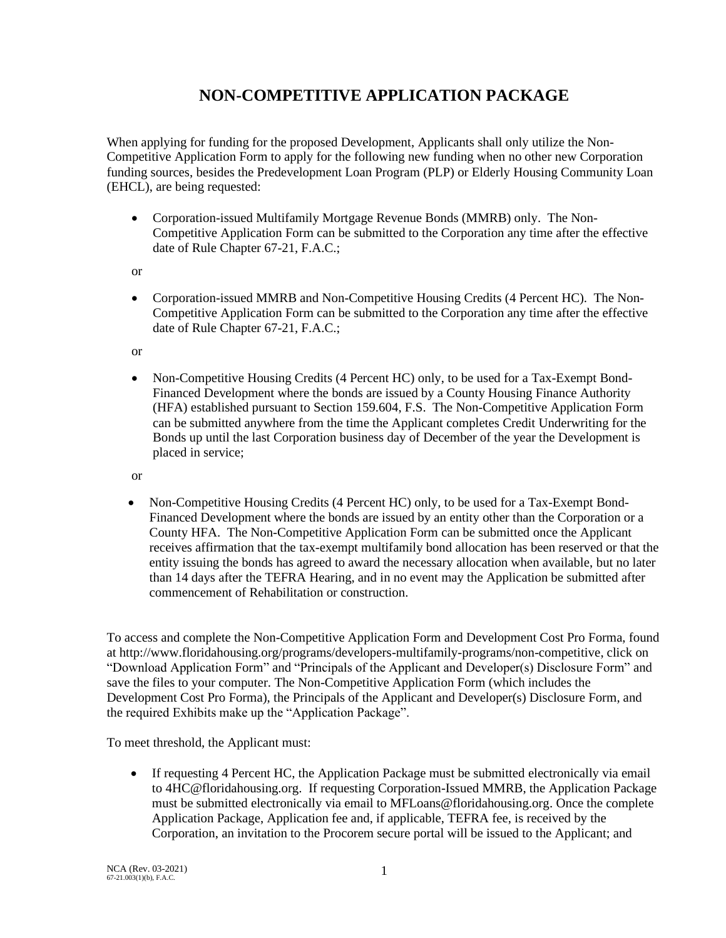# **NON-COMPETITIVE APPLICATION PACKAGE**

When applying for funding for the proposed Development, Applicants shall only utilize the Non-Competitive Application Form to apply for the following new funding when no other new Corporation funding sources, besides the Predevelopment Loan Program (PLP) or Elderly Housing Community Loan (EHCL), are being requested:

• Corporation-issued Multifamily Mortgage Revenue Bonds (MMRB) only. The Non-Competitive Application Form can be submitted to the Corporation any time after the effective date of Rule Chapter 67-21, F.A.C.;

or

• Corporation-issued MMRB and Non-Competitive Housing Credits (4 Percent HC). The Non-Competitive Application Form can be submitted to the Corporation any time after the effective date of Rule Chapter 67-21, F.A.C.;

or

• Non-Competitive Housing Credits (4 Percent HC) only, to be used for a Tax-Exempt Bond-Financed Development where the bonds are issued by a County Housing Finance Authority (HFA) established pursuant to Section 159.604, F.S. The Non-Competitive Application Form can be submitted anywhere from the time the Applicant completes Credit Underwriting for the Bonds up until the last Corporation business day of December of the year the Development is placed in service;

or

• Non-Competitive Housing Credits (4 Percent HC) only, to be used for a Tax-Exempt Bond-Financed Development where the bonds are issued by an entity other than the Corporation or a County HFA. The Non-Competitive Application Form can be submitted once the Applicant receives affirmation that the tax-exempt multifamily bond allocation has been reserved or that the entity issuing the bonds has agreed to award the necessary allocation when available, but no later than 14 days after the TEFRA Hearing, and in no event may the Application be submitted after commencement of Rehabilitation or construction.

To access and complete the Non-Competitive Application Form and Development Cost Pro Forma, found at http://www.floridahousing.org/programs/developers-multifamily-programs/non-competitive, click on "Download Application Form" and "Principals of the Applicant and Developer(s) Disclosure Form" and save the files to your computer. The Non-Competitive Application Form (which includes the Development Cost Pro Forma), the Principals of the Applicant and Developer(s) Disclosure Form, and the required Exhibits make up the "Application Package".

To meet threshold, the Applicant must:

• If requesting 4 Percent HC, the Application Package must be submitted electronically via email to 4HC@floridahousing.org. If requesting Corporation-Issued MMRB, the Application Package must be submitted electronically via email to MFLoans@floridahousing.org. Once the complete Application Package, Application fee and, if applicable, TEFRA fee, is received by the Corporation, an invitation to the Procorem secure portal will be issued to the Applicant; and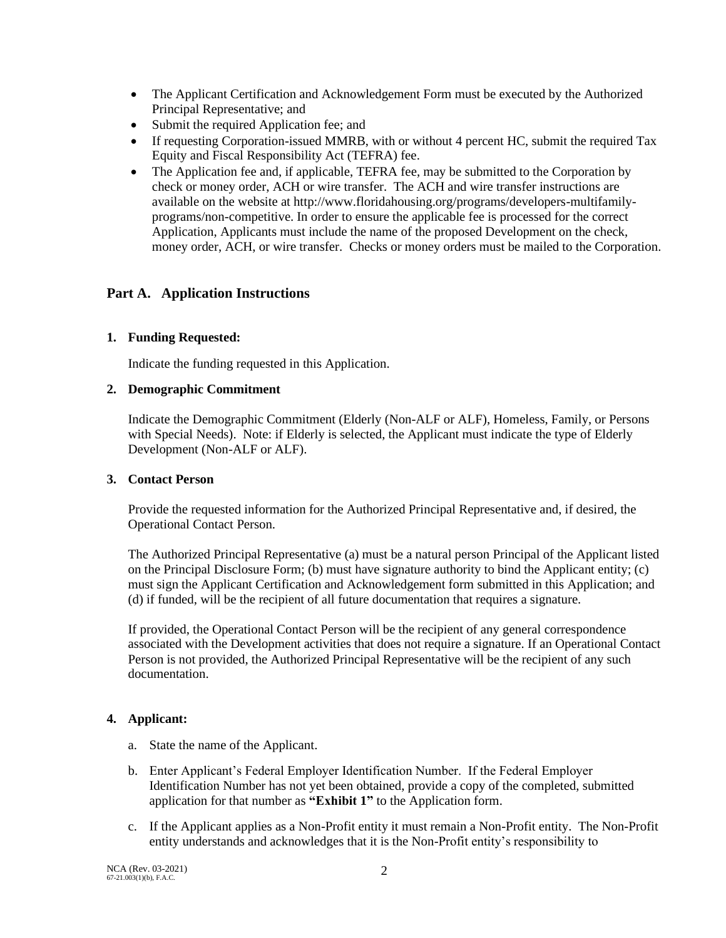- The Applicant Certification and Acknowledgement Form must be executed by the Authorized Principal Representative; and
- Submit the required Application fee; and
- If requesting Corporation-issued MMRB, with or without 4 percent HC, submit the required Tax Equity and Fiscal Responsibility Act (TEFRA) fee.
- The Application fee and, if applicable, TEFRA fee, may be submitted to the Corporation by check or money order, ACH or wire transfer. The ACH and wire transfer instructions are available on the website at http://www.floridahousing.org/programs/developers-multifamilyprograms/non-competitive. In order to ensure the applicable fee is processed for the correct Application, Applicants must include the name of the proposed Development on the check, money order, ACH, or wire transfer. Checks or money orders must be mailed to the Corporation.

# **Part A. Application Instructions**

# **1. Funding Requested:**

Indicate the funding requested in this Application.

### **2. Demographic Commitment**

Indicate the Demographic Commitment (Elderly (Non-ALF or ALF), Homeless, Family, or Persons with Special Needs). Note: if Elderly is selected, the Applicant must indicate the type of Elderly Development (Non-ALF or ALF).

# **3. Contact Person**

Provide the requested information for the Authorized Principal Representative and, if desired, the Operational Contact Person.

The Authorized Principal Representative (a) must be a natural person Principal of the Applicant listed on the Principal Disclosure Form; (b) must have signature authority to bind the Applicant entity; (c) must sign the Applicant Certification and Acknowledgement form submitted in this Application; and (d) if funded, will be the recipient of all future documentation that requires a signature.

If provided, the Operational Contact Person will be the recipient of any general correspondence associated with the Development activities that does not require a signature. If an Operational Contact Person is not provided, the Authorized Principal Representative will be the recipient of any such documentation.

# **4. Applicant:**

- a. State the name of the Applicant.
- b. Enter Applicant's Federal Employer Identification Number. If the Federal Employer Identification Number has not yet been obtained, provide a copy of the completed, submitted application for that number as **"Exhibit 1"** to the Application form.
- c. If the Applicant applies as a Non-Profit entity it must remain a Non-Profit entity. The Non-Profit entity understands and acknowledges that it is the Non-Profit entity's responsibility to

NCA (Rev. 03-2021) 67-21.003(1)(b), F.A.C.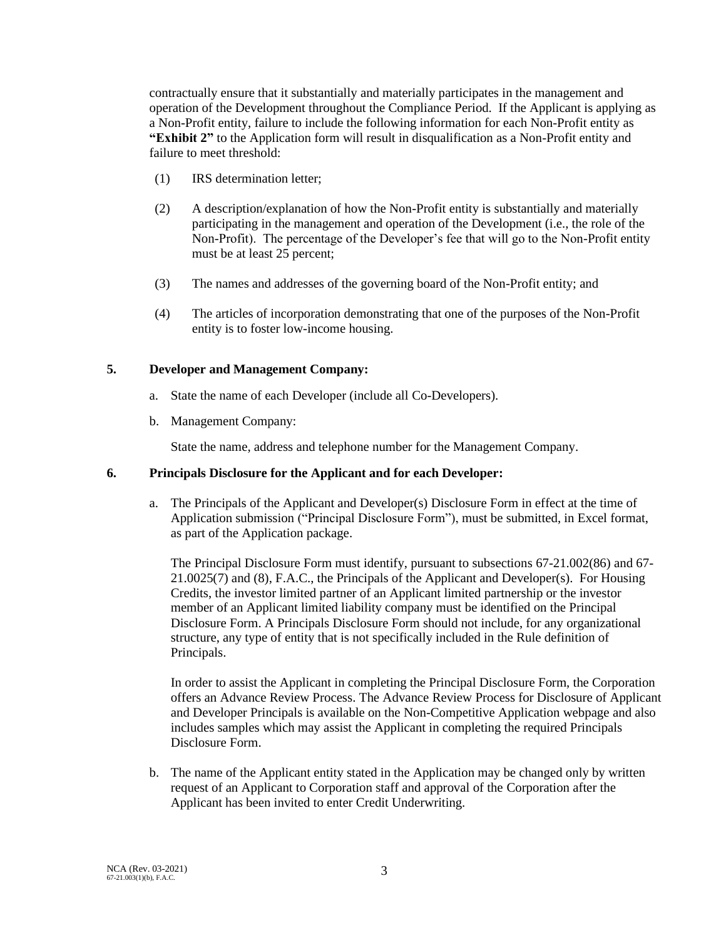contractually ensure that it substantially and materially participates in the management and operation of the Development throughout the Compliance Period. If the Applicant is applying as a Non-Profit entity, failure to include the following information for each Non-Profit entity as **"Exhibit 2"** to the Application form will result in disqualification as a Non-Profit entity and failure to meet threshold:

- (1) IRS determination letter;
- (2) A description/explanation of how the Non-Profit entity is substantially and materially participating in the management and operation of the Development (i.e., the role of the Non-Profit). The percentage of the Developer's fee that will go to the Non-Profit entity must be at least 25 percent;
- (3) The names and addresses of the governing board of the Non-Profit entity; and
- (4) The articles of incorporation demonstrating that one of the purposes of the Non-Profit entity is to foster low-income housing.

# **5. Developer and Management Company:**

- a. State the name of each Developer (include all Co-Developers).
- b. Management Company:

State the name, address and telephone number for the Management Company.

# **6. Principals Disclosure for the Applicant and for each Developer:**

a. The Principals of the Applicant and Developer(s) Disclosure Form in effect at the time of Application submission ("Principal Disclosure Form"), must be submitted, in Excel format, as part of the Application package.

The Principal Disclosure Form must identify, pursuant to subsections 67-21.002(86) and 67- 21.0025(7) and (8), F.A.C., the Principals of the Applicant and Developer(s). For Housing Credits, the investor limited partner of an Applicant limited partnership or the investor member of an Applicant limited liability company must be identified on the Principal Disclosure Form. A Principals Disclosure Form should not include, for any organizational structure, any type of entity that is not specifically included in the Rule definition of Principals.

In order to assist the Applicant in completing the Principal Disclosure Form, the Corporation offers an Advance Review Process. The Advance Review Process for Disclosure of Applicant and Developer Principals is available on the Non-Competitive Application webpage and also includes samples which may assist the Applicant in completing the required Principals Disclosure Form.

b. The name of the Applicant entity stated in the Application may be changed only by written request of an Applicant to Corporation staff and approval of the Corporation after the Applicant has been invited to enter Credit Underwriting.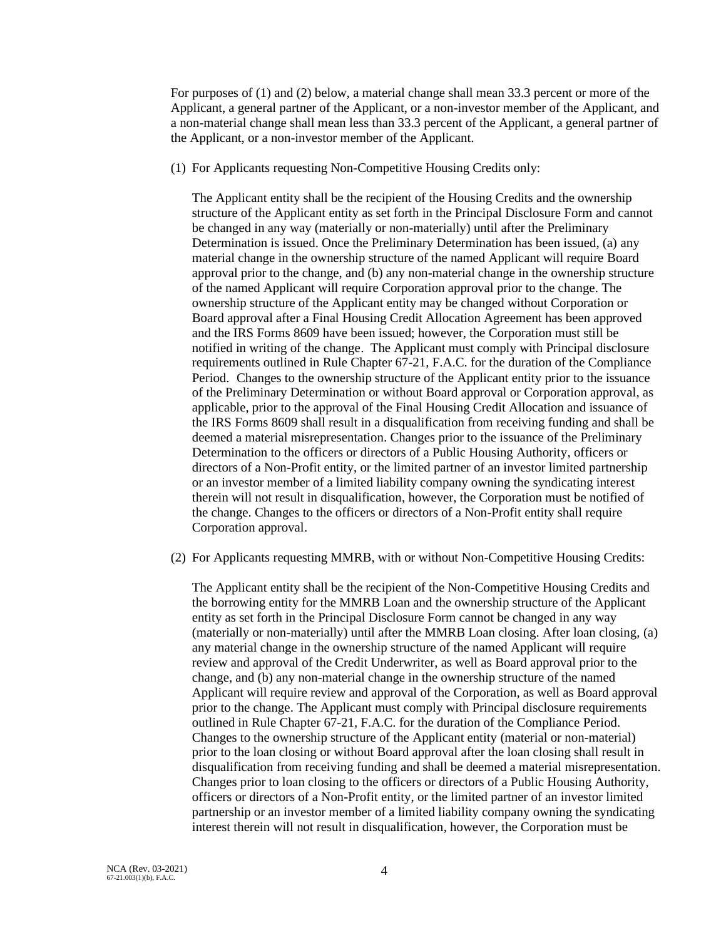For purposes of (1) and (2) below, a material change shall mean 33.3 percent or more of the Applicant, a general partner of the Applicant, or a non-investor member of the Applicant, and a non-material change shall mean less than 33.3 percent of the Applicant, a general partner of the Applicant, or a non-investor member of the Applicant.

(1) For Applicants requesting Non-Competitive Housing Credits only:

The Applicant entity shall be the recipient of the Housing Credits and the ownership structure of the Applicant entity as set forth in the Principal Disclosure Form and cannot be changed in any way (materially or non-materially) until after the Preliminary Determination is issued. Once the Preliminary Determination has been issued, (a) any material change in the ownership structure of the named Applicant will require Board approval prior to the change, and (b) any non-material change in the ownership structure of the named Applicant will require Corporation approval prior to the change. The ownership structure of the Applicant entity may be changed without Corporation or Board approval after a Final Housing Credit Allocation Agreement has been approved and the IRS Forms 8609 have been issued; however, the Corporation must still be notified in writing of the change. The Applicant must comply with Principal disclosure requirements outlined in Rule Chapter 67-21, F.A.C. for the duration of the Compliance Period. Changes to the ownership structure of the Applicant entity prior to the issuance of the Preliminary Determination or without Board approval or Corporation approval, as applicable, prior to the approval of the Final Housing Credit Allocation and issuance of the IRS Forms 8609 shall result in a disqualification from receiving funding and shall be deemed a material misrepresentation. Changes prior to the issuance of the Preliminary Determination to the officers or directors of a Public Housing Authority, officers or directors of a Non-Profit entity, or the limited partner of an investor limited partnership or an investor member of a limited liability company owning the syndicating interest therein will not result in disqualification, however, the Corporation must be notified of the change. Changes to the officers or directors of a Non-Profit entity shall require Corporation approval.

(2) For Applicants requesting MMRB, with or without Non-Competitive Housing Credits:

The Applicant entity shall be the recipient of the Non-Competitive Housing Credits and the borrowing entity for the MMRB Loan and the ownership structure of the Applicant entity as set forth in the Principal Disclosure Form cannot be changed in any way (materially or non-materially) until after the MMRB Loan closing. After loan closing, (a) any material change in the ownership structure of the named Applicant will require review and approval of the Credit Underwriter, as well as Board approval prior to the change, and (b) any non-material change in the ownership structure of the named Applicant will require review and approval of the Corporation, as well as Board approval prior to the change. The Applicant must comply with Principal disclosure requirements outlined in Rule Chapter 67-21, F.A.C. for the duration of the Compliance Period. Changes to the ownership structure of the Applicant entity (material or non-material) prior to the loan closing or without Board approval after the loan closing shall result in disqualification from receiving funding and shall be deemed a material misrepresentation. Changes prior to loan closing to the officers or directors of a Public Housing Authority, officers or directors of a Non-Profit entity, or the limited partner of an investor limited partnership or an investor member of a limited liability company owning the syndicating interest therein will not result in disqualification, however, the Corporation must be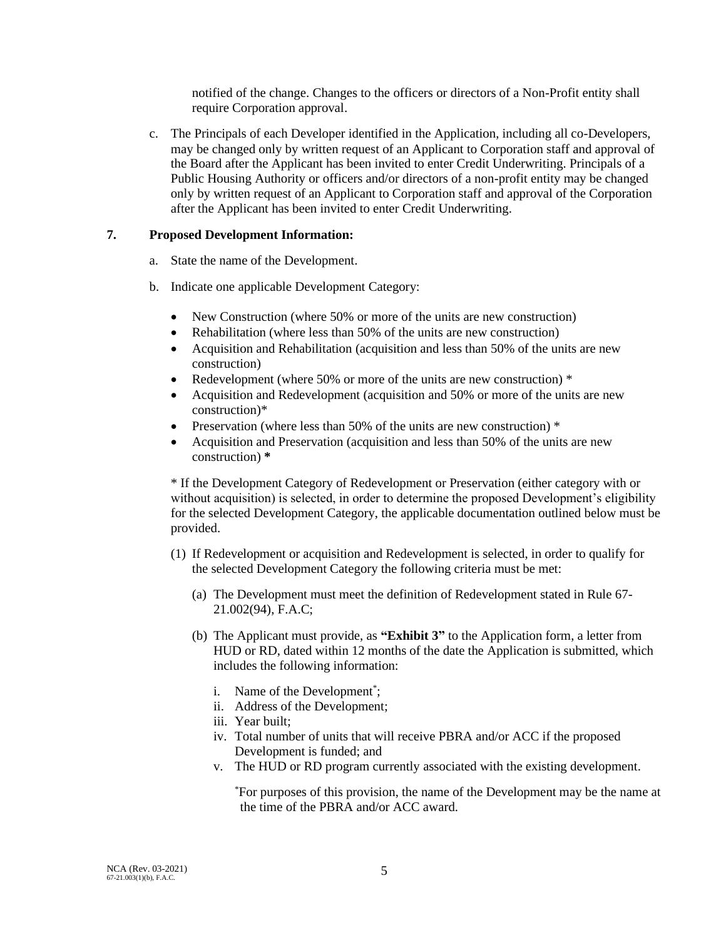notified of the change. Changes to the officers or directors of a Non-Profit entity shall require Corporation approval.

c. The Principals of each Developer identified in the Application, including all co-Developers, may be changed only by written request of an Applicant to Corporation staff and approval of the Board after the Applicant has been invited to enter Credit Underwriting. Principals of a Public Housing Authority or officers and/or directors of a non-profit entity may be changed only by written request of an Applicant to Corporation staff and approval of the Corporation after the Applicant has been invited to enter Credit Underwriting.

## **7. Proposed Development Information:**

a. State the name of the Development.

- b. Indicate one applicable Development Category:
	- New Construction (where 50% or more of the units are new construction)
	- Rehabilitation (where less than 50% of the units are new construction)
	- Acquisition and Rehabilitation (acquisition and less than 50% of the units are new construction)
	- Redevelopment (where 50% or more of the units are new construction)  $*$
	- Acquisition and Redevelopment (acquisition and 50% or more of the units are new construction)\*
	- Preservation (where less than 50% of the units are new construction)  $*$
	- Acquisition and Preservation (acquisition and less than 50% of the units are new construction) **\***

\* If the Development Category of Redevelopment or Preservation (either category with or without acquisition) is selected, in order to determine the proposed Development's eligibility for the selected Development Category, the applicable documentation outlined below must be provided.

- (1) If Redevelopment or acquisition and Redevelopment is selected, in order to qualify for the selected Development Category the following criteria must be met:
	- (a) The Development must meet the definition of Redevelopment stated in Rule 67- 21.002(94), F.A.C;
	- (b) The Applicant must provide, as **"Exhibit 3"** to the Application form, a letter from HUD or RD, dated within 12 months of the date the Application is submitted, which includes the following information:
		- i. Name of the Development<sup>\*</sup>;
		- ii. Address of the Development;
		- iii. Year built;
		- iv. Total number of units that will receive PBRA and/or ACC if the proposed Development is funded; and
		- v. The HUD or RD program currently associated with the existing development.

\*For purposes of this provision, the name of the Development may be the name at the time of the PBRA and/or ACC award.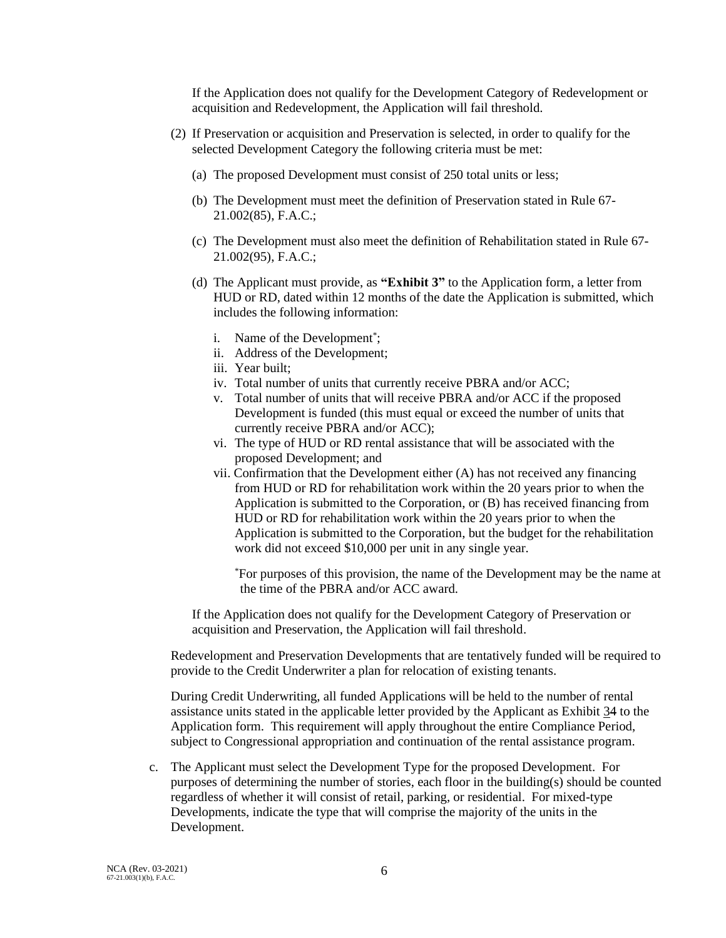If the Application does not qualify for the Development Category of Redevelopment or acquisition and Redevelopment, the Application will fail threshold.

- (2) If Preservation or acquisition and Preservation is selected, in order to qualify for the selected Development Category the following criteria must be met:
	- (a) The proposed Development must consist of 250 total units or less;
	- (b) The Development must meet the definition of Preservation stated in Rule 67- 21.002(85), F.A.C.;
	- (c) The Development must also meet the definition of Rehabilitation stated in Rule 67- 21.002(95), F.A.C.;
	- (d) The Applicant must provide, as **"Exhibit 3"** to the Application form, a letter from HUD or RD, dated within 12 months of the date the Application is submitted, which includes the following information:
		- i. Name of the Development<sup>\*</sup>;
		- ii. Address of the Development;
		- iii. Year built;
		- iv. Total number of units that currently receive PBRA and/or ACC;
		- v. Total number of units that will receive PBRA and/or ACC if the proposed Development is funded (this must equal or exceed the number of units that currently receive PBRA and/or ACC);
		- vi. The type of HUD or RD rental assistance that will be associated with the proposed Development; and
		- vii. Confirmation that the Development either (A) has not received any financing from HUD or RD for rehabilitation work within the 20 years prior to when the Application is submitted to the Corporation, or (B) has received financing from HUD or RD for rehabilitation work within the 20 years prior to when the Application is submitted to the Corporation, but the budget for the rehabilitation work did not exceed \$10,000 per unit in any single year.

\*For purposes of this provision, the name of the Development may be the name at the time of the PBRA and/or ACC award.

If the Application does not qualify for the Development Category of Preservation or acquisition and Preservation, the Application will fail threshold.

Redevelopment and Preservation Developments that are tentatively funded will be required to provide to the Credit Underwriter a plan for relocation of existing tenants.

During Credit Underwriting, all funded Applications will be held to the number of rental assistance units stated in the applicable letter provided by the Applicant as Exhibit 34 to the Application form. This requirement will apply throughout the entire Compliance Period, subject to Congressional appropriation and continuation of the rental assistance program.

c. The Applicant must select the Development Type for the proposed Development. For purposes of determining the number of stories, each floor in the building(s) should be counted regardless of whether it will consist of retail, parking, or residential. For mixed-type Developments, indicate the type that will comprise the majority of the units in the Development.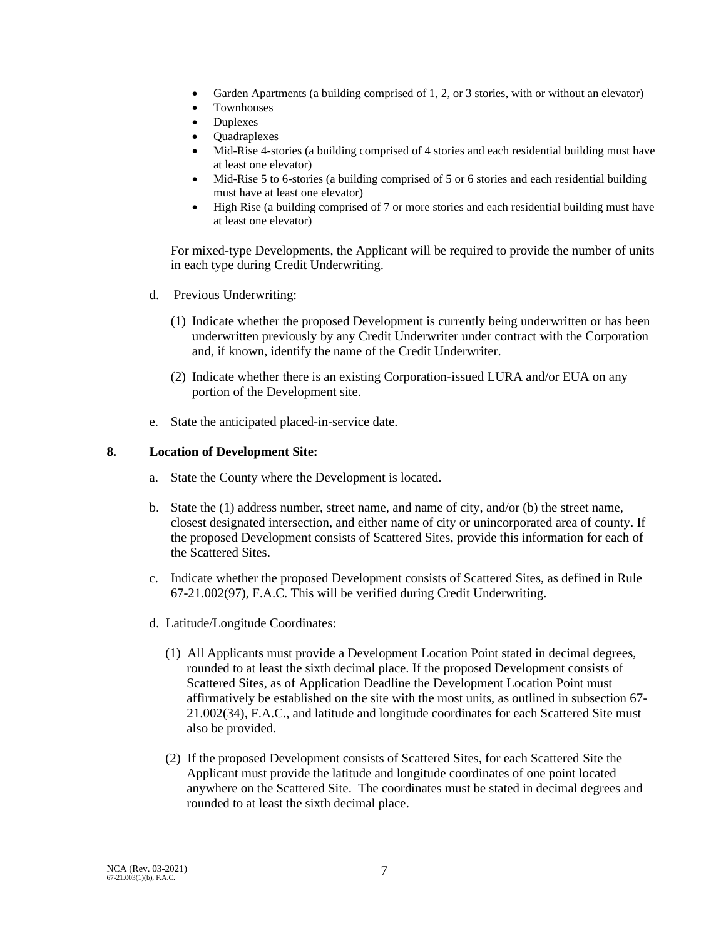- Garden Apartments (a building comprised of 1, 2, or 3 stories, with or without an elevator)
- Townhouses
- Duplexes
- Quadraplexes
- Mid-Rise 4-stories (a building comprised of 4 stories and each residential building must have at least one elevator)
- Mid-Rise 5 to 6-stories (a building comprised of 5 or 6 stories and each residential building must have at least one elevator)
- High Rise (a building comprised of 7 or more stories and each residential building must have at least one elevator)

For mixed-type Developments, the Applicant will be required to provide the number of units in each type during Credit Underwriting.

- d. Previous Underwriting:
	- (1) Indicate whether the proposed Development is currently being underwritten or has been underwritten previously by any Credit Underwriter under contract with the Corporation and, if known, identify the name of the Credit Underwriter.
	- (2) Indicate whether there is an existing Corporation-issued LURA and/or EUA on any portion of the Development site.
- e. State the anticipated placed-in-service date.

## **8. Location of Development Site:**

- a. State the County where the Development is located.
- b. State the (1) address number, street name, and name of city, and/or (b) the street name, closest designated intersection, and either name of city or unincorporated area of county. If the proposed Development consists of Scattered Sites, provide this information for each of the Scattered Sites.
- c. Indicate whether the proposed Development consists of Scattered Sites, as defined in Rule 67-21.002(97), F.A.C. This will be verified during Credit Underwriting.
- d. Latitude/Longitude Coordinates:
	- (1) All Applicants must provide a Development Location Point stated in decimal degrees, rounded to at least the sixth decimal place. If the proposed Development consists of Scattered Sites, as of Application Deadline the Development Location Point must affirmatively be established on the site with the most units, as outlined in subsection 67- 21.002(34), F.A.C., and latitude and longitude coordinates for each Scattered Site must also be provided.
	- (2) If the proposed Development consists of Scattered Sites, for each Scattered Site the Applicant must provide the latitude and longitude coordinates of one point located anywhere on the Scattered Site. The coordinates must be stated in decimal degrees and rounded to at least the sixth decimal place.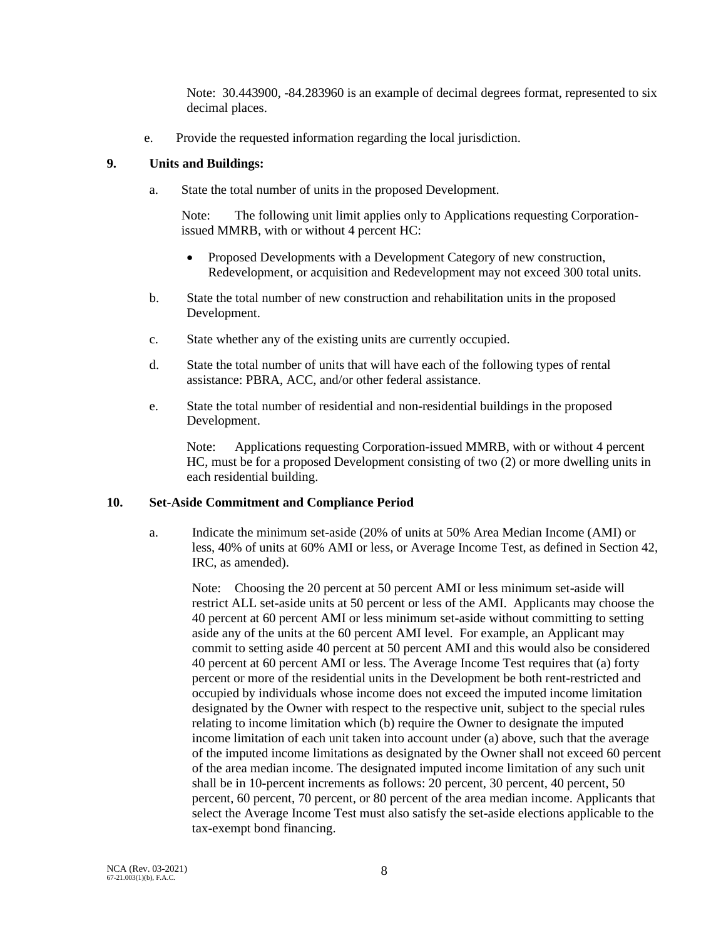Note: 30.443900, -84.283960 is an example of decimal degrees format, represented to six decimal places.

e. Provide the requested information regarding the local jurisdiction.

# **9. Units and Buildings:**

a. State the total number of units in the proposed Development.

Note: The following unit limit applies only to Applications requesting Corporationissued MMRB, with or without 4 percent HC:

- Proposed Developments with a Development Category of new construction, Redevelopment, or acquisition and Redevelopment may not exceed 300 total units.
- b. State the total number of new construction and rehabilitation units in the proposed Development.
- c. State whether any of the existing units are currently occupied.
- d. State the total number of units that will have each of the following types of rental assistance: PBRA, ACC, and/or other federal assistance.
- e. State the total number of residential and non-residential buildings in the proposed Development.

Note: Applications requesting Corporation-issued MMRB, with or without 4 percent HC, must be for a proposed Development consisting of two (2) or more dwelling units in each residential building.

# **10. Set-Aside Commitment and Compliance Period**

a. Indicate the minimum set-aside (20% of units at 50% Area Median Income (AMI) or less, 40% of units at 60% AMI or less, or Average Income Test, as defined in Section 42, IRC, as amended).

Note: Choosing the 20 percent at 50 percent AMI or less minimum set-aside will restrict ALL set-aside units at 50 percent or less of the AMI. Applicants may choose the 40 percent at 60 percent AMI or less minimum set-aside without committing to setting aside any of the units at the 60 percent AMI level. For example, an Applicant may commit to setting aside 40 percent at 50 percent AMI and this would also be considered 40 percent at 60 percent AMI or less. The Average Income Test requires that (a) forty percent or more of the residential units in the Development be both rent-restricted and occupied by individuals whose income does not exceed the imputed income limitation designated by the Owner with respect to the respective unit, subject to the special rules relating to income limitation which (b) require the Owner to designate the imputed income limitation of each unit taken into account under (a) above, such that the average of the imputed income limitations as designated by the Owner shall not exceed 60 percent of the area median income. The designated imputed income limitation of any such unit shall be in 10-percent increments as follows: 20 percent, 30 percent, 40 percent, 50 percent, 60 percent, 70 percent, or 80 percent of the area median income. Applicants that select the Average Income Test must also satisfy the set-aside elections applicable to the tax-exempt bond financing.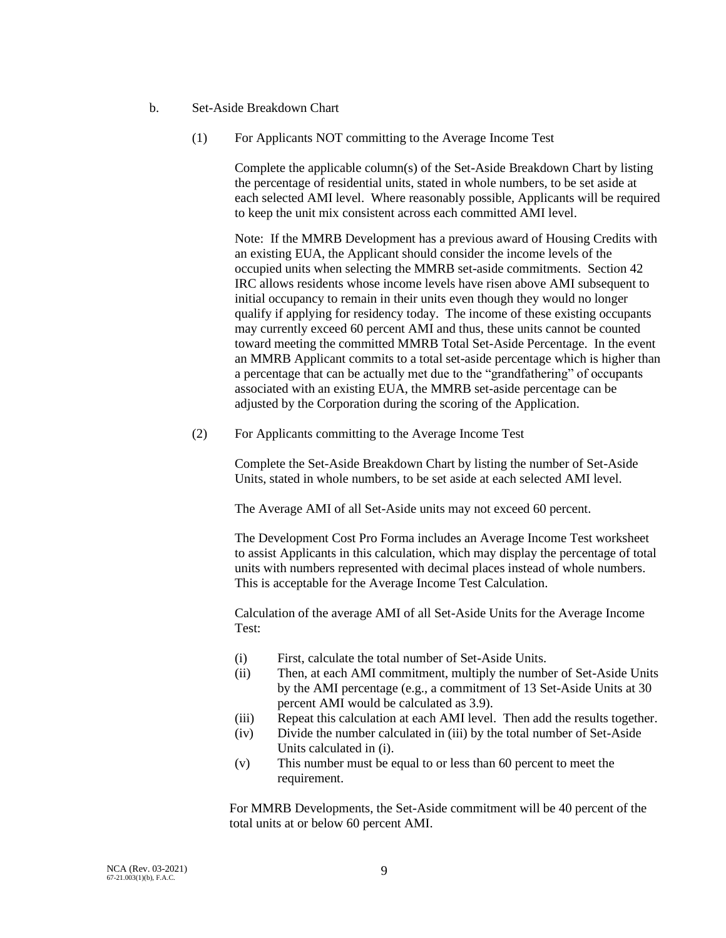- b. Set-Aside Breakdown Chart
	- (1) For Applicants NOT committing to the Average Income Test

Complete the applicable column(s) of the Set-Aside Breakdown Chart by listing the percentage of residential units, stated in whole numbers, to be set aside at each selected AMI level. Where reasonably possible, Applicants will be required to keep the unit mix consistent across each committed AMI level.

Note: If the MMRB Development has a previous award of Housing Credits with an existing EUA, the Applicant should consider the income levels of the occupied units when selecting the MMRB set-aside commitments. Section 42 IRC allows residents whose income levels have risen above AMI subsequent to initial occupancy to remain in their units even though they would no longer qualify if applying for residency today. The income of these existing occupants may currently exceed 60 percent AMI and thus, these units cannot be counted toward meeting the committed MMRB Total Set-Aside Percentage. In the event an MMRB Applicant commits to a total set-aside percentage which is higher than a percentage that can be actually met due to the "grandfathering" of occupants associated with an existing EUA, the MMRB set-aside percentage can be adjusted by the Corporation during the scoring of the Application.

(2) For Applicants committing to the Average Income Test

Complete the Set-Aside Breakdown Chart by listing the number of Set-Aside Units, stated in whole numbers, to be set aside at each selected AMI level.

The Average AMI of all Set-Aside units may not exceed 60 percent.

The Development Cost Pro Forma includes an Average Income Test worksheet to assist Applicants in this calculation, which may display the percentage of total units with numbers represented with decimal places instead of whole numbers. This is acceptable for the Average Income Test Calculation.

Calculation of the average AMI of all Set-Aside Units for the Average Income Test:

- (i) First, calculate the total number of Set-Aside Units.
- (ii) Then, at each AMI commitment, multiply the number of Set-Aside Units by the AMI percentage (e.g., a commitment of 13 Set-Aside Units at 30 percent AMI would be calculated as 3.9).
- (iii) Repeat this calculation at each AMI level. Then add the results together.
- (iv) Divide the number calculated in (iii) by the total number of Set-Aside Units calculated in (i).
- (v) This number must be equal to or less than 60 percent to meet the requirement.

For MMRB Developments, the Set-Aside commitment will be 40 percent of the total units at or below 60 percent AMI.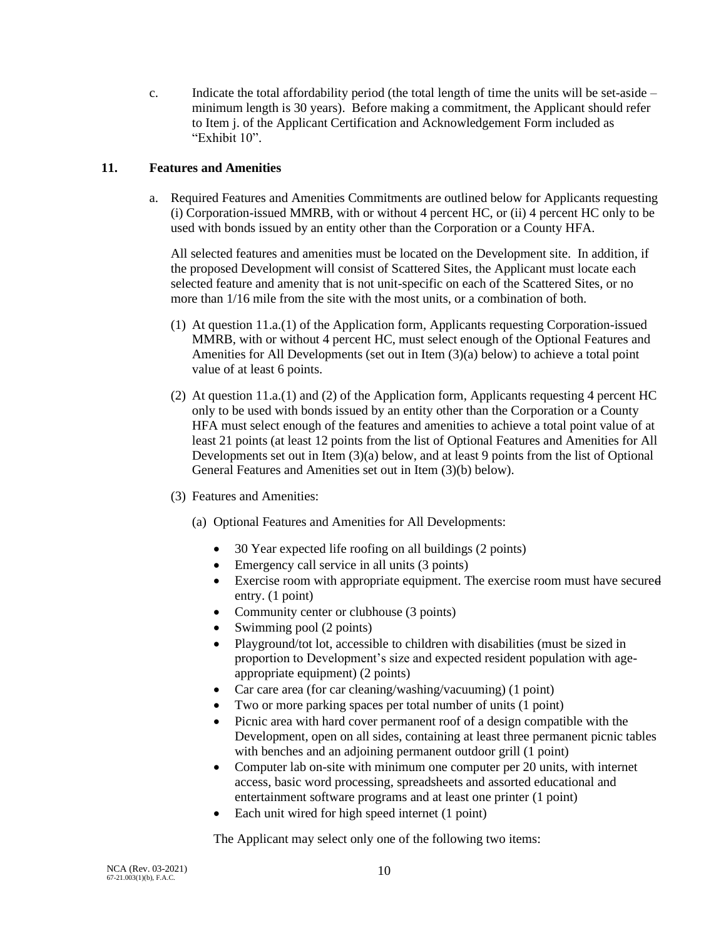c. Indicate the total affordability period (the total length of time the units will be set-aside  $$ minimum length is 30 years). Before making a commitment, the Applicant should refer to Item j. of the Applicant Certification and Acknowledgement Form included as "Exhibit 10".

# **11. Features and Amenities**

a. Required Features and Amenities Commitments are outlined below for Applicants requesting (i) Corporation-issued MMRB, with or without 4 percent HC, or (ii) 4 percent HC only to be used with bonds issued by an entity other than the Corporation or a County HFA.

All selected features and amenities must be located on the Development site. In addition, if the proposed Development will consist of Scattered Sites, the Applicant must locate each selected feature and amenity that is not unit-specific on each of the Scattered Sites, or no more than 1/16 mile from the site with the most units, or a combination of both.

- (1) At question 11.a.(1) of the Application form, Applicants requesting Corporation-issued MMRB, with or without 4 percent HC, must select enough of the Optional Features and Amenities for All Developments (set out in Item (3)(a) below) to achieve a total point value of at least 6 points.
- (2) At question 11.a.(1) and (2) of the Application form, Applicants requesting 4 percent HC only to be used with bonds issued by an entity other than the Corporation or a County HFA must select enough of the features and amenities to achieve a total point value of at least 21 points (at least 12 points from the list of Optional Features and Amenities for All Developments set out in Item  $(3)(a)$  below, and at least 9 points from the list of Optional General Features and Amenities set out in Item (3)(b) below).
- (3) Features and Amenities:
	- (a) Optional Features and Amenities for All Developments:
		- 30 Year expected life roofing on all buildings (2 points)
		- Emergency call service in all units (3 points)
		- Exercise room with appropriate equipment. The exercise room must have secured entry. (1 point)
		- Community center or clubhouse (3 points)
		- Swimming pool (2 points)
		- Playground/tot lot, accessible to children with disabilities (must be sized in proportion to Development's size and expected resident population with ageappropriate equipment) (2 points)
		- Car care area (for car cleaning/washing/vacuuming) (1 point)
		- Two or more parking spaces per total number of units (1 point)
		- Picnic area with hard cover permanent roof of a design compatible with the Development, open on all sides, containing at least three permanent picnic tables with benches and an adjoining permanent outdoor grill (1 point)
		- Computer lab on-site with minimum one computer per 20 units, with internet access, basic word processing, spreadsheets and assorted educational and entertainment software programs and at least one printer (1 point)
		- Each unit wired for high speed internet (1 point)

The Applicant may select only one of the following two items: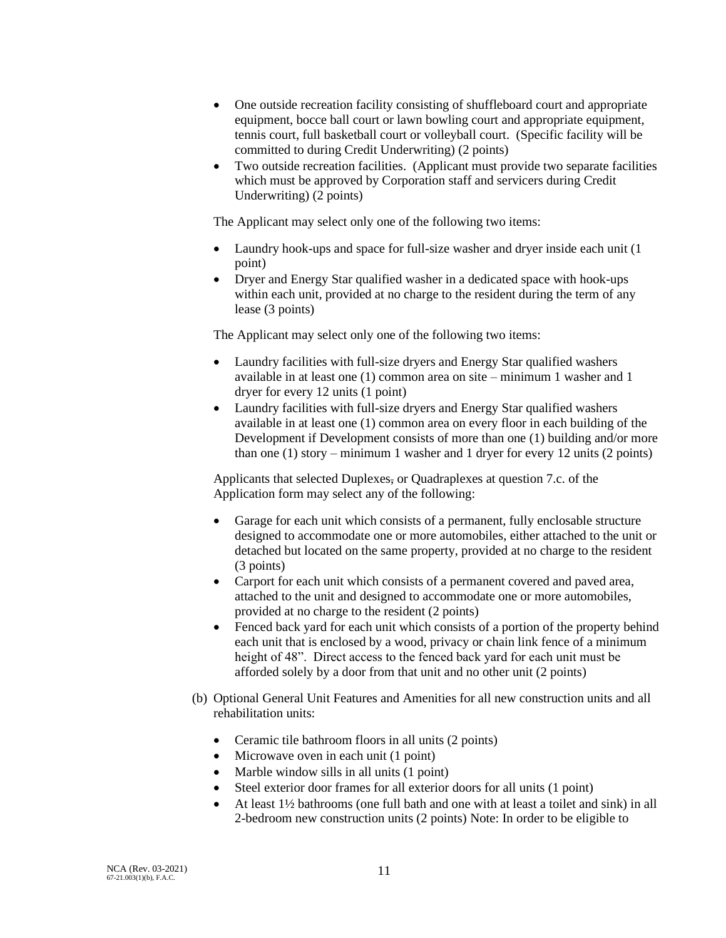- One outside recreation facility consisting of shuffleboard court and appropriate equipment, bocce ball court or lawn bowling court and appropriate equipment, tennis court, full basketball court or volleyball court. (Specific facility will be committed to during Credit Underwriting) (2 points)
- Two outside recreation facilities. (Applicant must provide two separate facilities which must be approved by Corporation staff and servicers during Credit Underwriting) (2 points)

The Applicant may select only one of the following two items:

- Laundry hook-ups and space for full-size washer and dryer inside each unit (1) point)
- Dryer and Energy Star qualified washer in a dedicated space with hook-ups within each unit, provided at no charge to the resident during the term of any lease (3 points)

The Applicant may select only one of the following two items:

- Laundry facilities with full-size dryers and Energy Star qualified washers available in at least one (1) common area on site – minimum 1 washer and 1 dryer for every 12 units (1 point)
- Laundry facilities with full-size dryers and Energy Star qualified washers available in at least one (1) common area on every floor in each building of the Development if Development consists of more than one (1) building and/or more than one (1) story – minimum 1 washer and 1 dryer for every 12 units (2 points)

Applicants that selected Duplexes, or Quadraplexes at question 7.c. of the Application form may select any of the following:

- Garage for each unit which consists of a permanent, fully enclosable structure designed to accommodate one or more automobiles, either attached to the unit or detached but located on the same property, provided at no charge to the resident (3 points)
- Carport for each unit which consists of a permanent covered and paved area, attached to the unit and designed to accommodate one or more automobiles, provided at no charge to the resident (2 points)
- Fenced back yard for each unit which consists of a portion of the property behind each unit that is enclosed by a wood, privacy or chain link fence of a minimum height of 48". Direct access to the fenced back yard for each unit must be afforded solely by a door from that unit and no other unit (2 points)
- (b) Optional General Unit Features and Amenities for all new construction units and all rehabilitation units:
	- Ceramic tile bathroom floors in all units (2 points)
	- Microwave oven in each unit (1 point)
	- Marble window sills in all units (1 point)
	- Steel exterior door frames for all exterior doors for all units (1 point)
	- At least 1½ bathrooms (one full bath and one with at least a toilet and sink) in all 2-bedroom new construction units (2 points) Note: In order to be eligible to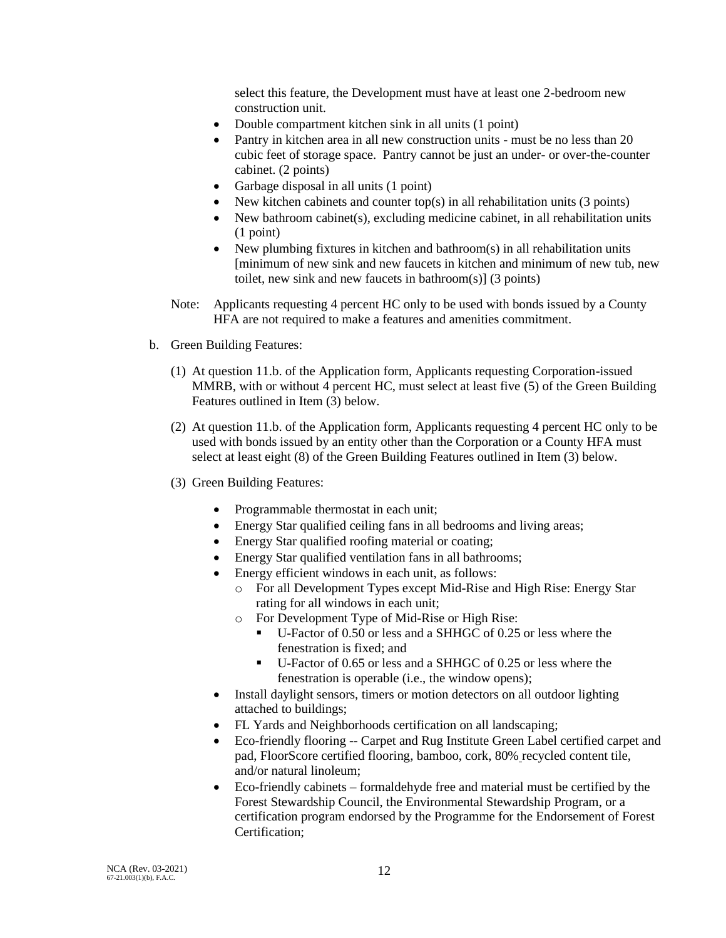select this feature, the Development must have at least one 2-bedroom new construction unit.

- Double compartment kitchen sink in all units (1 point)
- Pantry in kitchen area in all new construction units must be no less than 20 cubic feet of storage space. Pantry cannot be just an under- or over-the-counter cabinet. (2 points)
- Garbage disposal in all units (1 point)
- New kitchen cabinets and counter top(s) in all rehabilitation units (3 points)
- New bathroom cabinet(s), excluding medicine cabinet, in all rehabilitation units (1 point)
- New plumbing fixtures in kitchen and bathroom(s) in all rehabilitation units [minimum of new sink and new faucets in kitchen and minimum of new tub, new toilet, new sink and new faucets in bathroom(s)] (3 points)
- Note: Applicants requesting 4 percent HC only to be used with bonds issued by a County HFA are not required to make a features and amenities commitment.
- b. Green Building Features:
	- (1) At question 11.b. of the Application form, Applicants requesting Corporation-issued MMRB, with or without 4 percent HC, must select at least five (5) of the Green Building Features outlined in Item (3) below.
	- (2) At question 11.b. of the Application form, Applicants requesting 4 percent HC only to be used with bonds issued by an entity other than the Corporation or a County HFA must select at least eight (8) of the Green Building Features outlined in Item (3) below.
	- (3) Green Building Features:
		- Programmable thermostat in each unit;
		- Energy Star qualified ceiling fans in all bedrooms and living areas;
		- Energy Star qualified roofing material or coating;
		- Energy Star qualified ventilation fans in all bathrooms;
		- Energy efficient windows in each unit, as follows:
			- o For all Development Types except Mid-Rise and High Rise: Energy Star rating for all windows in each unit;
			- o For Development Type of Mid-Rise or High Rise:
				- U-Factor of 0.50 or less and a SHHGC of 0.25 or less where the fenestration is fixed; and
				- U-Factor of 0.65 or less and a SHHGC of 0.25 or less where the fenestration is operable (i.e., the window opens);
		- Install daylight sensors, timers or motion detectors on all outdoor lighting attached to buildings;
		- FL Yards and Neighborhoods certification on all landscaping;
		- Eco-friendly flooring -- Carpet and Rug Institute Green Label certified carpet and pad, FloorScore certified flooring, bamboo, cork, 80% recycled content tile, and/or natural linoleum;
		- Eco-friendly cabinets formaldehyde free and material must be certified by the Forest Stewardship Council, the Environmental Stewardship Program, or a certification program endorsed by the Programme for the Endorsement of Forest Certification;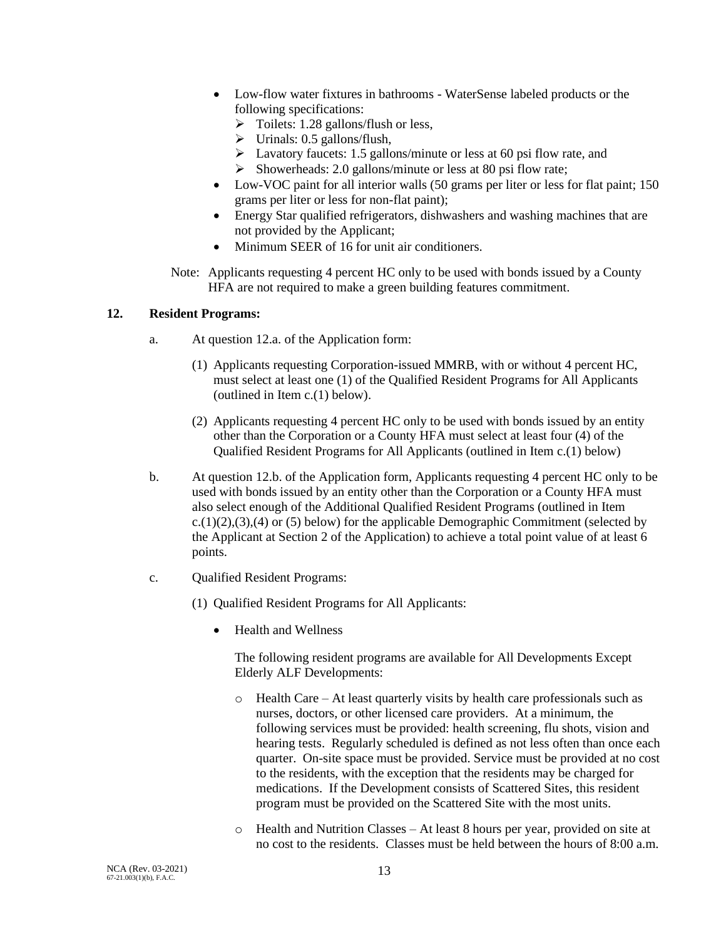- Low-flow water fixtures in bathrooms WaterSense labeled products or the following specifications:
	- $\triangleright$  Toilets: 1.28 gallons/flush or less,
	- $\triangleright$  Urinals: 0.5 gallons/flush,
	- ➢ Lavatory faucets: 1.5 gallons/minute or less at 60 psi flow rate, and
	- ➢ Showerheads: 2.0 gallons/minute or less at 80 psi flow rate;
- Low-VOC paint for all interior walls (50 grams per liter or less for flat paint; 150 grams per liter or less for non-flat paint);
- Energy Star qualified refrigerators, dishwashers and washing machines that are not provided by the Applicant;
- Minimum SEER of 16 for unit air conditioners.
- Note: Applicants requesting 4 percent HC only to be used with bonds issued by a County HFA are not required to make a green building features commitment.

# **12. Resident Programs:**

- a. At question 12.a. of the Application form:
	- (1) Applicants requesting Corporation-issued MMRB, with or without 4 percent HC, must select at least one (1) of the Qualified Resident Programs for All Applicants (outlined in Item c.(1) below).
	- (2) Applicants requesting 4 percent HC only to be used with bonds issued by an entity other than the Corporation or a County HFA must select at least four (4) of the Qualified Resident Programs for All Applicants (outlined in Item c.(1) below)
- b. At question 12.b. of the Application form, Applicants requesting 4 percent HC only to be used with bonds issued by an entity other than the Corporation or a County HFA must also select enough of the Additional Qualified Resident Programs (outlined in Item  $c.(1)(2),(3),(4)$  or (5) below) for the applicable Demographic Commitment (selected by the Applicant at Section 2 of the Application) to achieve a total point value of at least 6 points.
- c. Qualified Resident Programs:
	- (1) Qualified Resident Programs for All Applicants:
		- Health and Wellness

The following resident programs are available for All Developments Except Elderly ALF Developments:

- o Health Care At least quarterly visits by health care professionals such as nurses, doctors, or other licensed care providers. At a minimum, the following services must be provided: health screening, flu shots, vision and hearing tests. Regularly scheduled is defined as not less often than once each quarter. On-site space must be provided. Service must be provided at no cost to the residents, with the exception that the residents may be charged for medications. If the Development consists of Scattered Sites, this resident program must be provided on the Scattered Site with the most units.
- o Health and Nutrition Classes At least 8 hours per year, provided on site at no cost to the residents. Classes must be held between the hours of 8:00 a.m.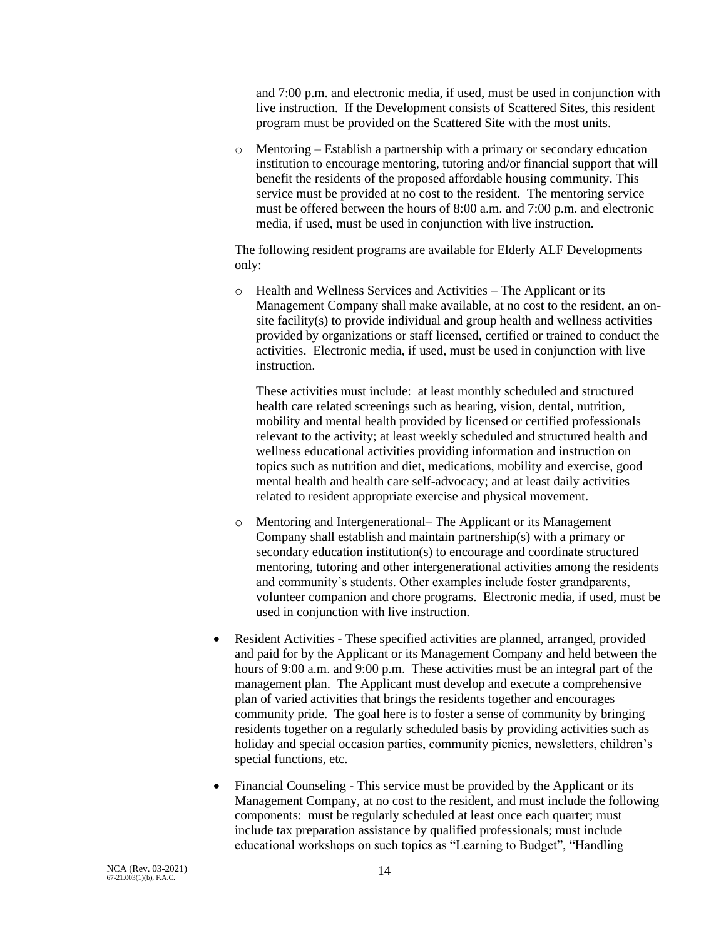and 7:00 p.m. and electronic media, if used, must be used in conjunction with live instruction. If the Development consists of Scattered Sites, this resident program must be provided on the Scattered Site with the most units.

o Mentoring – Establish a partnership with a primary or secondary education institution to encourage mentoring, tutoring and/or financial support that will benefit the residents of the proposed affordable housing community. This service must be provided at no cost to the resident. The mentoring service must be offered between the hours of 8:00 a.m. and 7:00 p.m. and electronic media, if used, must be used in conjunction with live instruction.

The following resident programs are available for Elderly ALF Developments only:

o Health and Wellness Services and Activities – The Applicant or its Management Company shall make available, at no cost to the resident, an onsite facility(s) to provide individual and group health and wellness activities provided by organizations or staff licensed, certified or trained to conduct the activities. Electronic media, if used, must be used in conjunction with live instruction.

These activities must include: at least monthly scheduled and structured health care related screenings such as hearing, vision, dental, nutrition, mobility and mental health provided by licensed or certified professionals relevant to the activity; at least weekly scheduled and structured health and wellness educational activities providing information and instruction on topics such as nutrition and diet, medications, mobility and exercise, good mental health and health care self-advocacy; and at least daily activities related to resident appropriate exercise and physical movement.

- o Mentoring and Intergenerational– The Applicant or its Management Company shall establish and maintain partnership(s) with a primary or secondary education institution(s) to encourage and coordinate structured mentoring, tutoring and other intergenerational activities among the residents and community's students. Other examples include foster grandparents, volunteer companion and chore programs. Electronic media, if used, must be used in conjunction with live instruction.
- Resident Activities These specified activities are planned, arranged, provided and paid for by the Applicant or its Management Company and held between the hours of 9:00 a.m. and 9:00 p.m. These activities must be an integral part of the management plan. The Applicant must develop and execute a comprehensive plan of varied activities that brings the residents together and encourages community pride. The goal here is to foster a sense of community by bringing residents together on a regularly scheduled basis by providing activities such as holiday and special occasion parties, community picnics, newsletters, children's special functions, etc.
- Financial Counseling This service must be provided by the Applicant or its Management Company, at no cost to the resident, and must include the following components: must be regularly scheduled at least once each quarter; must include tax preparation assistance by qualified professionals; must include educational workshops on such topics as "Learning to Budget", "Handling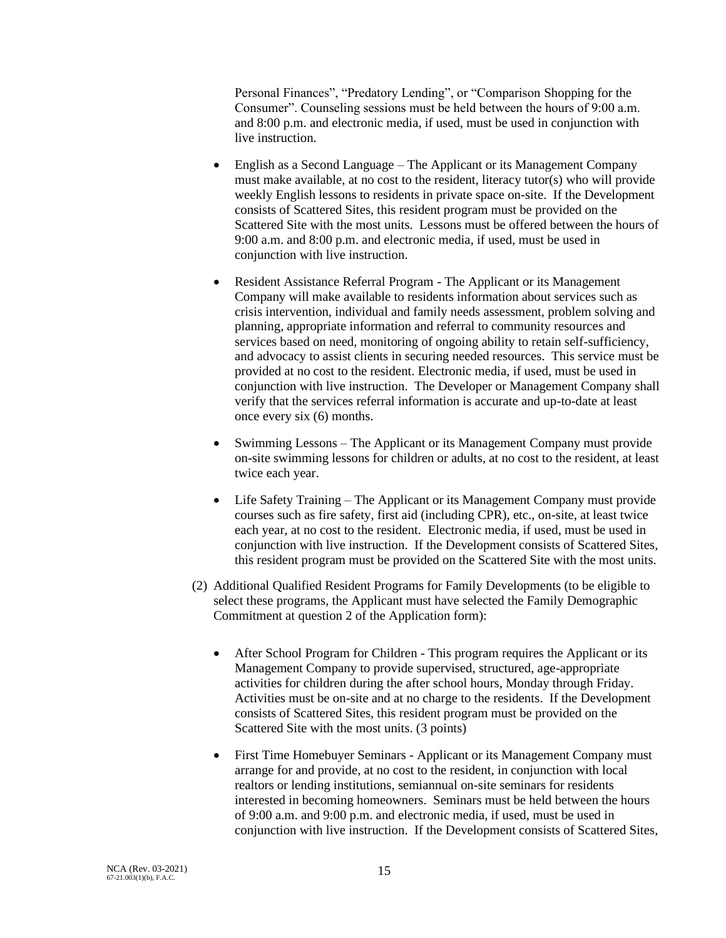Personal Finances", "Predatory Lending", or "Comparison Shopping for the Consumer". Counseling sessions must be held between the hours of 9:00 a.m. and 8:00 p.m. and electronic media, if used, must be used in conjunction with live instruction.

- English as a Second Language The Applicant or its Management Company must make available, at no cost to the resident, literacy tutor(s) who will provide weekly English lessons to residents in private space on-site. If the Development consists of Scattered Sites, this resident program must be provided on the Scattered Site with the most units. Lessons must be offered between the hours of 9:00 a.m. and 8:00 p.m. and electronic media, if used, must be used in conjunction with live instruction.
- Resident Assistance Referral Program The Applicant or its Management Company will make available to residents information about services such as crisis intervention, individual and family needs assessment, problem solving and planning, appropriate information and referral to community resources and services based on need, monitoring of ongoing ability to retain self-sufficiency, and advocacy to assist clients in securing needed resources. This service must be provided at no cost to the resident. Electronic media, if used, must be used in conjunction with live instruction. The Developer or Management Company shall verify that the services referral information is accurate and up-to-date at least once every six (6) months.
- Swimming Lessons The Applicant or its Management Company must provide on-site swimming lessons for children or adults, at no cost to the resident, at least twice each year.
- Life Safety Training The Applicant or its Management Company must provide courses such as fire safety, first aid (including CPR), etc., on-site, at least twice each year, at no cost to the resident. Electronic media, if used, must be used in conjunction with live instruction. If the Development consists of Scattered Sites, this resident program must be provided on the Scattered Site with the most units.
- (2) Additional Qualified Resident Programs for Family Developments (to be eligible to select these programs, the Applicant must have selected the Family Demographic Commitment at question 2 of the Application form):
	- After School Program for Children This program requires the Applicant or its Management Company to provide supervised, structured, age-appropriate activities for children during the after school hours, Monday through Friday. Activities must be on-site and at no charge to the residents. If the Development consists of Scattered Sites, this resident program must be provided on the Scattered Site with the most units. (3 points)
	- First Time Homebuyer Seminars Applicant or its Management Company must arrange for and provide, at no cost to the resident, in conjunction with local realtors or lending institutions, semiannual on-site seminars for residents interested in becoming homeowners. Seminars must be held between the hours of 9:00 a.m. and 9:00 p.m. and electronic media, if used, must be used in conjunction with live instruction. If the Development consists of Scattered Sites,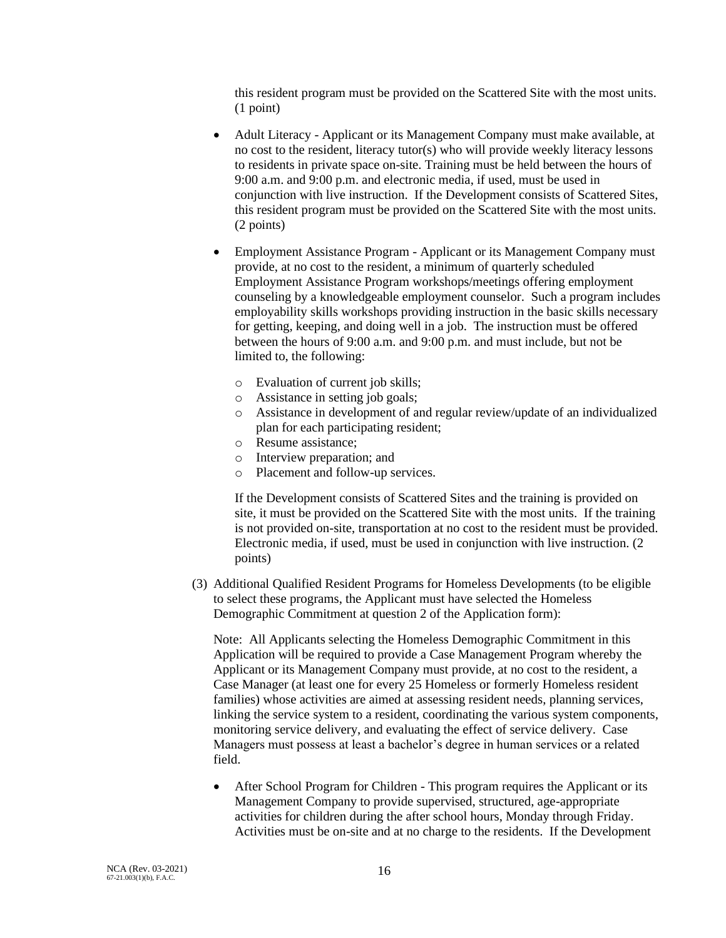this resident program must be provided on the Scattered Site with the most units. (1 point)

- Adult Literacy Applicant or its Management Company must make available, at no cost to the resident, literacy tutor(s) who will provide weekly literacy lessons to residents in private space on-site. Training must be held between the hours of 9:00 a.m. and 9:00 p.m. and electronic media, if used, must be used in conjunction with live instruction. If the Development consists of Scattered Sites, this resident program must be provided on the Scattered Site with the most units. (2 points)
- Employment Assistance Program Applicant or its Management Company must provide, at no cost to the resident, a minimum of quarterly scheduled Employment Assistance Program workshops/meetings offering employment counseling by a knowledgeable employment counselor. Such a program includes employability skills workshops providing instruction in the basic skills necessary for getting, keeping, and doing well in a job. The instruction must be offered between the hours of 9:00 a.m. and 9:00 p.m. and must include, but not be limited to, the following:
	- o Evaluation of current job skills;
	- o Assistance in setting job goals;
	- o Assistance in development of and regular review/update of an individualized plan for each participating resident;
	- o Resume assistance;
	- o Interview preparation; and
	- o Placement and follow-up services.

If the Development consists of Scattered Sites and the training is provided on site, it must be provided on the Scattered Site with the most units. If the training is not provided on-site, transportation at no cost to the resident must be provided. Electronic media, if used, must be used in conjunction with live instruction. (2 points)

(3) Additional Qualified Resident Programs for Homeless Developments (to be eligible to select these programs, the Applicant must have selected the Homeless Demographic Commitment at question 2 of the Application form):

Note: All Applicants selecting the Homeless Demographic Commitment in this Application will be required to provide a Case Management Program whereby the Applicant or its Management Company must provide, at no cost to the resident, a Case Manager (at least one for every 25 Homeless or formerly Homeless resident families) whose activities are aimed at assessing resident needs, planning services, linking the service system to a resident, coordinating the various system components, monitoring service delivery, and evaluating the effect of service delivery. Case Managers must possess at least a bachelor's degree in human services or a related field.

• After School Program for Children - This program requires the Applicant or its Management Company to provide supervised, structured, age-appropriate activities for children during the after school hours, Monday through Friday. Activities must be on-site and at no charge to the residents. If the Development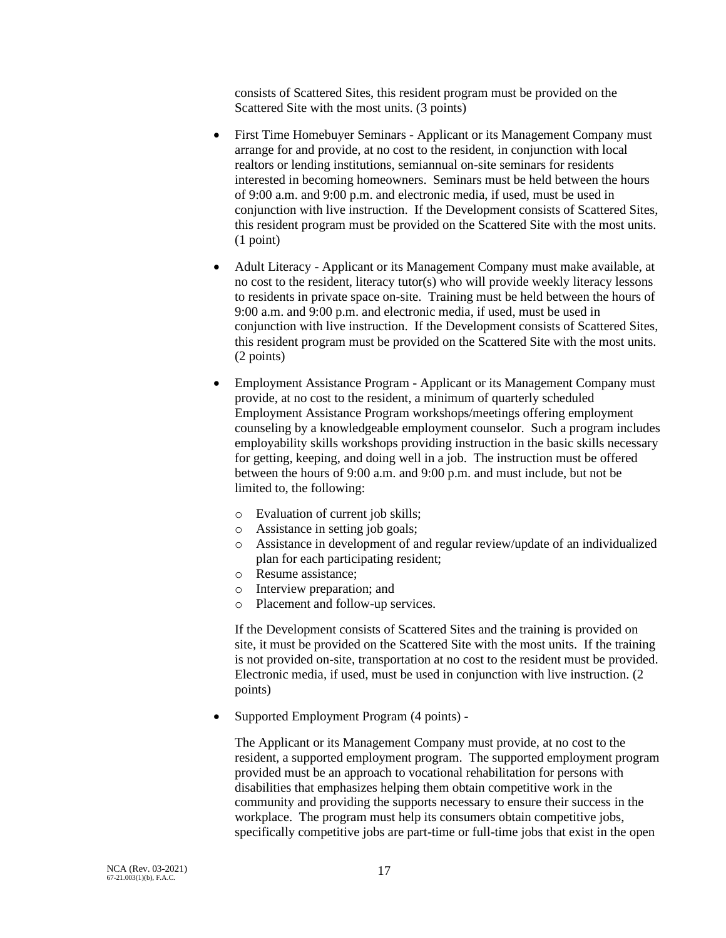consists of Scattered Sites, this resident program must be provided on the Scattered Site with the most units. (3 points)

- First Time Homebuyer Seminars Applicant or its Management Company must arrange for and provide, at no cost to the resident, in conjunction with local realtors or lending institutions, semiannual on-site seminars for residents interested in becoming homeowners. Seminars must be held between the hours of 9:00 a.m. and 9:00 p.m. and electronic media, if used, must be used in conjunction with live instruction. If the Development consists of Scattered Sites, this resident program must be provided on the Scattered Site with the most units. (1 point)
- Adult Literacy Applicant or its Management Company must make available, at no cost to the resident, literacy tutor(s) who will provide weekly literacy lessons to residents in private space on-site. Training must be held between the hours of 9:00 a.m. and 9:00 p.m. and electronic media, if used, must be used in conjunction with live instruction. If the Development consists of Scattered Sites, this resident program must be provided on the Scattered Site with the most units. (2 points)
- Employment Assistance Program Applicant or its Management Company must provide, at no cost to the resident, a minimum of quarterly scheduled Employment Assistance Program workshops/meetings offering employment counseling by a knowledgeable employment counselor. Such a program includes employability skills workshops providing instruction in the basic skills necessary for getting, keeping, and doing well in a job. The instruction must be offered between the hours of 9:00 a.m. and 9:00 p.m. and must include, but not be limited to, the following:
	- o Evaluation of current job skills;
	- o Assistance in setting job goals;
	- o Assistance in development of and regular review/update of an individualized plan for each participating resident;
	- o Resume assistance;
	- o Interview preparation; and
	- o Placement and follow-up services.

If the Development consists of Scattered Sites and the training is provided on site, it must be provided on the Scattered Site with the most units. If the training is not provided on-site, transportation at no cost to the resident must be provided. Electronic media, if used, must be used in conjunction with live instruction. (2 points)

• Supported Employment Program (4 points) -

The Applicant or its Management Company must provide, at no cost to the resident, a supported employment program. The supported employment program provided must be an approach to vocational rehabilitation for persons with disabilities that emphasizes helping them obtain competitive work in the community and providing the supports necessary to ensure their success in the workplace. The program must help its consumers obtain competitive jobs, specifically competitive jobs are part-time or full-time jobs that exist in the open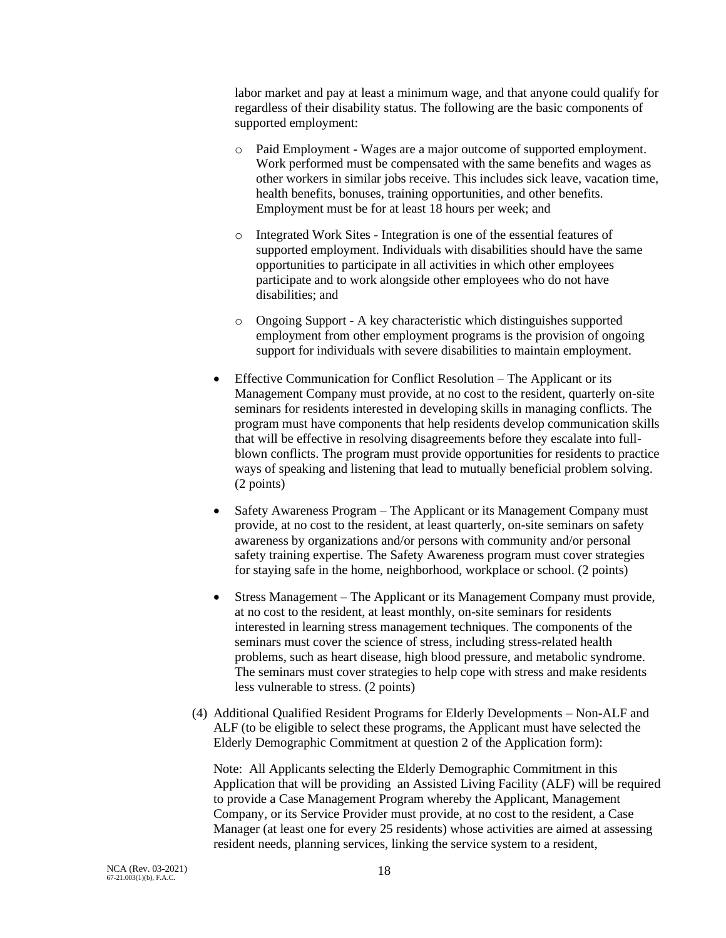labor market and pay at least a minimum wage, and that anyone could qualify for regardless of their disability status. The following are the basic components of supported employment:

- o Paid Employment Wages are a major outcome of supported employment. Work performed must be compensated with the same benefits and wages as other workers in similar jobs receive. This includes sick leave, vacation time, health benefits, bonuses, training opportunities, and other benefits. Employment must be for at least 18 hours per week; and
- o Integrated Work Sites Integration is one of the essential features of supported employment. Individuals with disabilities should have the same opportunities to participate in all activities in which other employees participate and to work alongside other employees who do not have disabilities; and
- o Ongoing Support A key characteristic which distinguishes supported employment from other employment programs is the provision of ongoing support for individuals with severe disabilities to maintain employment.
- Effective Communication for Conflict Resolution The Applicant or its Management Company must provide, at no cost to the resident, quarterly on-site seminars for residents interested in developing skills in managing conflicts. The program must have components that help residents develop communication skills that will be effective in resolving disagreements before they escalate into fullblown conflicts. The program must provide opportunities for residents to practice ways of speaking and listening that lead to mutually beneficial problem solving. (2 points)
- Safety Awareness Program The Applicant or its Management Company must provide, at no cost to the resident, at least quarterly, on-site seminars on safety awareness by organizations and/or persons with community and/or personal safety training expertise. The Safety Awareness program must cover strategies for staying safe in the home, neighborhood, workplace or school. (2 points)
- Stress Management The Applicant or its Management Company must provide, at no cost to the resident, at least monthly, on-site seminars for residents interested in learning stress management techniques. The components of the seminars must cover the science of stress, including stress-related health problems, such as heart disease, high blood pressure, and metabolic syndrome. The seminars must cover strategies to help cope with stress and make residents less vulnerable to stress. (2 points)
- (4) Additional Qualified Resident Programs for Elderly Developments Non-ALF and ALF (to be eligible to select these programs, the Applicant must have selected the Elderly Demographic Commitment at question 2 of the Application form):

Note: All Applicants selecting the Elderly Demographic Commitment in this Application that will be providing an Assisted Living Facility (ALF) will be required to provide a Case Management Program whereby the Applicant, Management Company, or its Service Provider must provide, at no cost to the resident, a Case Manager (at least one for every 25 residents) whose activities are aimed at assessing resident needs, planning services, linking the service system to a resident,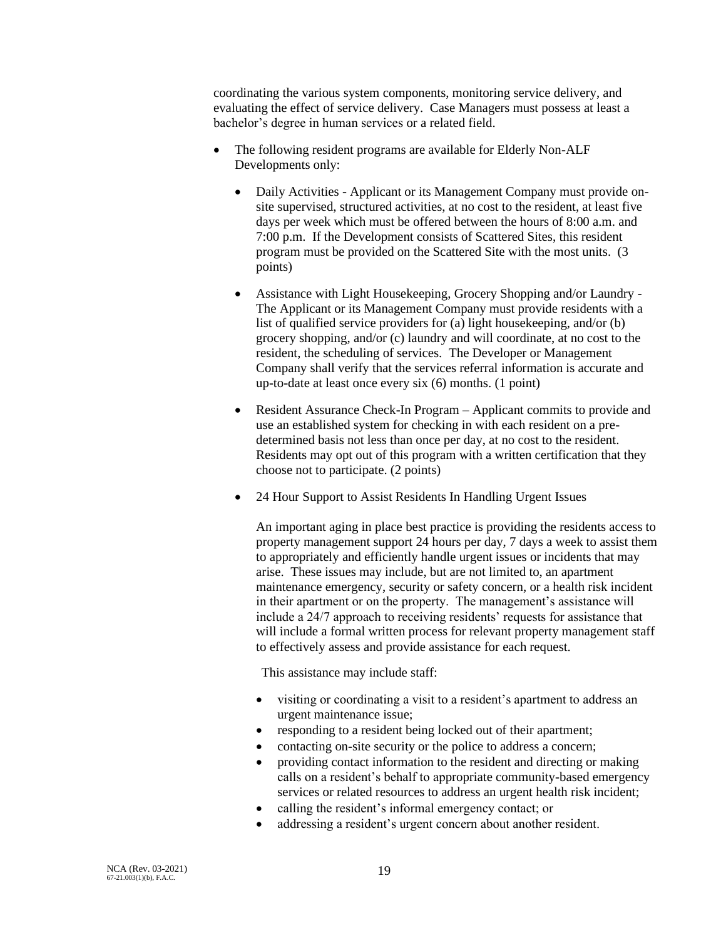coordinating the various system components, monitoring service delivery, and evaluating the effect of service delivery. Case Managers must possess at least a bachelor's degree in human services or a related field.

- The following resident programs are available for Elderly Non-ALF Developments only:
	- Daily Activities Applicant or its Management Company must provide onsite supervised, structured activities, at no cost to the resident, at least five days per week which must be offered between the hours of 8:00 a.m. and 7:00 p.m. If the Development consists of Scattered Sites, this resident program must be provided on the Scattered Site with the most units. (3 points)
	- Assistance with Light Housekeeping, Grocery Shopping and/or Laundry The Applicant or its Management Company must provide residents with a list of qualified service providers for (a) light housekeeping, and/or (b) grocery shopping, and/or (c) laundry and will coordinate, at no cost to the resident, the scheduling of services. The Developer or Management Company shall verify that the services referral information is accurate and up-to-date at least once every six (6) months. (1 point)
	- Resident Assurance Check-In Program Applicant commits to provide and use an established system for checking in with each resident on a predetermined basis not less than once per day, at no cost to the resident. Residents may opt out of this program with a written certification that they choose not to participate. (2 points)
	- 24 Hour Support to Assist Residents In Handling Urgent Issues

An important aging in place best practice is providing the residents access to property management support 24 hours per day, 7 days a week to assist them to appropriately and efficiently handle urgent issues or incidents that may arise. These issues may include, but are not limited to, an apartment maintenance emergency, security or safety concern, or a health risk incident in their apartment or on the property. The management's assistance will include a 24/7 approach to receiving residents' requests for assistance that will include a formal written process for relevant property management staff to effectively assess and provide assistance for each request.

This assistance may include staff:

- visiting or coordinating a visit to a resident's apartment to address an urgent maintenance issue;
- responding to a resident being locked out of their apartment;
- contacting on-site security or the police to address a concern;
- providing contact information to the resident and directing or making calls on a resident's behalf to appropriate community-based emergency services or related resources to address an urgent health risk incident;
- calling the resident's informal emergency contact; or
- addressing a resident's urgent concern about another resident.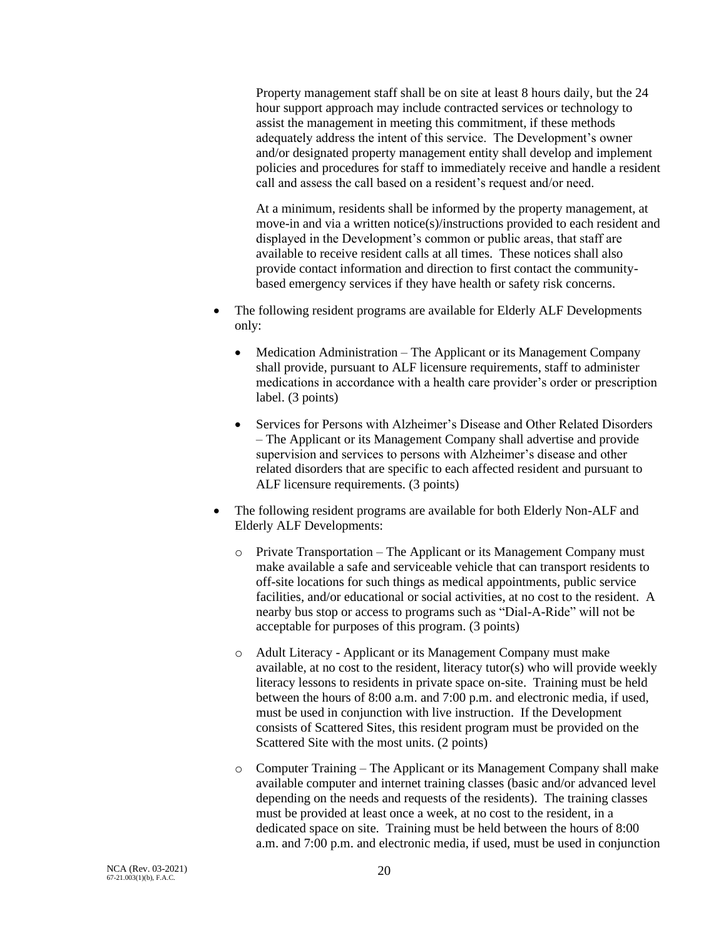Property management staff shall be on site at least 8 hours daily, but the 24 hour support approach may include contracted services or technology to assist the management in meeting this commitment, if these methods adequately address the intent of this service. The Development's owner and/or designated property management entity shall develop and implement policies and procedures for staff to immediately receive and handle a resident call and assess the call based on a resident's request and/or need.

At a minimum, residents shall be informed by the property management, at move-in and via a written notice(s)/instructions provided to each resident and displayed in the Development's common or public areas, that staff are available to receive resident calls at all times. These notices shall also provide contact information and direction to first contact the communitybased emergency services if they have health or safety risk concerns.

- The following resident programs are available for Elderly ALF Developments only:
	- Medication Administration The Applicant or its Management Company shall provide, pursuant to ALF licensure requirements, staff to administer medications in accordance with a health care provider's order or prescription label. (3 points)
	- Services for Persons with Alzheimer's Disease and Other Related Disorders – The Applicant or its Management Company shall advertise and provide supervision and services to persons with Alzheimer's disease and other related disorders that are specific to each affected resident and pursuant to ALF licensure requirements. (3 points)
- The following resident programs are available for both Elderly Non-ALF and Elderly ALF Developments:
	- o Private Transportation The Applicant or its Management Company must make available a safe and serviceable vehicle that can transport residents to off-site locations for such things as medical appointments, public service facilities, and/or educational or social activities, at no cost to the resident. A nearby bus stop or access to programs such as "Dial-A-Ride" will not be acceptable for purposes of this program. (3 points)
	- o Adult Literacy Applicant or its Management Company must make available, at no cost to the resident, literacy tutor(s) who will provide weekly literacy lessons to residents in private space on-site. Training must be held between the hours of 8:00 a.m. and 7:00 p.m. and electronic media, if used, must be used in conjunction with live instruction. If the Development consists of Scattered Sites, this resident program must be provided on the Scattered Site with the most units. (2 points)
	- o Computer Training The Applicant or its Management Company shall make available computer and internet training classes (basic and/or advanced level depending on the needs and requests of the residents). The training classes must be provided at least once a week, at no cost to the resident, in a dedicated space on site. Training must be held between the hours of 8:00 a.m. and 7:00 p.m. and electronic media, if used, must be used in conjunction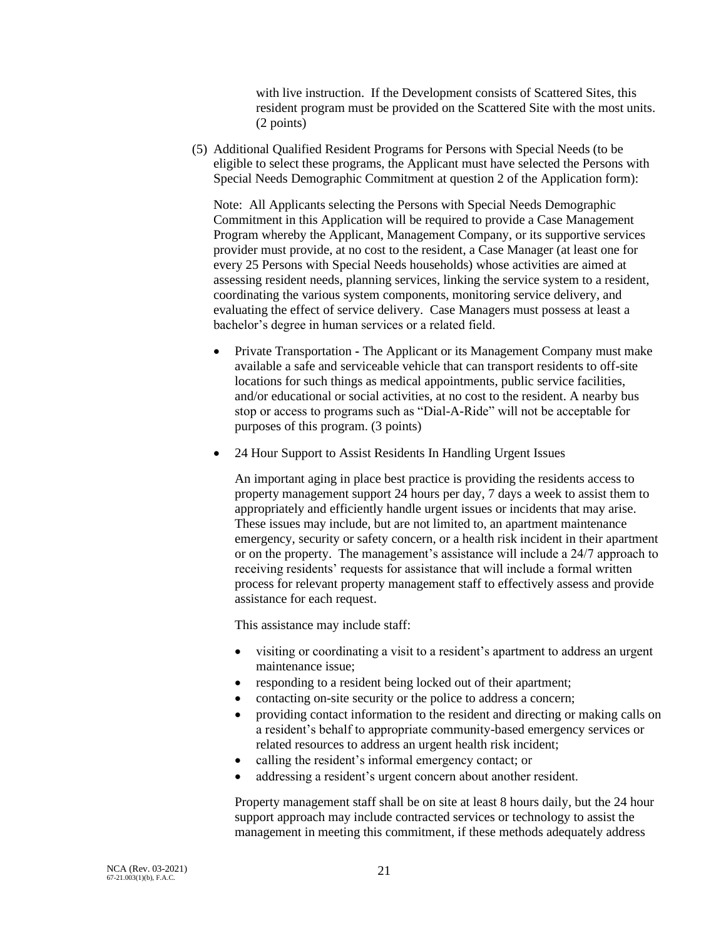with live instruction. If the Development consists of Scattered Sites, this resident program must be provided on the Scattered Site with the most units. (2 points)

(5) Additional Qualified Resident Programs for Persons with Special Needs (to be eligible to select these programs, the Applicant must have selected the Persons with Special Needs Demographic Commitment at question 2 of the Application form):

Note: All Applicants selecting the Persons with Special Needs Demographic Commitment in this Application will be required to provide a Case Management Program whereby the Applicant, Management Company, or its supportive services provider must provide, at no cost to the resident, a Case Manager (at least one for every 25 Persons with Special Needs households) whose activities are aimed at assessing resident needs, planning services, linking the service system to a resident, coordinating the various system components, monitoring service delivery, and evaluating the effect of service delivery. Case Managers must possess at least a bachelor's degree in human services or a related field.

- Private Transportation **-** The Applicant or its Management Company must make available a safe and serviceable vehicle that can transport residents to off-site locations for such things as medical appointments, public service facilities, and/or educational or social activities, at no cost to the resident. A nearby bus stop or access to programs such as "Dial-A-Ride" will not be acceptable for purposes of this program. (3 points)
- 24 Hour Support to Assist Residents In Handling Urgent Issues

An important aging in place best practice is providing the residents access to property management support 24 hours per day, 7 days a week to assist them to appropriately and efficiently handle urgent issues or incidents that may arise. These issues may include, but are not limited to, an apartment maintenance emergency, security or safety concern, or a health risk incident in their apartment or on the property. The management's assistance will include a 24/7 approach to receiving residents' requests for assistance that will include a formal written process for relevant property management staff to effectively assess and provide assistance for each request.

This assistance may include staff:

- visiting or coordinating a visit to a resident's apartment to address an urgent maintenance issue;
- responding to a resident being locked out of their apartment;
- contacting on-site security or the police to address a concern;
- providing contact information to the resident and directing or making calls on a resident's behalf to appropriate community-based emergency services or related resources to address an urgent health risk incident;
- calling the resident's informal emergency contact; or
- addressing a resident's urgent concern about another resident.

Property management staff shall be on site at least 8 hours daily, but the 24 hour support approach may include contracted services or technology to assist the management in meeting this commitment, if these methods adequately address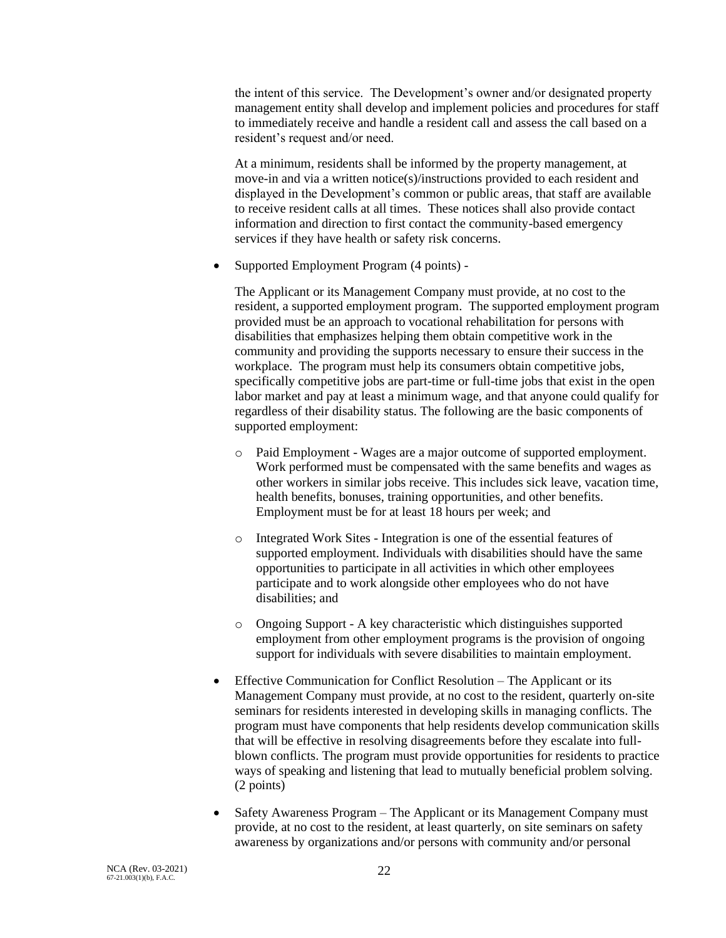the intent of this service. The Development's owner and/or designated property management entity shall develop and implement policies and procedures for staff to immediately receive and handle a resident call and assess the call based on a resident's request and/or need.

At a minimum, residents shall be informed by the property management, at move-in and via a written notice(s)/instructions provided to each resident and displayed in the Development's common or public areas, that staff are available to receive resident calls at all times. These notices shall also provide contact information and direction to first contact the community-based emergency services if they have health or safety risk concerns.

• Supported Employment Program (4 points) -

The Applicant or its Management Company must provide, at no cost to the resident, a supported employment program. The supported employment program provided must be an approach to vocational rehabilitation for persons with disabilities that emphasizes helping them obtain competitive work in the community and providing the supports necessary to ensure their success in the workplace. The program must help its consumers obtain competitive jobs, specifically competitive jobs are part-time or full-time jobs that exist in the open labor market and pay at least a minimum wage, and that anyone could qualify for regardless of their disability status. The following are the basic components of supported employment:

- o Paid Employment Wages are a major outcome of supported employment. Work performed must be compensated with the same benefits and wages as other workers in similar jobs receive. This includes sick leave, vacation time, health benefits, bonuses, training opportunities, and other benefits. Employment must be for at least 18 hours per week; and
- o Integrated Work Sites Integration is one of the essential features of supported employment. Individuals with disabilities should have the same opportunities to participate in all activities in which other employees participate and to work alongside other employees who do not have disabilities; and
- o Ongoing Support A key characteristic which distinguishes supported employment from other employment programs is the provision of ongoing support for individuals with severe disabilities to maintain employment.
- Effective Communication for Conflict Resolution The Applicant or its Management Company must provide, at no cost to the resident, quarterly on-site seminars for residents interested in developing skills in managing conflicts. The program must have components that help residents develop communication skills that will be effective in resolving disagreements before they escalate into fullblown conflicts. The program must provide opportunities for residents to practice ways of speaking and listening that lead to mutually beneficial problem solving. (2 points)
- Safety Awareness Program The Applicant or its Management Company must provide, at no cost to the resident, at least quarterly, on site seminars on safety awareness by organizations and/or persons with community and/or personal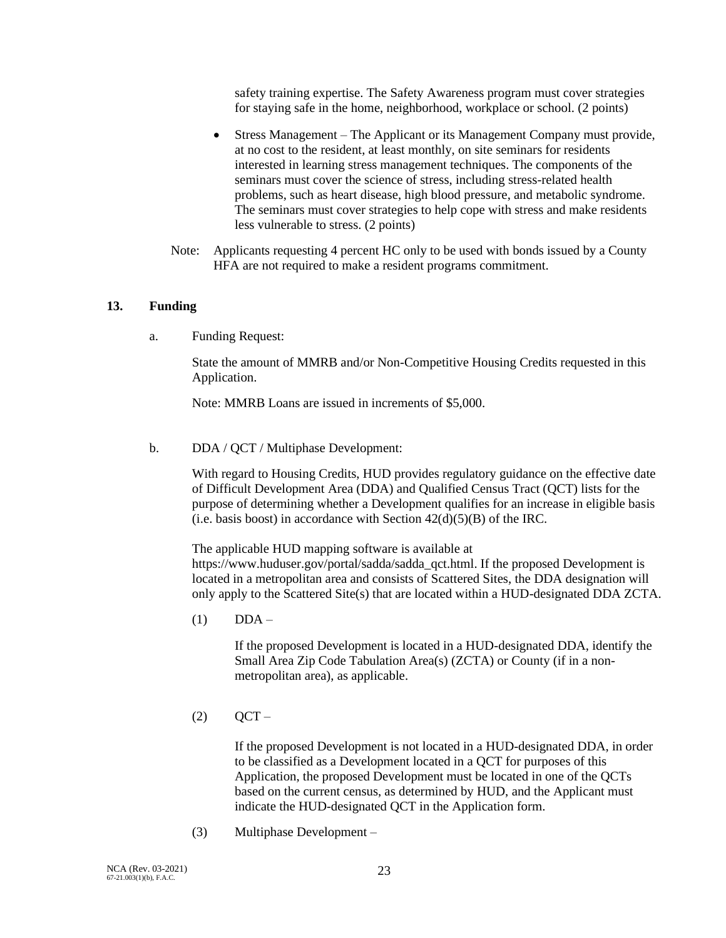safety training expertise. The Safety Awareness program must cover strategies for staying safe in the home, neighborhood, workplace or school. (2 points)

- Stress Management The Applicant or its Management Company must provide, at no cost to the resident, at least monthly, on site seminars for residents interested in learning stress management techniques. The components of the seminars must cover the science of stress, including stress-related health problems, such as heart disease, high blood pressure, and metabolic syndrome. The seminars must cover strategies to help cope with stress and make residents less vulnerable to stress. (2 points)
- Note: Applicants requesting 4 percent HC only to be used with bonds issued by a County HFA are not required to make a resident programs commitment.

### **13. Funding**

a. Funding Request:

State the amount of MMRB and/or Non-Competitive Housing Credits requested in this Application.

Note: MMRB Loans are issued in increments of \$5,000.

b. DDA / QCT / Multiphase Development:

With regard to Housing Credits, HUD provides regulatory guidance on the effective date of Difficult Development Area (DDA) and Qualified Census Tract (QCT) lists for the purpose of determining whether a Development qualifies for an increase in eligible basis (i.e. basis boost) in accordance with Section  $42(d)(5)(B)$  of the IRC.

The applicable HUD mapping software is available at https://www.huduser.gov/portal/sadda/sadda\_qct.html. If the proposed Development is located in a metropolitan area and consists of Scattered Sites, the DDA designation will only apply to the Scattered Site(s) that are located within a HUD-designated DDA ZCTA.

 $(1)$  DDA –

If the proposed Development is located in a HUD-designated DDA, identify the Small Area Zip Code Tabulation Area(s) (ZCTA) or County (if in a nonmetropolitan area), as applicable.

 $(2)$  OCT –

If the proposed Development is not located in a HUD-designated DDA, in order to be classified as a Development located in a QCT for purposes of this Application, the proposed Development must be located in one of the QCTs based on the current census, as determined by HUD, and the Applicant must indicate the HUD-designated QCT in the Application form.

(3) Multiphase Development –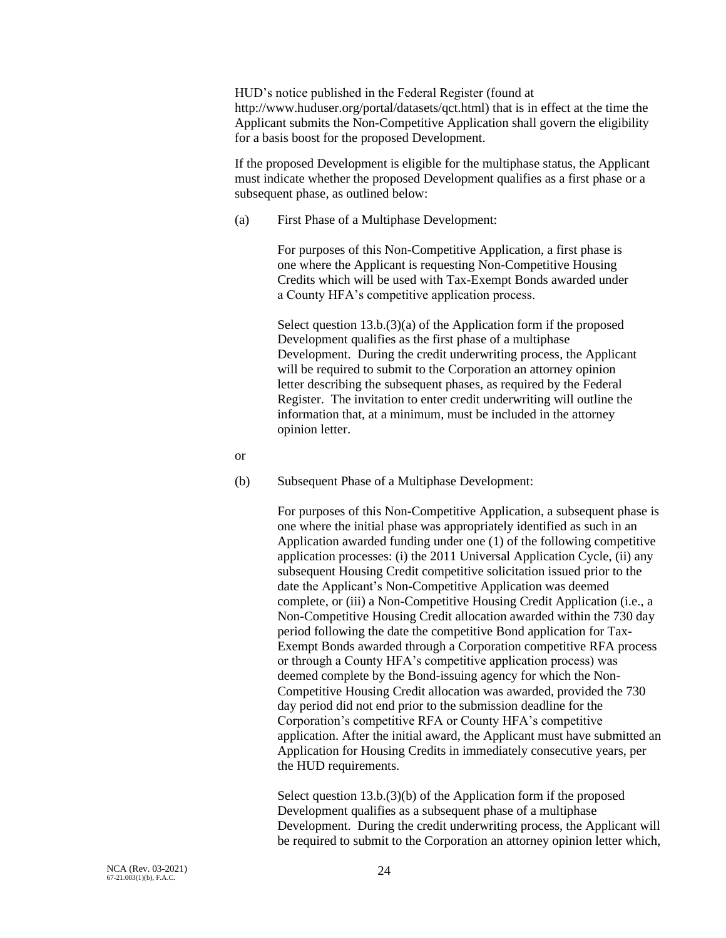HUD's notice published in the Federal Register (found at http://www.huduser.org/portal/datasets/qct.html) that is in effect at the time the Applicant submits the Non-Competitive Application shall govern the eligibility for a basis boost for the proposed Development.

If the proposed Development is eligible for the multiphase status, the Applicant must indicate whether the proposed Development qualifies as a first phase or a subsequent phase, as outlined below:

(a) First Phase of a Multiphase Development:

For purposes of this Non-Competitive Application, a first phase is one where the Applicant is requesting Non-Competitive Housing Credits which will be used with Tax-Exempt Bonds awarded under a County HFA's competitive application process.

Select question 13.b.(3)(a) of the Application form if the proposed Development qualifies as the first phase of a multiphase Development. During the credit underwriting process, the Applicant will be required to submit to the Corporation an attorney opinion letter describing the subsequent phases, as required by the Federal Register. The invitation to enter credit underwriting will outline the information that, at a minimum, must be included in the attorney opinion letter.

- or
- (b) Subsequent Phase of a Multiphase Development:

For purposes of this Non-Competitive Application, a subsequent phase is one where the initial phase was appropriately identified as such in an Application awarded funding under one (1) of the following competitive application processes: (i) the 2011 Universal Application Cycle, (ii) any subsequent Housing Credit competitive solicitation issued prior to the date the Applicant's Non-Competitive Application was deemed complete, or (iii) a Non-Competitive Housing Credit Application (i.e., a Non-Competitive Housing Credit allocation awarded within the 730 day period following the date the competitive Bond application for Tax-Exempt Bonds awarded through a Corporation competitive RFA process or through a County HFA's competitive application process) was deemed complete by the Bond-issuing agency for which the Non-Competitive Housing Credit allocation was awarded, provided the 730 day period did not end prior to the submission deadline for the Corporation's competitive RFA or County HFA's competitive application. After the initial award, the Applicant must have submitted an Application for Housing Credits in immediately consecutive years, per the HUD requirements.

Select question 13.b.(3)(b) of the Application form if the proposed Development qualifies as a subsequent phase of a multiphase Development. During the credit underwriting process, the Applicant will be required to submit to the Corporation an attorney opinion letter which,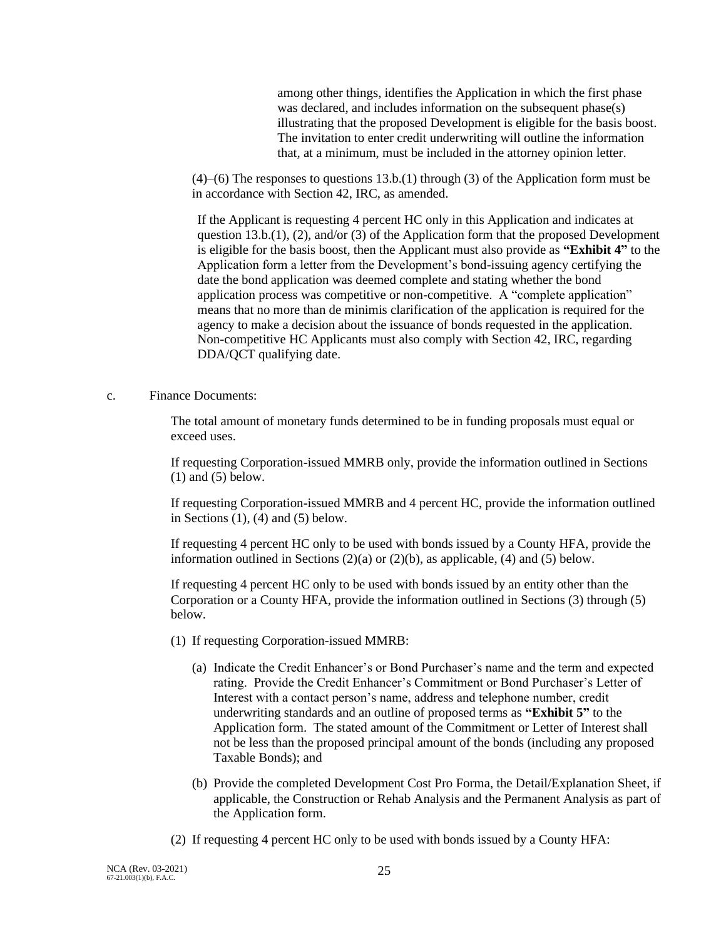among other things, identifies the Application in which the first phase was declared, and includes information on the subsequent phase(s) illustrating that the proposed Development is eligible for the basis boost. The invitation to enter credit underwriting will outline the information that, at a minimum, must be included in the attorney opinion letter.

(4)–(6) The responses to questions 13.b.(1) through (3) of the Application form must be in accordance with Section 42, IRC, as amended.

If the Applicant is requesting 4 percent HC only in this Application and indicates at question 13.b.(1), (2), and/or (3) of the Application form that the proposed Development is eligible for the basis boost, then the Applicant must also provide as **"Exhibit 4"** to the Application form a letter from the Development's bond-issuing agency certifying the date the bond application was deemed complete and stating whether the bond application process was competitive or non-competitive. A "complete application" means that no more than de minimis clarification of the application is required for the agency to make a decision about the issuance of bonds requested in the application. Non-competitive HC Applicants must also comply with Section 42, IRC, regarding DDA/QCT qualifying date.

c. Finance Documents:

The total amount of monetary funds determined to be in funding proposals must equal or exceed uses.

If requesting Corporation-issued MMRB only, provide the information outlined in Sections (1) and (5) below.

If requesting Corporation-issued MMRB and 4 percent HC, provide the information outlined in Sections  $(1)$ ,  $(4)$  and  $(5)$  below.

If requesting 4 percent HC only to be used with bonds issued by a County HFA, provide the information outlined in Sections  $(2)(a)$  or  $(2)(b)$ , as applicable,  $(4)$  and  $(5)$  below.

If requesting 4 percent HC only to be used with bonds issued by an entity other than the Corporation or a County HFA, provide the information outlined in Sections (3) through (5) below.

- (1) If requesting Corporation-issued MMRB:
	- (a) Indicate the Credit Enhancer's or Bond Purchaser's name and the term and expected rating. Provide the Credit Enhancer's Commitment or Bond Purchaser's Letter of Interest with a contact person's name, address and telephone number, credit underwriting standards and an outline of proposed terms as **"Exhibit 5"** to the Application form. The stated amount of the Commitment or Letter of Interest shall not be less than the proposed principal amount of the bonds (including any proposed Taxable Bonds); and
	- (b) Provide the completed Development Cost Pro Forma, the Detail/Explanation Sheet, if applicable, the Construction or Rehab Analysis and the Permanent Analysis as part of the Application form.
- (2) If requesting 4 percent HC only to be used with bonds issued by a County HFA: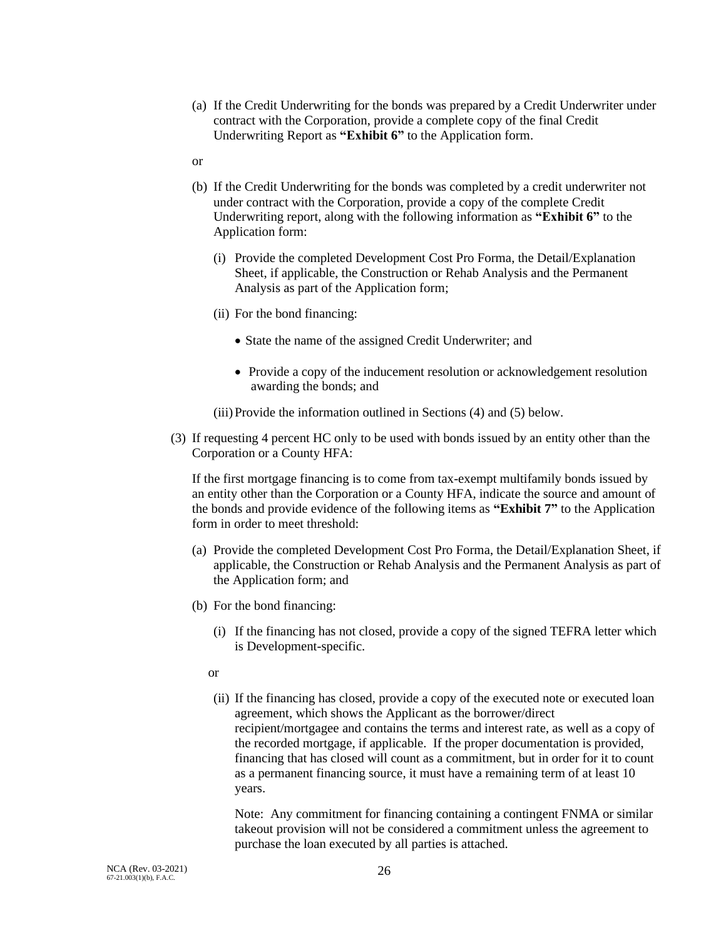- (a) If the Credit Underwriting for the bonds was prepared by a Credit Underwriter under contract with the Corporation, provide a complete copy of the final Credit Underwriting Report as **"Exhibit 6"** to the Application form.
- or
- (b) If the Credit Underwriting for the bonds was completed by a credit underwriter not under contract with the Corporation, provide a copy of the complete Credit Underwriting report, along with the following information as **"Exhibit 6"** to the Application form:
	- (i) Provide the completed Development Cost Pro Forma, the Detail/Explanation Sheet, if applicable, the Construction or Rehab Analysis and the Permanent Analysis as part of the Application form;
	- (ii) For the bond financing:
		- State the name of the assigned Credit Underwriter; and
		- Provide a copy of the inducement resolution or acknowledgement resolution awarding the bonds; and
	- (iii)Provide the information outlined in Sections (4) and (5) below.
- (3) If requesting 4 percent HC only to be used with bonds issued by an entity other than the Corporation or a County HFA:

If the first mortgage financing is to come from tax-exempt multifamily bonds issued by an entity other than the Corporation or a County HFA, indicate the source and amount of the bonds and provide evidence of the following items as **"Exhibit 7"** to the Application form in order to meet threshold:

- (a) Provide the completed Development Cost Pro Forma, the Detail/Explanation Sheet, if applicable, the Construction or Rehab Analysis and the Permanent Analysis as part of the Application form; and
- (b) For the bond financing:
	- (i) If the financing has not closed, provide a copy of the signed TEFRA letter which is Development-specific.
	- or
	- (ii) If the financing has closed, provide a copy of the executed note or executed loan agreement, which shows the Applicant as the borrower/direct recipient/mortgagee and contains the terms and interest rate, as well as a copy of the recorded mortgage, if applicable. If the proper documentation is provided, financing that has closed will count as a commitment, but in order for it to count as a permanent financing source, it must have a remaining term of at least 10 years.

Note: Any commitment for financing containing a contingent FNMA or similar takeout provision will not be considered a commitment unless the agreement to purchase the loan executed by all parties is attached.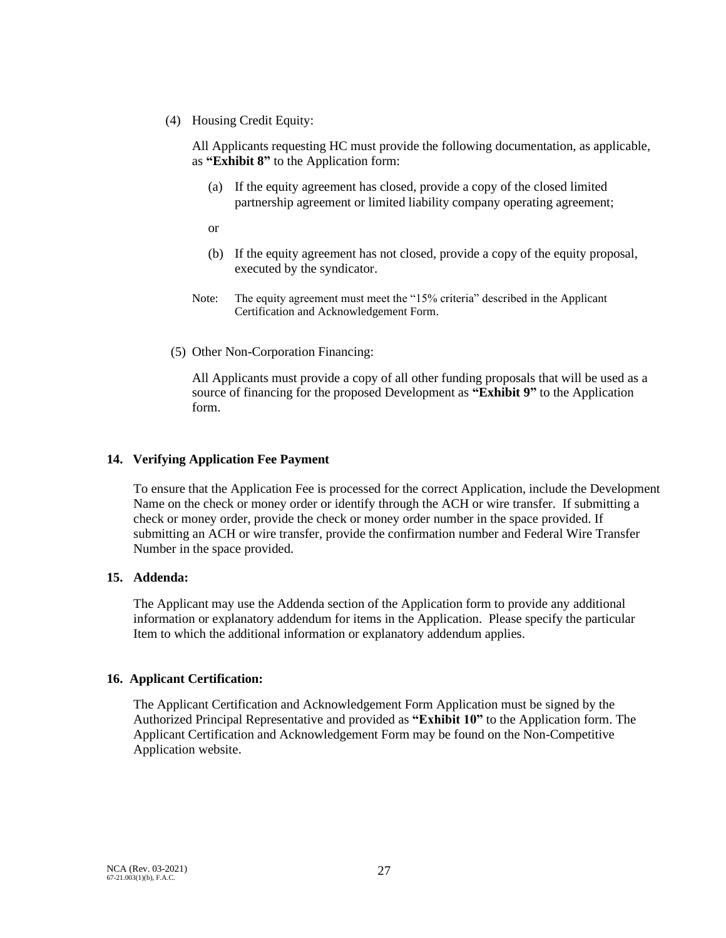(4) Housing Credit Equity:

All Applicants requesting HC must provide the following documentation, as applicable, as **"Exhibit 8"** to the Application form:

- (a) If the equity agreement has closed, provide a copy of the closed limited partnership agreement or limited liability company operating agreement;
- or
- (b) If the equity agreement has not closed, provide a copy of the equity proposal, executed by the syndicator.
- Note: The equity agreement must meet the "15% criteria" described in the Applicant Certification and Acknowledgement Form.
- (5) Other Non-Corporation Financing:

All Applicants must provide a copy of all other funding proposals that will be used as a source of financing for the proposed Development as **"Exhibit 9"** to the Application form.

### **14. Verifying Application Fee Payment**

To ensure that the Application Fee is processed for the correct Application, include the Development Name on the check or money order or identify through the ACH or wire transfer. If submitting a check or money order, provide the check or money order number in the space provided. If submitting an ACH or wire transfer, provide the confirmation number and Federal Wire Transfer Number in the space provided.

### **15. Addenda:**

The Applicant may use the Addenda section of the Application form to provide any additional information or explanatory addendum for items in the Application. Please specify the particular Item to which the additional information or explanatory addendum applies.

### **16. Applicant Certification:**

The Applicant Certification and Acknowledgement Form Application must be signed by the Authorized Principal Representative and provided as **"Exhibit 10"** to the Application form. The Applicant Certification and Acknowledgement Form may be found on the Non-Competitive Application website.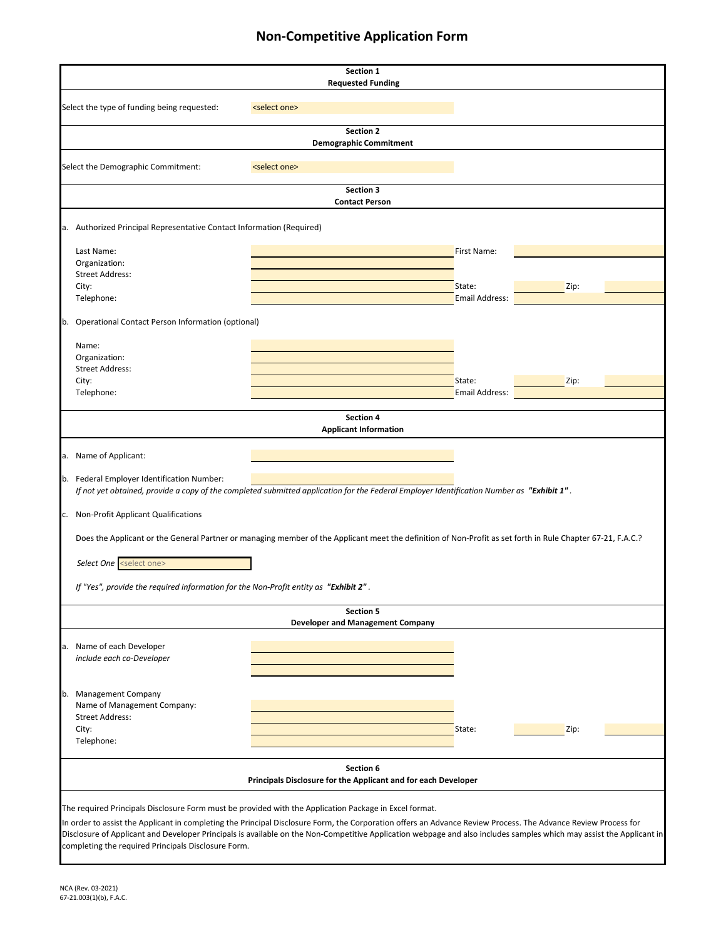|                                                                                                                                                                                                                                                                                                                                                                                                                                                                                                         |                                                                             | Section 1<br><b>Requested Funding</b>                       |                          |      |
|---------------------------------------------------------------------------------------------------------------------------------------------------------------------------------------------------------------------------------------------------------------------------------------------------------------------------------------------------------------------------------------------------------------------------------------------------------------------------------------------------------|-----------------------------------------------------------------------------|-------------------------------------------------------------|--------------------------|------|
| Select the type of funding being requested:                                                                                                                                                                                                                                                                                                                                                                                                                                                             | <select one=""></select>                                                    |                                                             |                          |      |
|                                                                                                                                                                                                                                                                                                                                                                                                                                                                                                         |                                                                             | <b>Section 2</b><br><b>Demographic Commitment</b>           |                          |      |
| Select the Demographic Commitment:                                                                                                                                                                                                                                                                                                                                                                                                                                                                      | <select one=""></select>                                                    |                                                             |                          |      |
|                                                                                                                                                                                                                                                                                                                                                                                                                                                                                                         | <b>Contact Person</b>                                                       | <b>Section 3</b>                                            |                          |      |
| a. Authorized Principal Representative Contact Information (Required)                                                                                                                                                                                                                                                                                                                                                                                                                                   |                                                                             |                                                             |                          |      |
| Last Name:                                                                                                                                                                                                                                                                                                                                                                                                                                                                                              |                                                                             |                                                             | First Name:              |      |
| Organization:<br><b>Street Address:</b><br>City:                                                                                                                                                                                                                                                                                                                                                                                                                                                        |                                                                             |                                                             | State:                   | Zip: |
| Telephone:                                                                                                                                                                                                                                                                                                                                                                                                                                                                                              |                                                                             |                                                             | <b>Email Address:</b>    |      |
| b. Operational Contact Person Information (optional)<br>Name:                                                                                                                                                                                                                                                                                                                                                                                                                                           |                                                                             |                                                             |                          |      |
| Organization:<br><b>Street Address:</b>                                                                                                                                                                                                                                                                                                                                                                                                                                                                 |                                                                             |                                                             |                          |      |
| City:<br>Telephone:                                                                                                                                                                                                                                                                                                                                                                                                                                                                                     |                                                                             |                                                             | State:<br>Email Address: | Zip: |
|                                                                                                                                                                                                                                                                                                                                                                                                                                                                                                         |                                                                             | Section 4<br><b>Applicant Information</b>                   |                          |      |
| a. Name of Applicant:                                                                                                                                                                                                                                                                                                                                                                                                                                                                                   |                                                                             |                                                             |                          |      |
| b. Federal Employer Identification Number:<br>If not yet obtained, provide a copy of the completed submitted application for the Federal Employer Identification Number as "Exhibit 1".                                                                                                                                                                                                                                                                                                                 |                                                                             |                                                             |                          |      |
| c. Non-Profit Applicant Qualifications                                                                                                                                                                                                                                                                                                                                                                                                                                                                  |                                                                             |                                                             |                          |      |
| Does the Applicant or the General Partner or managing member of the Applicant meet the definition of Non-Profit as set forth in Rule Chapter 67-21, F.A.C.?                                                                                                                                                                                                                                                                                                                                             |                                                                             |                                                             |                          |      |
| Select One <select one=""></select>                                                                                                                                                                                                                                                                                                                                                                                                                                                                     |                                                                             |                                                             |                          |      |
| If "Yes", provide the required information for the Non-Profit entity as <b>"Exhibit 2"</b>                                                                                                                                                                                                                                                                                                                                                                                                              |                                                                             |                                                             |                          |      |
|                                                                                                                                                                                                                                                                                                                                                                                                                                                                                                         |                                                                             | <b>Section 5</b><br><b>Developer and Management Company</b> |                          |      |
| a. Name of each Developer<br>include each co-Developer                                                                                                                                                                                                                                                                                                                                                                                                                                                  |                                                                             |                                                             |                          |      |
| b. Management Company<br>Name of Management Company:<br><b>Street Address:</b>                                                                                                                                                                                                                                                                                                                                                                                                                          |                                                                             |                                                             |                          |      |
| City:<br>Telephone:                                                                                                                                                                                                                                                                                                                                                                                                                                                                                     |                                                                             |                                                             | State:                   | Zip: |
|                                                                                                                                                                                                                                                                                                                                                                                                                                                                                                         | Section 6<br>Principals Disclosure for the Applicant and for each Developer |                                                             |                          |      |
| The required Principals Disclosure Form must be provided with the Application Package in Excel format.<br>In order to assist the Applicant in completing the Principal Disclosure Form, the Corporation offers an Advance Review Process. The Advance Review Process for<br>Disclosure of Applicant and Developer Principals is available on the Non-Competitive Application webpage and also includes samples which may assist the Applicant in<br>completing the required Principals Disclosure Form. |                                                                             |                                                             |                          |      |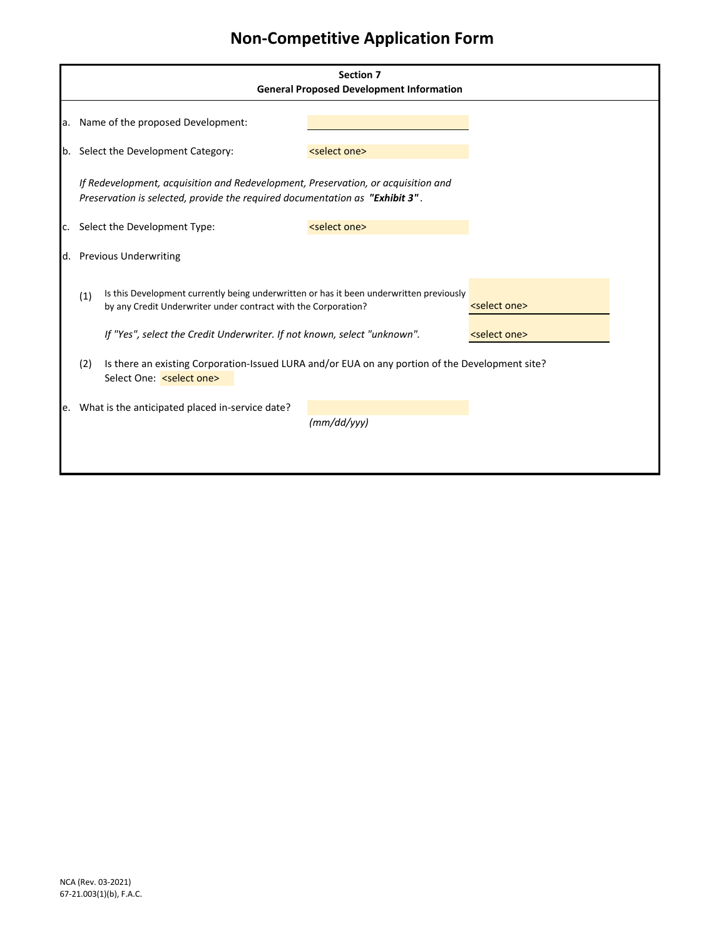|     |     |                                                                                                                                                                   | <b>Section 7</b><br><b>General Proposed Development Information</b> |                          |  |  |  |  |
|-----|-----|-------------------------------------------------------------------------------------------------------------------------------------------------------------------|---------------------------------------------------------------------|--------------------------|--|--|--|--|
|     |     |                                                                                                                                                                   |                                                                     |                          |  |  |  |  |
|     |     | a. Name of the proposed Development:                                                                                                                              |                                                                     |                          |  |  |  |  |
|     |     | b. Select the Development Category:                                                                                                                               | <select one=""></select>                                            |                          |  |  |  |  |
|     |     | If Redevelopment, acquisition and Redevelopment, Preservation, or acquisition and<br>Preservation is selected, provide the required documentation as "Exhibit 3". |                                                                     |                          |  |  |  |  |
| C.  |     | Select the Development Type:                                                                                                                                      | <select one=""></select>                                            |                          |  |  |  |  |
|     |     | d. Previous Underwriting                                                                                                                                          |                                                                     |                          |  |  |  |  |
|     | (1) | Is this Development currently being underwritten or has it been underwritten previously<br>by any Credit Underwriter under contract with the Corporation?         |                                                                     | <select one=""></select> |  |  |  |  |
|     |     | If "Yes", select the Credit Underwriter. If not known, select "unknown".                                                                                          |                                                                     | <select one=""></select> |  |  |  |  |
|     | (2) | Is there an existing Corporation-Issued LURA and/or EUA on any portion of the Development site?<br>Select One: <select one=""></select>                           |                                                                     |                          |  |  |  |  |
| le. |     | What is the anticipated placed in-service date?                                                                                                                   |                                                                     |                          |  |  |  |  |
|     |     |                                                                                                                                                                   | (mm/dd/yy)                                                          |                          |  |  |  |  |
|     |     |                                                                                                                                                                   |                                                                     |                          |  |  |  |  |
|     |     |                                                                                                                                                                   |                                                                     |                          |  |  |  |  |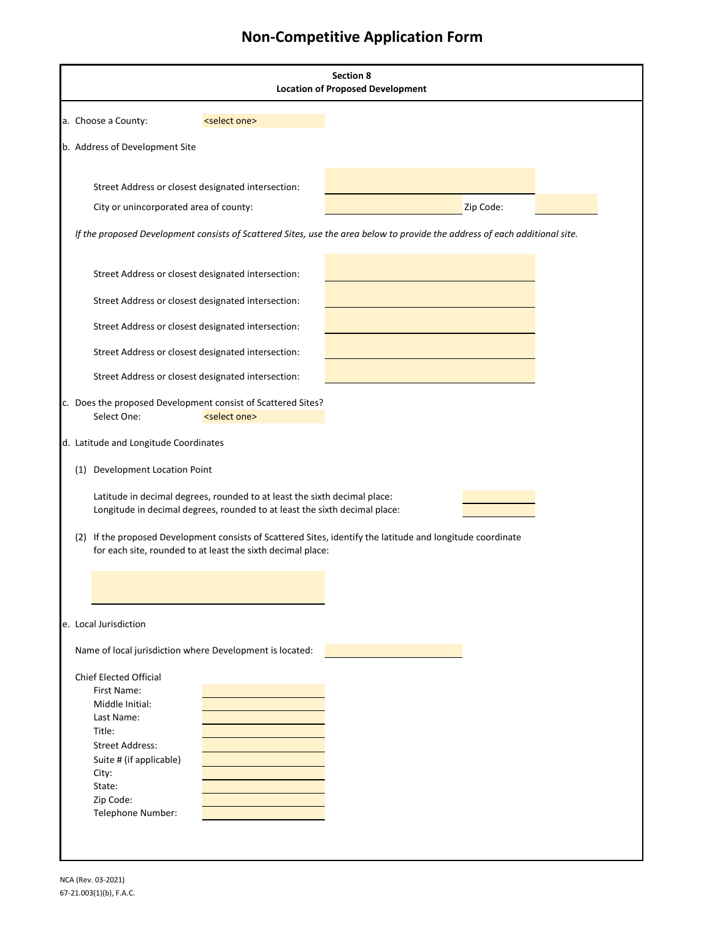|                                              |                                                                                                                                                         | <b>Section 8</b><br><b>Location of Proposed Development</b>                                                                 |
|----------------------------------------------|---------------------------------------------------------------------------------------------------------------------------------------------------------|-----------------------------------------------------------------------------------------------------------------------------|
| a. Choose a County:                          | <select one=""></select>                                                                                                                                |                                                                                                                             |
| b. Address of Development Site               |                                                                                                                                                         |                                                                                                                             |
|                                              | Street Address or closest designated intersection:                                                                                                      |                                                                                                                             |
| City or unincorporated area of county:       |                                                                                                                                                         | Zip Code:                                                                                                                   |
|                                              |                                                                                                                                                         | If the proposed Development consists of Scattered Sites, use the area below to provide the address of each additional site. |
|                                              | Street Address or closest designated intersection:                                                                                                      |                                                                                                                             |
|                                              | Street Address or closest designated intersection:                                                                                                      |                                                                                                                             |
|                                              | Street Address or closest designated intersection:                                                                                                      |                                                                                                                             |
|                                              | Street Address or closest designated intersection:                                                                                                      |                                                                                                                             |
|                                              | Street Address or closest designated intersection:                                                                                                      |                                                                                                                             |
| Select One:                                  | c. Does the proposed Development consist of Scattered Sites?<br><select one=""></select>                                                                |                                                                                                                             |
| d. Latitude and Longitude Coordinates        |                                                                                                                                                         |                                                                                                                             |
| (1) Development Location Point               |                                                                                                                                                         |                                                                                                                             |
|                                              | Latitude in decimal degrees, rounded to at least the sixth decimal place:<br>Longitude in decimal degrees, rounded to at least the sixth decimal place: |                                                                                                                             |
|                                              | for each site, rounded to at least the sixth decimal place:                                                                                             | (2) If the proposed Development consists of Scattered Sites, identify the latitude and longitude coordinate                 |
|                                              |                                                                                                                                                         |                                                                                                                             |
|                                              |                                                                                                                                                         |                                                                                                                             |
| e. Local Jurisdiction                        |                                                                                                                                                         |                                                                                                                             |
|                                              | Name of local jurisdiction where Development is located:                                                                                                |                                                                                                                             |
| <b>Chief Elected Official</b><br>First Name: |                                                                                                                                                         |                                                                                                                             |
| Middle Initial:                              |                                                                                                                                                         |                                                                                                                             |
| Last Name:<br>Title:                         |                                                                                                                                                         |                                                                                                                             |
| <b>Street Address:</b>                       |                                                                                                                                                         |                                                                                                                             |
| Suite # (if applicable)                      |                                                                                                                                                         |                                                                                                                             |
| City:                                        |                                                                                                                                                         |                                                                                                                             |
| State:                                       |                                                                                                                                                         |                                                                                                                             |
| Zip Code:                                    |                                                                                                                                                         |                                                                                                                             |
| Telephone Number:                            |                                                                                                                                                         |                                                                                                                             |
|                                              |                                                                                                                                                         |                                                                                                                             |
|                                              |                                                                                                                                                         |                                                                                                                             |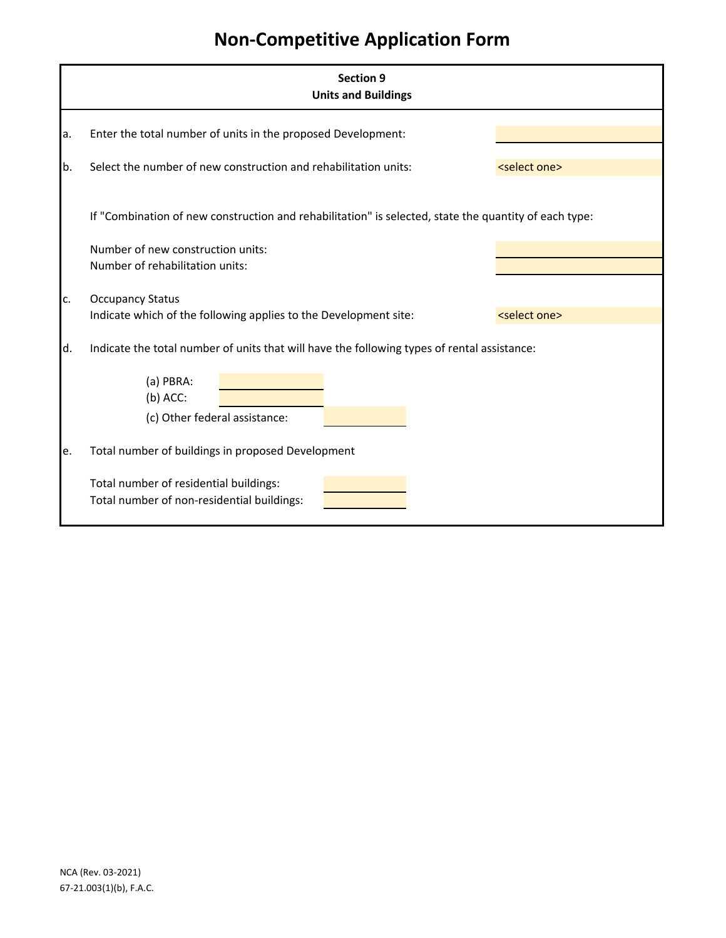|     | <b>Section 9</b><br><b>Units and Buildings</b>                                                        |                          |  |  |  |  |
|-----|-------------------------------------------------------------------------------------------------------|--------------------------|--|--|--|--|
| a.  | Enter the total number of units in the proposed Development:                                          |                          |  |  |  |  |
| b.  | Select the number of new construction and rehabilitation units:                                       | <select one=""></select> |  |  |  |  |
|     | If "Combination of new construction and rehabilitation" is selected, state the quantity of each type: |                          |  |  |  |  |
|     | Number of new construction units:<br>Number of rehabilitation units:                                  |                          |  |  |  |  |
| lc. | <b>Occupancy Status</b>                                                                               |                          |  |  |  |  |
|     | Indicate which of the following applies to the Development site:                                      | <select one=""></select> |  |  |  |  |
| ld. | Indicate the total number of units that will have the following types of rental assistance:           |                          |  |  |  |  |
|     | (a) PBRA:<br>$(b)$ ACC:                                                                               |                          |  |  |  |  |
|     | (c) Other federal assistance:                                                                         |                          |  |  |  |  |
| e.  | Total number of buildings in proposed Development                                                     |                          |  |  |  |  |
|     | Total number of residential buildings:<br>Total number of non-residential buildings:                  |                          |  |  |  |  |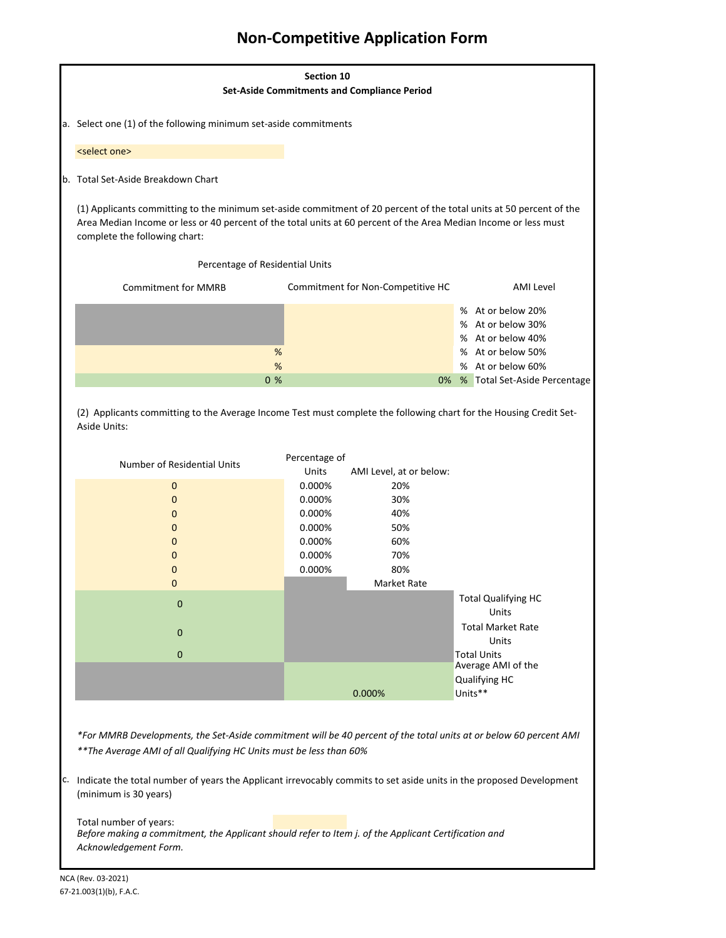|                                                                                                                                                                                                                                                                          | Section 10    |                                                    |                                          |
|--------------------------------------------------------------------------------------------------------------------------------------------------------------------------------------------------------------------------------------------------------------------------|---------------|----------------------------------------------------|------------------------------------------|
|                                                                                                                                                                                                                                                                          |               | <b>Set-Aside Commitments and Compliance Period</b> |                                          |
| a. Select one (1) of the following minimum set-aside commitments                                                                                                                                                                                                         |               |                                                    |                                          |
|                                                                                                                                                                                                                                                                          |               |                                                    |                                          |
| <select one=""></select>                                                                                                                                                                                                                                                 |               |                                                    |                                          |
| b. Total Set-Aside Breakdown Chart                                                                                                                                                                                                                                       |               |                                                    |                                          |
| (1) Applicants committing to the minimum set-aside commitment of 20 percent of the total units at 50 percent of the<br>Area Median Income or less or 40 percent of the total units at 60 percent of the Area Median Income or less must<br>complete the following chart: |               |                                                    |                                          |
| Percentage of Residential Units                                                                                                                                                                                                                                          |               |                                                    |                                          |
| <b>Commitment for MMRB</b>                                                                                                                                                                                                                                               |               | Commitment for Non-Competitive HC                  | <b>AMI Level</b>                         |
|                                                                                                                                                                                                                                                                          |               |                                                    | % At or below 20%                        |
|                                                                                                                                                                                                                                                                          |               |                                                    | % At or below 30%                        |
|                                                                                                                                                                                                                                                                          |               |                                                    | % At or below 40%                        |
| %                                                                                                                                                                                                                                                                        |               |                                                    | % At or below 50%                        |
| %                                                                                                                                                                                                                                                                        |               |                                                    | % At or below 60%                        |
| 0 <sub>%</sub>                                                                                                                                                                                                                                                           |               | 0%                                                 | % Total Set-Aside Percentage             |
| (2) Applicants committing to the Average Income Test must complete the following chart for the Housing Credit Set-<br>Aside Units:                                                                                                                                       | Percentage of |                                                    |                                          |
| Number of Residential Units                                                                                                                                                                                                                                              | Units         | AMI Level, at or below:                            |                                          |
| $\mathbf 0$                                                                                                                                                                                                                                                              | 0.000%        | 20%                                                |                                          |
| 0                                                                                                                                                                                                                                                                        | 0.000%        | 30%                                                |                                          |
| 0                                                                                                                                                                                                                                                                        | 0.000%        | 40%                                                |                                          |
| 0                                                                                                                                                                                                                                                                        | 0.000%        | 50%                                                |                                          |
| 0                                                                                                                                                                                                                                                                        | 0.000%        | 60%                                                |                                          |
| 0                                                                                                                                                                                                                                                                        | 0.000%        | 70%                                                |                                          |
| 0                                                                                                                                                                                                                                                                        | 0.000%        | 80%                                                |                                          |
| 0                                                                                                                                                                                                                                                                        |               | Market Rate                                        |                                          |
| $\bf 0$                                                                                                                                                                                                                                                                  |               |                                                    | <b>Total Qualifying HC</b><br>Units      |
| $\mathbf 0$                                                                                                                                                                                                                                                              |               |                                                    | <b>Total Market Rate</b>                 |
|                                                                                                                                                                                                                                                                          |               |                                                    | Units                                    |
| $\mathbf{0}$                                                                                                                                                                                                                                                             |               |                                                    | <b>Total Units</b><br>Average AMI of the |
|                                                                                                                                                                                                                                                                          |               |                                                    | Qualifying HC                            |
|                                                                                                                                                                                                                                                                          |               | 0.000%                                             | Units**                                  |
|                                                                                                                                                                                                                                                                          |               |                                                    |                                          |
|                                                                                                                                                                                                                                                                          |               |                                                    |                                          |
| *For MMRB Developments, the Set-Aside commitment will be 40 percent of the total units at or below 60 percent AMI                                                                                                                                                        |               |                                                    |                                          |
| ** The Average AMI of all Qualifying HC Units must be less than 60%                                                                                                                                                                                                      |               |                                                    |                                          |
|                                                                                                                                                                                                                                                                          |               |                                                    |                                          |
| C. Indicate the total number of years the Applicant irrevocably commits to set aside units in the proposed Development<br>(minimum is 30 years)                                                                                                                          |               |                                                    |                                          |

Total number of years: *Before making a commitment, the Applicant should refer to Item j. of the Applicant Certification and Acknowledgement Form.*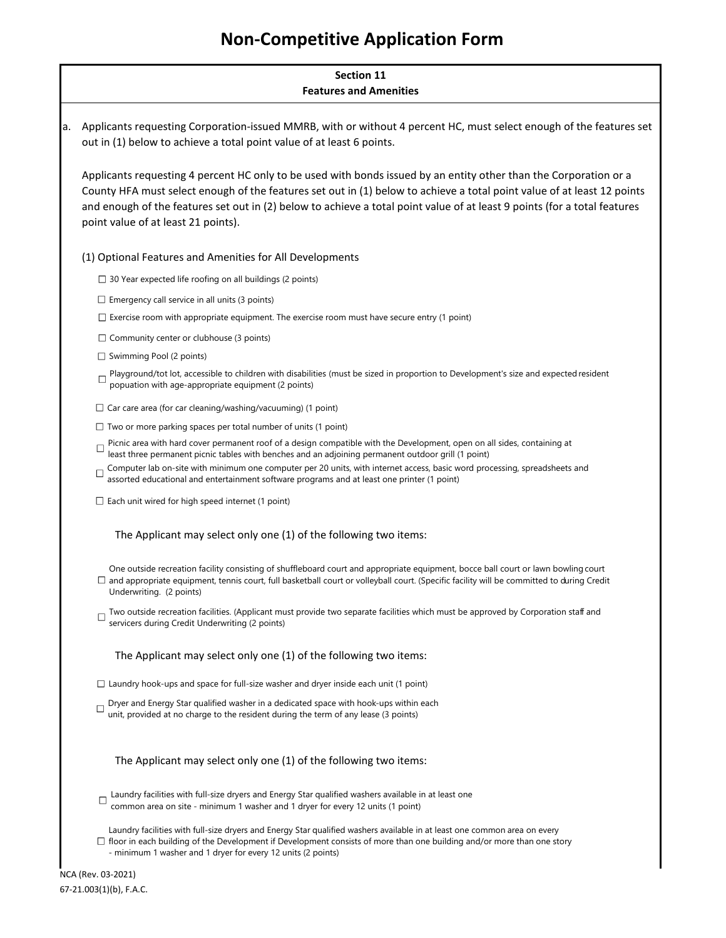# **Section 11 Features and Amenities**

a. Applicants requesting Corporation-issued MMRB, with or without 4 percent HC, must select enough of the features set out in (1) below to achieve a total point value of at least 6 points.

Applicants requesting 4 percent HC only to be used with bonds issued by an entity other than the Corporation or a County HFA must select enough of the features set out in (1) below to achieve a total point value of at least 12 points and enough of the features set out in (2) below to achieve a total point value of at least 9 points (for a total features point value of at least 21 points).

(1) Optional Features and Amenities for All Developments

 $\Box$  30 Year expected life roofing on all buildings (2 points)

- $\square$  Emergency call service in all units (3 points)
- $\square$  Exercise room with appropriate equipment. The exercise room must have secure entry (1 point)
- $\Box$  Community center or clubhouse (3 points)
- $\Box$  Swimming Pool (2 points)
- Playground/tot lot, accessible to children with disabilities (must be sized in proportion to Development's size and expected resident  $\Box$ popuation with age-appropriate equipment (2 points)
- $\Box$  Car care area (for car cleaning/washing/vacuuming) (1 point)
- $\Box$  Two or more parking spaces per total number of units (1 point)
- Picnic area with hard cover permanent roof of a design compatible with the Development, open on all sides, containing at  $\Box$ least three permanent picnic tables with benches and an adjoining permanent outdoor grill (1 point)
- Computer lab on-site with minimum one computer per 20 units, with internet access, basic word processing, spreadsheets and  $\Box$ assorted educational and entertainment software programs and at least one printer (1 point)
- $\square$  Each unit wired for high speed internet (1 point)

### The Applicant may select only one (1) of the following two items:

One outside recreation facility consisting of shuffleboard court and appropriate equipment, bocce ball court or lawn bowling court and appropriate equipment, tennis court, full basketball court or volleyball court. (Specific facility will be committed to during Credit Underwriting. (2 points)

Two outside recreation facilities. (Applicant must provide two separate facilities which must be approved by Corporation staff and  $\Box$ servicers during Credit Underwriting (2 points)

### The Applicant may select only one (1) of the following two items:

- $\Box$  Laundry hook-ups and space for full-size washer and dryer inside each unit (1 point)
- Dryer and Energy Star qualified washer in a dedicated space with hook-ups within each  $\Box$ unit, provided at no charge to the resident during the term of any lease (3 points)

### The Applicant may select only one (1) of the following two items:

- $\Box$  Laundry facilities with full-size dryers and Energy Star qualified washers available in at least one common area on site - minimum 1 washer and 1 dryer for every 12 units (1 point)
- Laundry facilities with full-size dryers and Energy Star qualified washers available in at least one common area on every
- $\Box$  floor in each building of the Development if Development consists of more than one building and/or more than one story - minimum 1 washer and 1 dryer for every 12 units (2 points)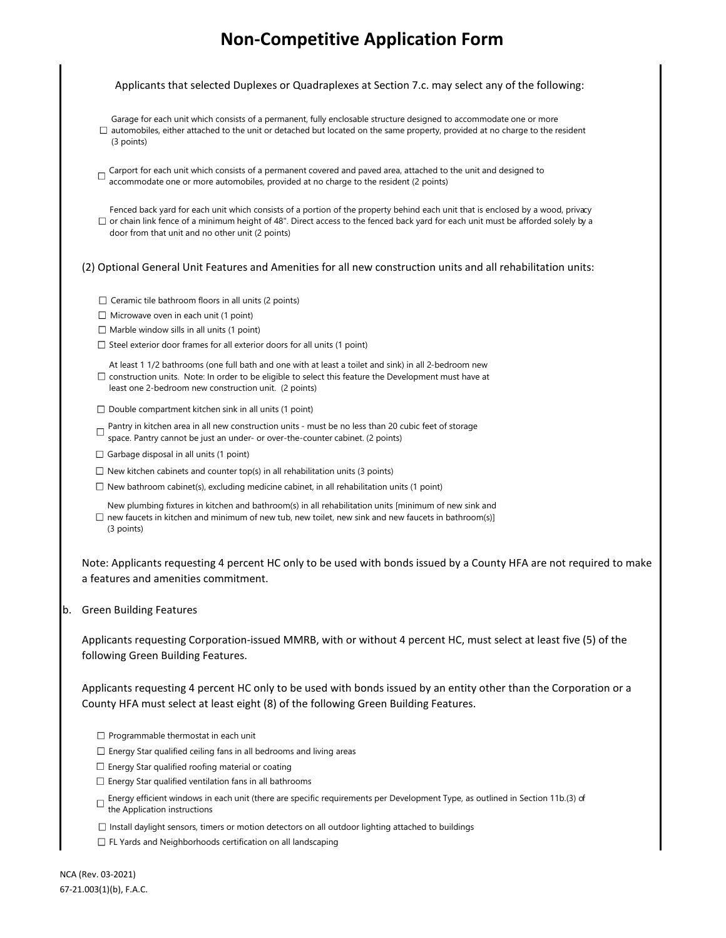Applicants that selected Duplexes or Quadraplexes at Section 7.c. may select any of the following:

- Garage for each unit which consists of a permanent, fully enclosable structure designed to accommodate one or more
- $\Box$  automobiles, either attached to the unit or detached but located on the same property, provided at no charge to the resident (3 points)
- $\Box$  Carport for each unit which consists of a permanent covered and paved area, attached to the unit and designed to accommodate one or more automobiles, provided at no charge to the resident (2 points)

Fenced back yard for each unit which consists of a portion of the property behind each unit that is enclosed by a wood, privacy  $\Box$  or chain link fence of a minimum height of 48". Direct access to the fenced back yard for each unit must be afforded solely by a door from that unit and no other unit (2 points)

### (2) Optional General Unit Features and Amenities for all new construction units and all rehabilitation units:

- $\Box$  Ceramic tile bathroom floors in all units (2 points)
- $\Box$  Microwave oven in each unit (1 point)
- $\Box$  Marble window sills in all units (1 point)
- $\square$  Steel exterior door frames for all exterior doors for all units (1 point)

At least 1 1/2 bathrooms (one full bath and one with at least a toilet and sink) in all 2-bedroom new  $\Box$  construction units. Note: In order to be eligible to select this feature the Development must have at least one 2-bedroom new construction unit. (2 points)

- $\square$  Double compartment kitchen sink in all units (1 point)
- Pantry in kitchen area in all new construction units must be no less than 20 cubic feet of storage space. Pantry cannot be just an under- or over-the-counter cabinet. (2 points)
- $\Box$  Garbage disposal in all units (1 point)
- $\Box$  New kitchen cabinets and counter top(s) in all rehabilitation units (3 points)
- $\Box$  New bathroom cabinet(s), excluding medicine cabinet, in all rehabilitation units (1 point)
- New plumbing fixtures in kitchen and bathroom(s) in all rehabilitation units [minimum of new sink and  $\Box$  new faucets in kitchen and minimum of new tub, new toilet, new sink and new faucets in bathroom(s)] (3 points)

Note: Applicants requesting 4 percent HC only to be used with bonds issued by a County HFA are not required to make a features and amenities commitment.

b. Green Building Features

Applicants requesting Corporation-issued MMRB, with or without 4 percent HC, must select at least five (5) of the following Green Building Features.

Applicants requesting 4 percent HC only to be used with bonds issued by an entity other than the Corporation or a County HFA must select at least eight (8) of the following Green Building Features.

- $\Box$  Programmable thermostat in each unit
- $\Box$  Energy Star qualified ceiling fans in all bedrooms and living areas
- $\Box$  Energy Star qualified roofing material or coating
- $\square$  Energy Star qualified ventilation fans in all bathrooms
- Energy efficient windows in each unit (there are specific requirements per Development Type, as outlined in Section 11b.(3) of the Application instructions
- $\Box$  Install daylight sensors, timers or motion detectors on all outdoor lighting attached to buildings
- $\Box$  FL Yards and Neighborhoods certification on all landscaping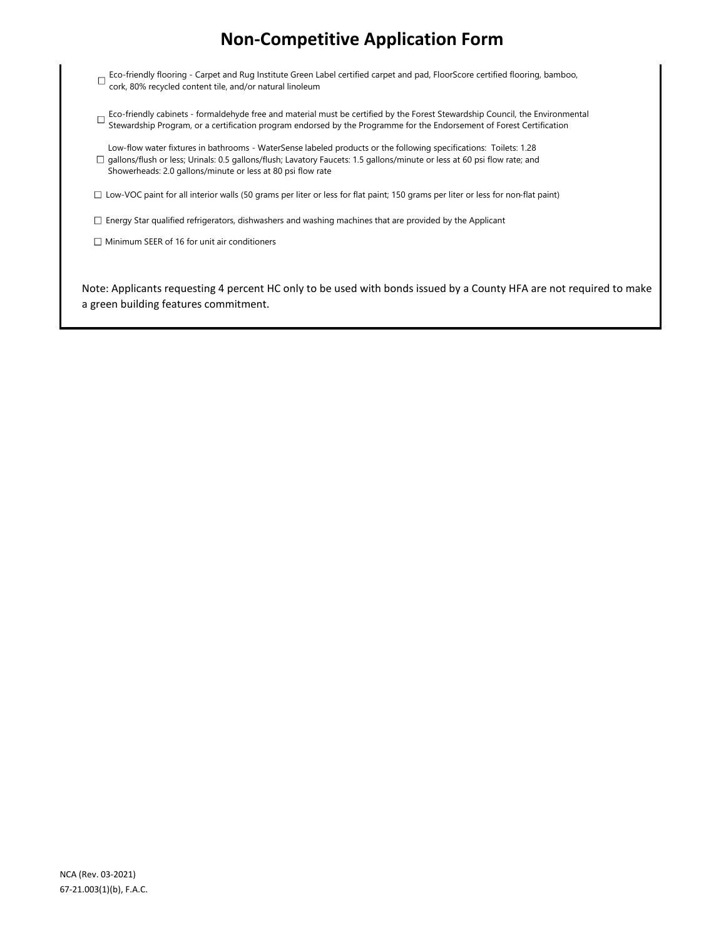- Eco-friendly flooring Carpet and Rug Institute Green Label certified carpet and pad, FloorScore certified flooring, bamboo, cork, 80% recycled content tile, and/or natural linoleum
- Eco-friendly cabinets formaldehyde free and material must be certified by the Forest Stewardship Council, the Environmental Stewardship Program, or a certification program endorsed by the Programme for the Endorsement of Forest Certification
- Low-flow water fixtures in bathrooms WaterSense labeled products or the following specifications: Toilets: 1.28  $\Box$  gallons/flush or less; Urinals: 0.5 gallons/flush; Lavatory Faucets: 1.5 gallons/minute or less at 60 psi flow rate; and Showerheads: 2.0 gallons/minute or less at 80 psi flow rate
- $\Box$  Low-VOC paint for all interior walls (50 grams per liter or less for flat paint; 150 grams per liter or less for non-flat paint)
- $\Box$  Energy Star qualified refrigerators, dishwashers and washing machines that are provided by the Applicant
- $\Box$  Minimum SEER of 16 for unit air conditioners

Note: Applicants requesting 4 percent HC only to be used with bonds issued by a County HFA are not required to make a green building features commitment.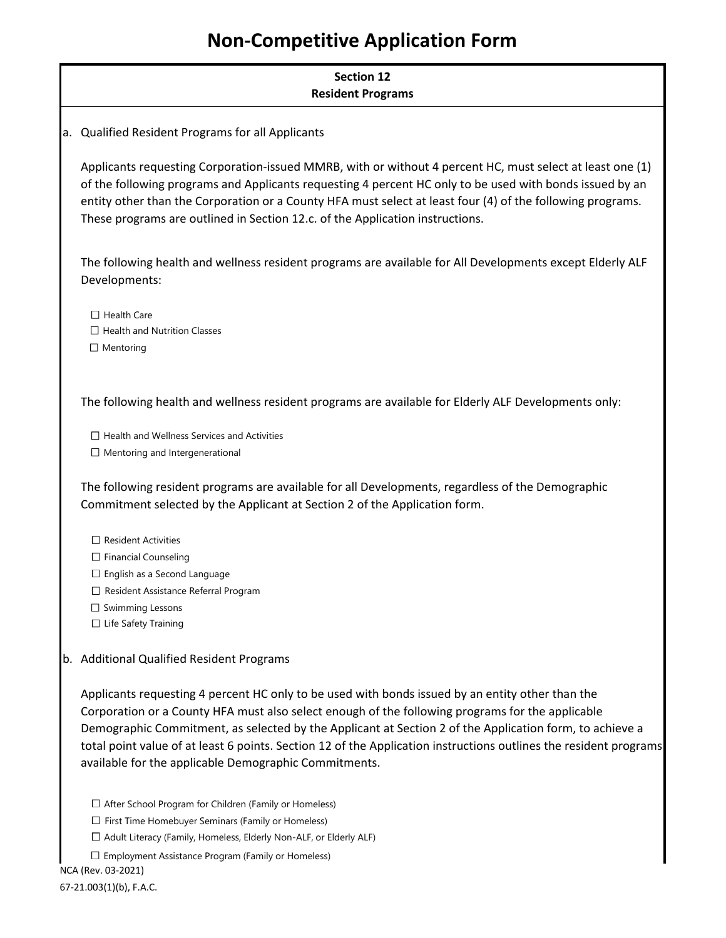|     | <b>Section 12</b><br><b>Resident Programs</b>                                                                                                                                                                                                                                                                                                                                                                                                                                                 |
|-----|-----------------------------------------------------------------------------------------------------------------------------------------------------------------------------------------------------------------------------------------------------------------------------------------------------------------------------------------------------------------------------------------------------------------------------------------------------------------------------------------------|
| la. | Qualified Resident Programs for all Applicants                                                                                                                                                                                                                                                                                                                                                                                                                                                |
|     | Applicants requesting Corporation-issued MMRB, with or without 4 percent HC, must select at least one (1)<br>of the following programs and Applicants requesting 4 percent HC only to be used with bonds issued by an<br>entity other than the Corporation or a County HFA must select at least four (4) of the following programs.<br>These programs are outlined in Section 12.c. of the Application instructions.                                                                          |
|     | The following health and wellness resident programs are available for All Developments except Elderly ALF<br>Developments:                                                                                                                                                                                                                                                                                                                                                                    |
|     | $\Box$ Health Care<br>$\Box$ Health and Nutrition Classes<br>$\Box$ Mentoring                                                                                                                                                                                                                                                                                                                                                                                                                 |
|     | The following health and wellness resident programs are available for Elderly ALF Developments only:                                                                                                                                                                                                                                                                                                                                                                                          |
|     | $\Box$ Health and Wellness Services and Activities<br>$\Box$ Mentoring and Intergenerational                                                                                                                                                                                                                                                                                                                                                                                                  |
|     | The following resident programs are available for all Developments, regardless of the Demographic<br>Commitment selected by the Applicant at Section 2 of the Application form.                                                                                                                                                                                                                                                                                                               |
|     | $\Box$ Resident Activities<br>$\Box$ Financial Counseling<br>$\Box$ English as a Second Language<br>$\Box$ Resident Assistance Referral Program<br>$\Box$ Swimming Lessons<br>$\Box$ Life Safety Training                                                                                                                                                                                                                                                                                     |
| lb. | <b>Additional Qualified Resident Programs</b>                                                                                                                                                                                                                                                                                                                                                                                                                                                 |
|     | Applicants requesting 4 percent HC only to be used with bonds issued by an entity other than the<br>Corporation or a County HFA must also select enough of the following programs for the applicable<br>Demographic Commitment, as selected by the Applicant at Section 2 of the Application form, to achieve a<br>total point value of at least 6 points. Section 12 of the Application instructions outlines the resident programs<br>available for the applicable Demographic Commitments. |

 $\Box$  After School Program for Children (Family or Homeless)

 $\Box$  First Time Homebuyer Seminars (Family or Homeless)

 $\Box$  Adult Literacy (Family, Homeless, Elderly Non-ALF, or Elderly ALF)

 $\square$  Employment Assistance Program (Family or Homeless)

NCA (Rev. 03-2021)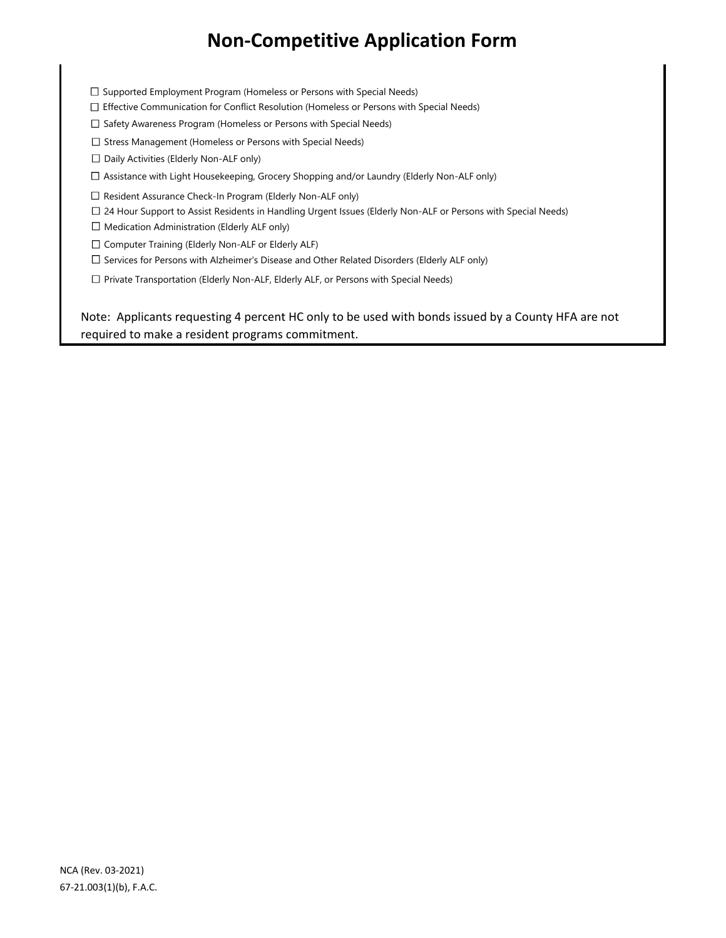$\Box$  Supported Employment Program (Homeless or Persons with Special Needs)

Effective Communication for Conflict Resolution (Homeless or Persons with Special Needs)

 $\square$  Safety Awareness Program (Homeless or Persons with Special Needs)

 $\square$  Stress Management (Homeless or Persons with Special Needs)

 $\Box$  Daily Activities (Elderly Non-ALF only)

Assistance with Light Housekeeping, Grocery Shopping and/or Laundry (Elderly Non-ALF only)

□ Resident Assurance Check-In Program (Elderly Non-ALF only)

24 Hour Support to Assist Residents in Handling Urgent Issues (Elderly Non-ALF or Persons with Special Needs)

 $\Box$  Medication Administration (Elderly ALF only)

 $\square$  Computer Training (Elderly Non-ALF or Elderly ALF)

 $\Box$  Services for Persons with Alzheimer's Disease and Other Related Disorders (Elderly ALF only)

 $\Box$  Private Transportation (Elderly Non-ALF, Elderly ALF, or Persons with Special Needs)

Note: Applicants requesting 4 percent HC only to be used with bonds issued by a County HFA are not required to make a resident programs commitment.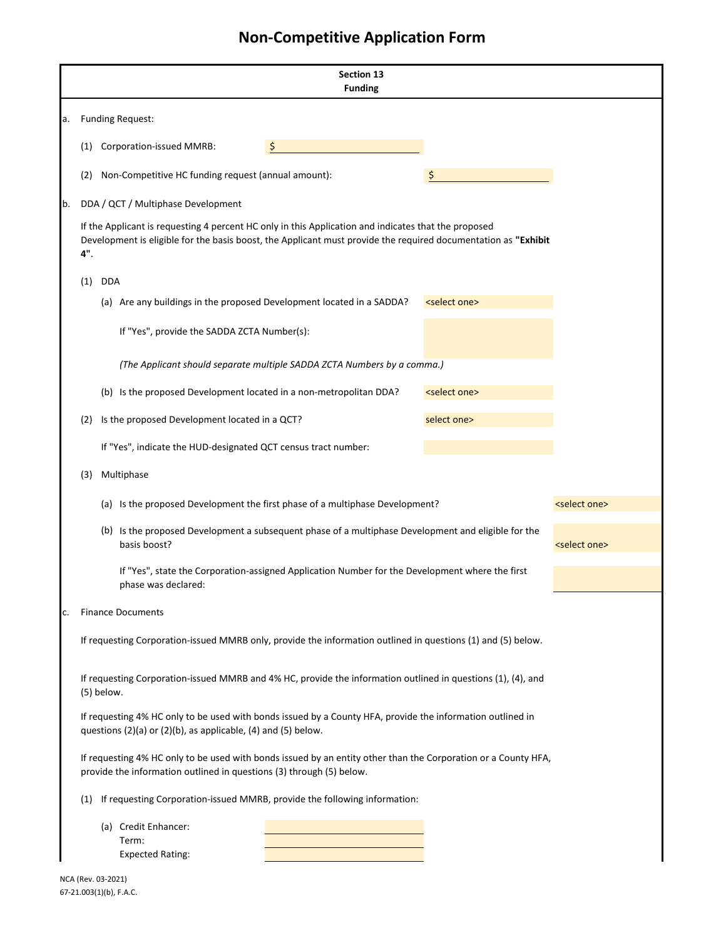|    | <b>Section 13</b><br><b>Funding</b>                                                                                                                                                                                           |            |                                                                       |                                                                                                                |                          |                          |  |
|----|-------------------------------------------------------------------------------------------------------------------------------------------------------------------------------------------------------------------------------|------------|-----------------------------------------------------------------------|----------------------------------------------------------------------------------------------------------------|--------------------------|--------------------------|--|
| a. |                                                                                                                                                                                                                               |            | <b>Funding Request:</b>                                               |                                                                                                                |                          |                          |  |
|    | (1)                                                                                                                                                                                                                           |            | <b>Corporation-issued MMRB:</b>                                       | \$                                                                                                             |                          |                          |  |
|    | (2)                                                                                                                                                                                                                           |            | Non-Competitive HC funding request (annual amount):                   |                                                                                                                | \$                       |                          |  |
| b. |                                                                                                                                                                                                                               |            | DDA / QCT / Multiphase Development                                    |                                                                                                                |                          |                          |  |
|    | If the Applicant is requesting 4 percent HC only in this Application and indicates that the proposed<br>Development is eligible for the basis boost, the Applicant must provide the required documentation as "Exhibit<br>4". |            |                                                                       |                                                                                                                |                          |                          |  |
|    | (1)                                                                                                                                                                                                                           | <b>DDA</b> |                                                                       |                                                                                                                |                          |                          |  |
|    |                                                                                                                                                                                                                               |            | (a) Are any buildings in the proposed Development located in a SADDA? |                                                                                                                | <select one=""></select> |                          |  |
|    |                                                                                                                                                                                                                               |            | If "Yes", provide the SADDA ZCTA Number(s):                           |                                                                                                                |                          |                          |  |
|    |                                                                                                                                                                                                                               |            |                                                                       | (The Applicant should separate multiple SADDA ZCTA Numbers by a comma.)                                        |                          |                          |  |
|    |                                                                                                                                                                                                                               |            | (b) Is the proposed Development located in a non-metropolitan DDA?    |                                                                                                                | <select one=""></select> |                          |  |
|    | (2)                                                                                                                                                                                                                           |            | Is the proposed Development located in a QCT?                         |                                                                                                                | select one>              |                          |  |
|    |                                                                                                                                                                                                                               |            | If "Yes", indicate the HUD-designated QCT census tract number:        |                                                                                                                |                          |                          |  |
|    | (3)                                                                                                                                                                                                                           |            | Multiphase                                                            |                                                                                                                |                          |                          |  |
|    |                                                                                                                                                                                                                               |            |                                                                       | (a) Is the proposed Development the first phase of a multiphase Development?                                   |                          | <select one=""></select> |  |
|    |                                                                                                                                                                                                                               |            | basis boost?                                                          | (b) Is the proposed Development a subsequent phase of a multiphase Development and eligible for the            |                          | <select one=""></select> |  |
|    |                                                                                                                                                                                                                               |            | phase was declared:                                                   | If "Yes", state the Corporation-assigned Application Number for the Development where the first                |                          |                          |  |
| c. |                                                                                                                                                                                                                               |            | <b>Finance Documents</b>                                              |                                                                                                                |                          |                          |  |
|    |                                                                                                                                                                                                                               |            |                                                                       | If requesting Corporation-issued MMRB only, provide the information outlined in questions (1) and (5) below.   |                          |                          |  |
|    |                                                                                                                                                                                                                               | (5) below. |                                                                       | If requesting Corporation-issued MMRB and 4% HC, provide the information outlined in questions (1), (4), and   |                          |                          |  |
|    | If requesting 4% HC only to be used with bonds issued by a County HFA, provide the information outlined in<br>questions (2)(a) or (2)(b), as applicable, (4) and (5) below.                                                   |            |                                                                       |                                                                                                                |                          |                          |  |
|    |                                                                                                                                                                                                                               |            | provide the information outlined in questions (3) through (5) below.  | If requesting 4% HC only to be used with bonds issued by an entity other than the Corporation or a County HFA, |                          |                          |  |
|    | (1)                                                                                                                                                                                                                           |            |                                                                       | If requesting Corporation-issued MMRB, provide the following information:                                      |                          |                          |  |
|    | (a) Credit Enhancer:<br>Term:<br><b>Expected Rating:</b>                                                                                                                                                                      |            |                                                                       |                                                                                                                |                          |                          |  |

NCA (Rev. 03-2021) 67-21.003(1)(b), F.A.C.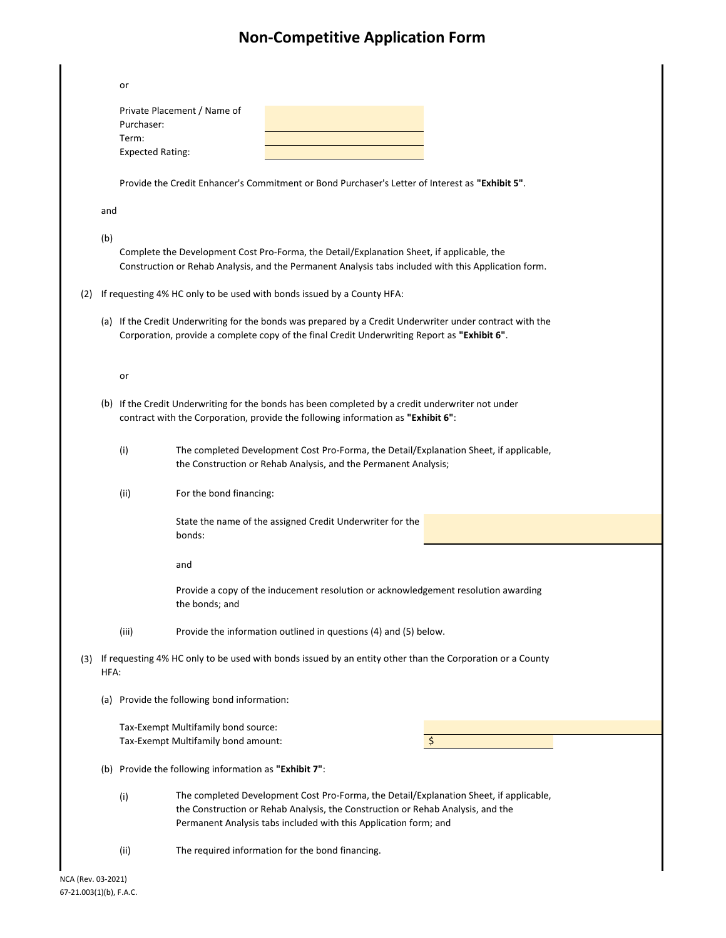|     |      | or                      |                                                                                                                                                                                                                                               |
|-----|------|-------------------------|-----------------------------------------------------------------------------------------------------------------------------------------------------------------------------------------------------------------------------------------------|
|     |      | Purchaser:              | Private Placement / Name of                                                                                                                                                                                                                   |
|     |      | Term:                   |                                                                                                                                                                                                                                               |
|     |      | <b>Expected Rating:</b> |                                                                                                                                                                                                                                               |
|     |      |                         |                                                                                                                                                                                                                                               |
|     |      |                         | Provide the Credit Enhancer's Commitment or Bond Purchaser's Letter of Interest as "Exhibit 5".                                                                                                                                               |
|     | and  |                         |                                                                                                                                                                                                                                               |
|     | (b)  |                         |                                                                                                                                                                                                                                               |
|     |      |                         | Complete the Development Cost Pro-Forma, the Detail/Explanation Sheet, if applicable, the<br>Construction or Rehab Analysis, and the Permanent Analysis tabs included with this Application form.                                             |
| (2) |      |                         | If requesting 4% HC only to be used with bonds issued by a County HFA:                                                                                                                                                                        |
|     |      |                         | (a) If the Credit Underwriting for the bonds was prepared by a Credit Underwriter under contract with the<br>Corporation, provide a complete copy of the final Credit Underwriting Report as "Exhibit 6".                                     |
|     |      | or                      |                                                                                                                                                                                                                                               |
|     |      |                         | (b) If the Credit Underwriting for the bonds has been completed by a credit underwriter not under<br>contract with the Corporation, provide the following information as "Exhibit 6":                                                         |
|     |      |                         |                                                                                                                                                                                                                                               |
|     |      | (i)                     | The completed Development Cost Pro-Forma, the Detail/Explanation Sheet, if applicable,<br>the Construction or Rehab Analysis, and the Permanent Analysis;                                                                                     |
|     |      | (ii)                    | For the bond financing:                                                                                                                                                                                                                       |
|     |      |                         | State the name of the assigned Credit Underwriter for the<br>bonds:                                                                                                                                                                           |
|     |      |                         | and                                                                                                                                                                                                                                           |
|     |      |                         | Provide a copy of the inducement resolution or acknowledgement resolution awarding<br>the bonds; and                                                                                                                                          |
|     |      | (iii)                   | Provide the information outlined in questions (4) and (5) below.                                                                                                                                                                              |
| (3) | HFA: |                         | If requesting 4% HC only to be used with bonds issued by an entity other than the Corporation or a County                                                                                                                                     |
|     | (a)  |                         | Provide the following bond information:                                                                                                                                                                                                       |
|     |      |                         | Tax-Exempt Multifamily bond source:                                                                                                                                                                                                           |
|     |      |                         | Tax-Exempt Multifamily bond amount:<br>\$                                                                                                                                                                                                     |
|     |      |                         | (b) Provide the following information as "Exhibit 7":                                                                                                                                                                                         |
|     |      | (i)                     | The completed Development Cost Pro-Forma, the Detail/Explanation Sheet, if applicable,<br>the Construction or Rehab Analysis, the Construction or Rehab Analysis, and the<br>Permanent Analysis tabs included with this Application form; and |
|     |      | (ii)                    | The required information for the bond financing.                                                                                                                                                                                              |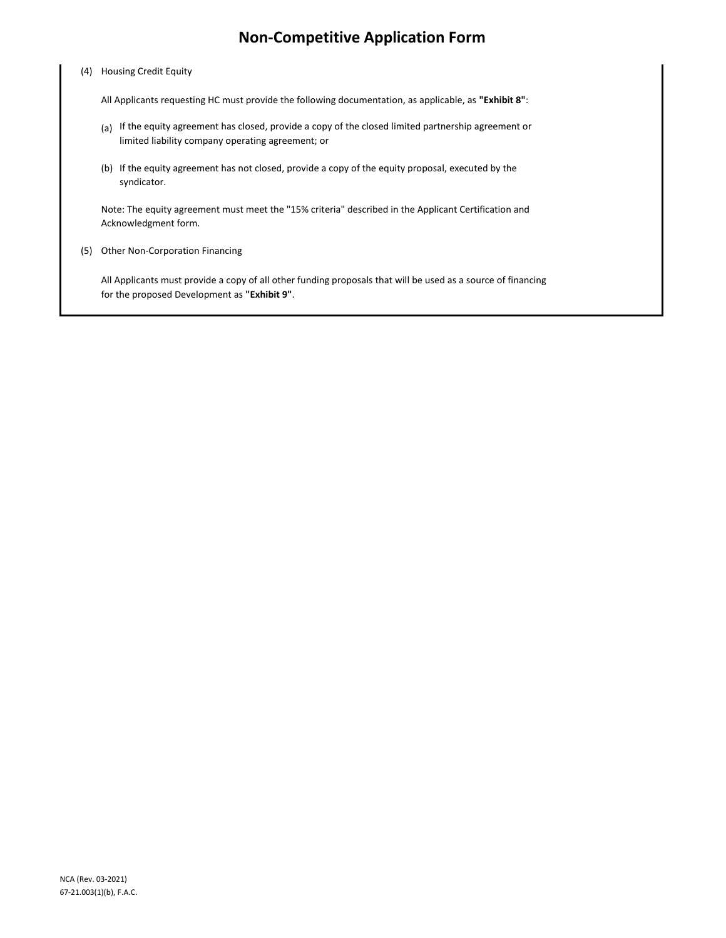### (4) Housing Credit Equity

All Applicants requesting HC must provide the following documentation, as applicable, as **"Exhibit 8"**:

- (a) If the equity agreement has closed, provide a copy of the closed limited partnership agreement or limited liability company operating agreement; or
- (b) If the equity agreement has not closed, provide a copy of the equity proposal, executed by the syndicator.

Note: The equity agreement must meet the "15% criteria" described in the Applicant Certification and Acknowledgment form.

(5) Other Non-Corporation Financing

All Applicants must provide a copy of all other funding proposals that will be used as a source of financing for the proposed Development as **"Exhibit 9"**.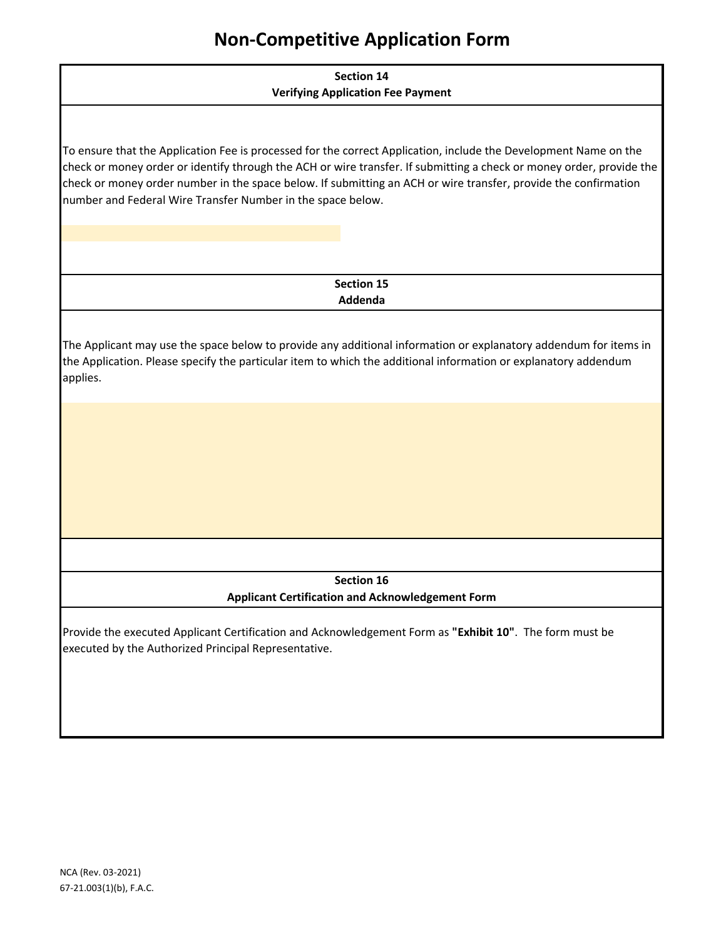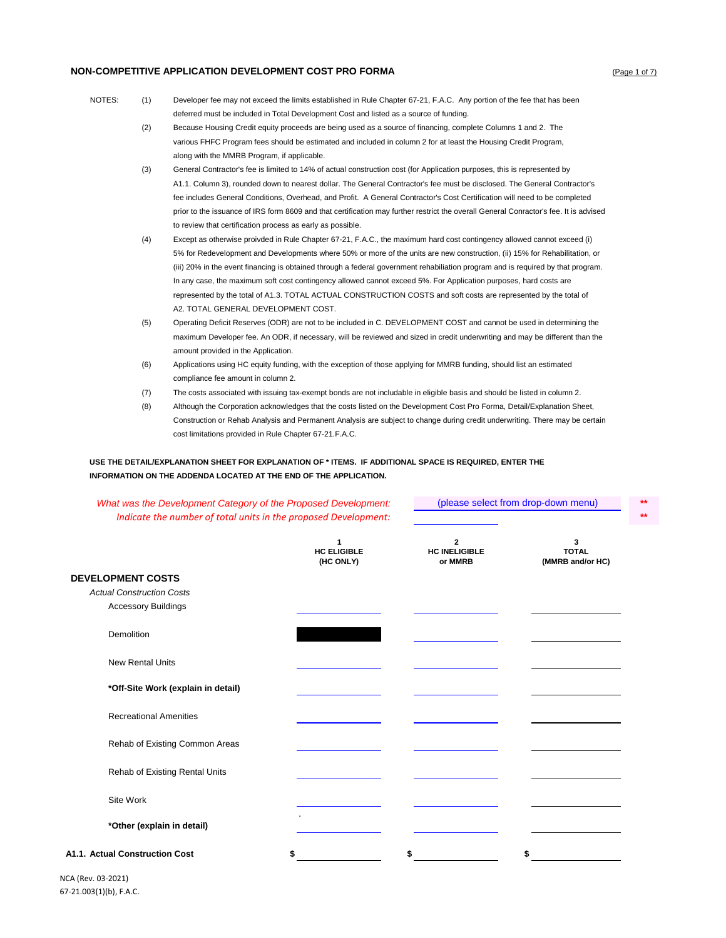#### **NON-COMPETITIVE APPLICATION DEVELOPMENT COST PRO FORMA COMPETITIVE APPLICATION DEVELOPMENT COST PRO FORMA**

- NOTES: (1) Developer fee may not exceed the limits established in Rule Chapter 67-21, F.A.C. Any portion of the fee that has been deferred must be included in Total Development Cost and listed as a source of funding.
	- (2) Because Housing Credit equity proceeds are being used as a source of financing, complete Columns 1 and 2. The various FHFC Program fees should be estimated and included in column 2 for at least the Housing Credit Program, along with the MMRB Program, if applicable.
	- (3) General Contractor's fee is limited to 14% of actual construction cost (for Application purposes, this is represented by A1.1. Column 3), rounded down to nearest dollar. The General Contractor's fee must be disclosed. The General Contractor's fee includes General Conditions, Overhead, and Profit. A General Contractor's Cost Certification will need to be completed prior to the issuance of IRS form 8609 and that certification may further restrict the overall General Conractor's fee. It is advised to review that certification process as early as possible.
	- (4) Except as otherwise proivded in Rule Chapter 67-21, F.A.C., the maximum hard cost contingency allowed cannot exceed (i) 5% for Redevelopment and Developments where 50% or more of the units are new construction, (ii) 15% for Rehabilitation, or (iii) 20% in the event financing is obtained through a federal government rehabiliation program and is required by that program. In any case, the maximum soft cost contingency allowed cannot exceed 5%. For Application purposes, hard costs are represented by the total of A1.3. TOTAL ACTUAL CONSTRUCTION COSTS and soft costs are represented by the total of A2. TOTAL GENERAL DEVELOPMENT COST.
	- (5) Operating Deficit Reserves (ODR) are not to be included in C. DEVELOPMENT COST and cannot be used in determining the maximum Developer fee. An ODR, if necessary, will be reviewed and sized in credit underwriting and may be different than the amount provided in the Application.
	- (6) Applications using HC equity funding, with the exception of those applying for MMRB funding, should list an estimated compliance fee amount in column 2.
	- (7) The costs associated with issuing tax-exempt bonds are not includable in eligible basis and should be listed in column 2.
	- (8) Although the Corporation acknowledges that the costs listed on the Development Cost Pro Forma, Detail/Explanation Sheet, Construction or Rehab Analysis and Permanent Analysis are subject to change during credit underwriting. There may be certain cost limitations provided in Rule Chapter 67-21.F.A.C.

(please select from drop-down menu)

### **USE THE DETAIL/EXPLANATION SHEET FOR EXPLANATION OF \* ITEMS. IF ADDITIONAL SPACE IS REQUIRED, ENTER THE INFORMATION ON THE ADDENDA LOCATED AT THE END OF THE APPLICATION.**

| What was the Development Category of the Proposed Development:<br>Indicate the number of total units in the proposed Development: |                                      |                                      | (please select from drop-down menu)   | $**$<br>$**$ |  |
|-----------------------------------------------------------------------------------------------------------------------------------|--------------------------------------|--------------------------------------|---------------------------------------|--------------|--|
|                                                                                                                                   | 1<br><b>HC ELIGIBLE</b><br>(HC ONLY) | 2<br><b>HC INELIGIBLE</b><br>or MMRB | 3<br><b>TOTAL</b><br>(MMRB and/or HC) |              |  |
| <b>DEVELOPMENT COSTS</b>                                                                                                          |                                      |                                      |                                       |              |  |
| <b>Actual Construction Costs</b>                                                                                                  |                                      |                                      |                                       |              |  |
| <b>Accessory Buildings</b>                                                                                                        |                                      |                                      |                                       |              |  |
| <b>Demolition</b>                                                                                                                 |                                      |                                      |                                       |              |  |
| <b>New Rental Units</b>                                                                                                           |                                      |                                      |                                       |              |  |
| *Off-Site Work (explain in detail)                                                                                                |                                      |                                      |                                       |              |  |
| <b>Recreational Amenities</b>                                                                                                     |                                      |                                      |                                       |              |  |
| Rehab of Existing Common Areas                                                                                                    |                                      |                                      |                                       |              |  |
| Rehab of Existing Rental Units                                                                                                    |                                      |                                      |                                       |              |  |
| Site Work                                                                                                                         |                                      |                                      |                                       |              |  |
| *Other (explain in detail)                                                                                                        |                                      |                                      |                                       |              |  |
| A1.1. Actual Construction Cost                                                                                                    | \$                                   |                                      | \$                                    |              |  |

NCA (Rev. 03-2021) 67-21.003(1)(b), F.A.C.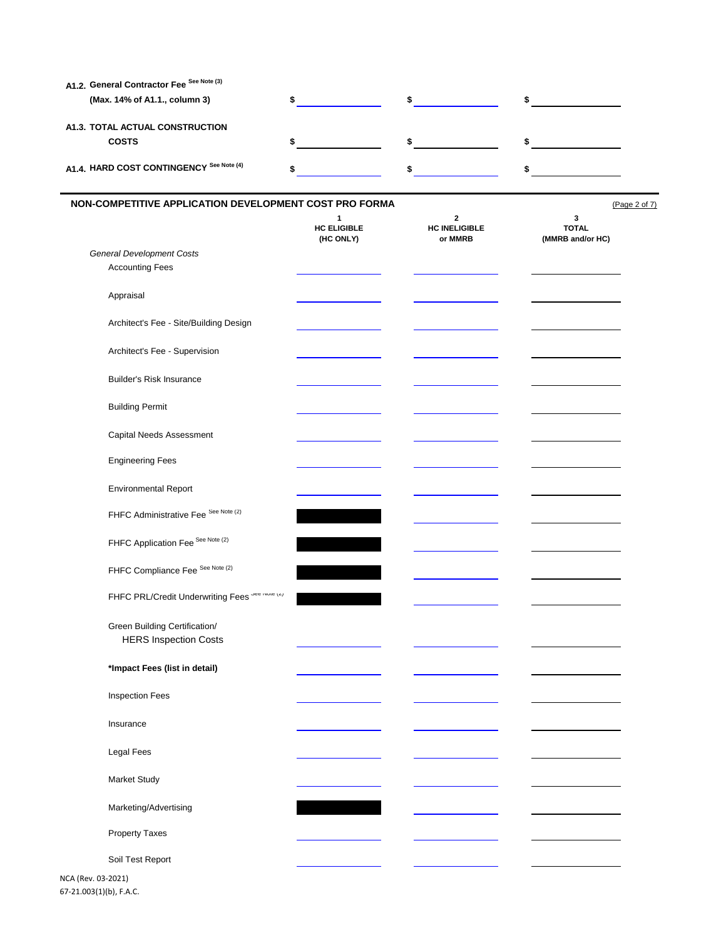| (Max. 14% of A1.1., column 3)                                 | \$                                   | $\sim$                                         | $\sim$                                |               |
|---------------------------------------------------------------|--------------------------------------|------------------------------------------------|---------------------------------------|---------------|
| A1.3. TOTAL ACTUAL CONSTRUCTION<br><b>COSTS</b>               | \$                                   | \$                                             | \$                                    |               |
| A1.4. HARD COST CONTINGENCY See Note (4)                      | \$                                   | \$                                             | \$                                    |               |
| NON-COMPETITIVE APPLICATION DEVELOPMENT COST PRO FORMA        |                                      |                                                |                                       | (Page 2 of 7) |
|                                                               | 1<br><b>HC ELIGIBLE</b><br>(HC ONLY) | $\mathbf 2$<br><b>HC INELIGIBLE</b><br>or MMRB | 3<br><b>TOTAL</b><br>(MMRB and/or HC) |               |
| <b>General Development Costs</b><br><b>Accounting Fees</b>    |                                      |                                                |                                       |               |
| Appraisal                                                     |                                      |                                                |                                       |               |
| Architect's Fee - Site/Building Design                        |                                      |                                                |                                       |               |
| Architect's Fee - Supervision                                 |                                      |                                                |                                       |               |
| <b>Builder's Risk Insurance</b>                               |                                      |                                                |                                       |               |
| <b>Building Permit</b>                                        |                                      |                                                |                                       |               |
| Capital Needs Assessment                                      |                                      |                                                |                                       |               |
| <b>Engineering Fees</b>                                       |                                      |                                                |                                       |               |
| <b>Environmental Report</b>                                   |                                      |                                                |                                       |               |
| FHFC Administrative Fee See Note (2)                          |                                      |                                                |                                       |               |
| FHFC Application Fee See Note (2)                             |                                      |                                                |                                       |               |
| FHFC Compliance Fee See Note (2)                              |                                      |                                                |                                       |               |
| FHFC PRL/Credit Underwriting Fees See Note (2)                |                                      |                                                |                                       |               |
| Green Building Certification/<br><b>HERS Inspection Costs</b> |                                      |                                                |                                       |               |
| *Impact Fees (list in detail)                                 |                                      |                                                |                                       |               |
| <b>Inspection Fees</b>                                        |                                      |                                                |                                       |               |
| Insurance                                                     |                                      |                                                |                                       |               |
| <b>Legal Fees</b>                                             |                                      |                                                |                                       |               |
| Market Study                                                  |                                      |                                                |                                       |               |
| Marketing/Advertising                                         |                                      |                                                |                                       |               |
| Property Taxes                                                |                                      |                                                |                                       |               |
| Soil Test Report                                              |                                      |                                                |                                       |               |

67-21.003(1)(b), F.A.C.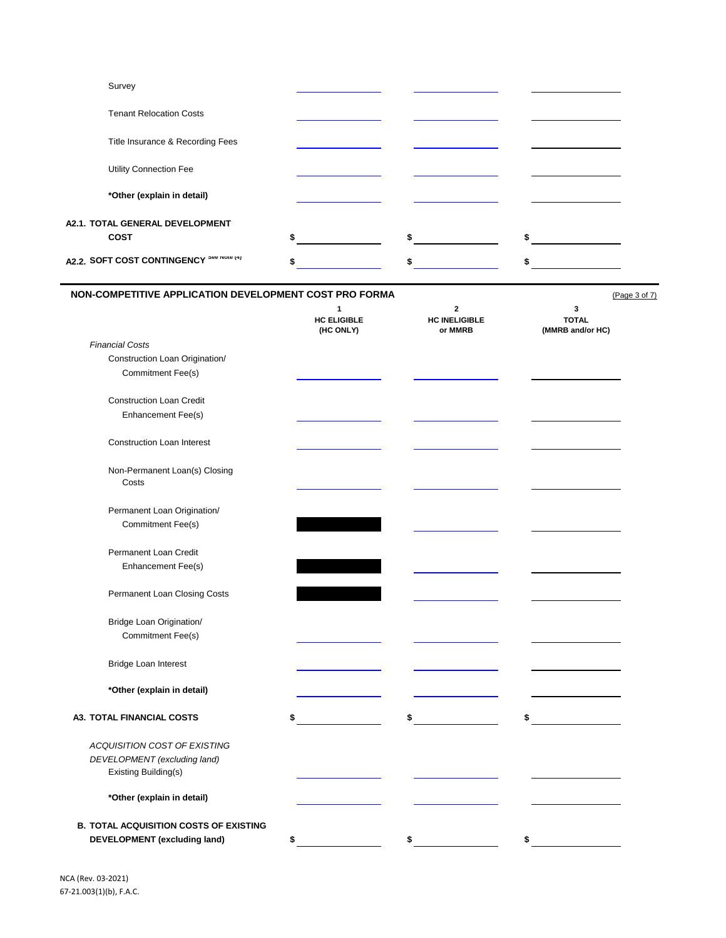| Survey                                   |            |  |
|------------------------------------------|------------|--|
| <b>Tenant Relocation Costs</b>           |            |  |
| Title Insurance & Recording Fees         |            |  |
| <b>Utility Connection Fee</b>            |            |  |
| *Other (explain in detail)               |            |  |
| <b>A2.1. TOTAL GENERAL DEVELOPMENT</b>   |            |  |
| <b>COST</b>                              | \$<br>s in |  |
| A2.2. SOFT COST CONTINGENCY See NOte (4) | \$.        |  |

| NON-COMPETITIVE APPLICATION DEVELOPMENT COST PRO FORMA |                                                 | (Page 3 of 7)                                   |                                       |
|--------------------------------------------------------|-------------------------------------------------|-------------------------------------------------|---------------------------------------|
|                                                        | $\mathbf{1}$<br><b>HC ELIGIBLE</b><br>(HC ONLY) | $\mathbf{2}$<br><b>HC INELIGIBLE</b><br>or MMRB | 3<br><b>TOTAL</b><br>(MMRB and/or HC) |
| <b>Financial Costs</b>                                 |                                                 |                                                 |                                       |
| Construction Loan Origination/                         |                                                 |                                                 |                                       |
| Commitment Fee(s)                                      |                                                 |                                                 |                                       |
| <b>Construction Loan Credit</b>                        |                                                 |                                                 |                                       |
| Enhancement Fee(s)                                     |                                                 |                                                 |                                       |
| <b>Construction Loan Interest</b>                      |                                                 |                                                 |                                       |
| Non-Permanent Loan(s) Closing<br>Costs                 |                                                 |                                                 |                                       |
| Permanent Loan Origination/                            |                                                 |                                                 |                                       |
| Commitment Fee(s)                                      |                                                 |                                                 |                                       |
| Permanent Loan Credit                                  |                                                 |                                                 |                                       |
| Enhancement Fee(s)                                     |                                                 |                                                 |                                       |
| Permanent Loan Closing Costs                           |                                                 |                                                 |                                       |
| Bridge Loan Origination/                               |                                                 |                                                 |                                       |
| Commitment Fee(s)                                      |                                                 |                                                 |                                       |
| Bridge Loan Interest                                   |                                                 |                                                 |                                       |
| *Other (explain in detail)                             |                                                 |                                                 |                                       |
| <b>A3. TOTAL FINANCIAL COSTS</b>                       | \$                                              | \$                                              | \$                                    |
| ACQUISITION COST OF EXISTING                           |                                                 |                                                 |                                       |
| DEVELOPMENT (excluding land)<br>Existing Building(s)   |                                                 |                                                 |                                       |
| *Other (explain in detail)                             |                                                 |                                                 |                                       |
| <b>B. TOTAL ACQUISITION COSTS OF EXISTING</b>          |                                                 |                                                 |                                       |
| <b>DEVELOPMENT</b> (excluding land)                    | \$                                              | \$                                              | \$                                    |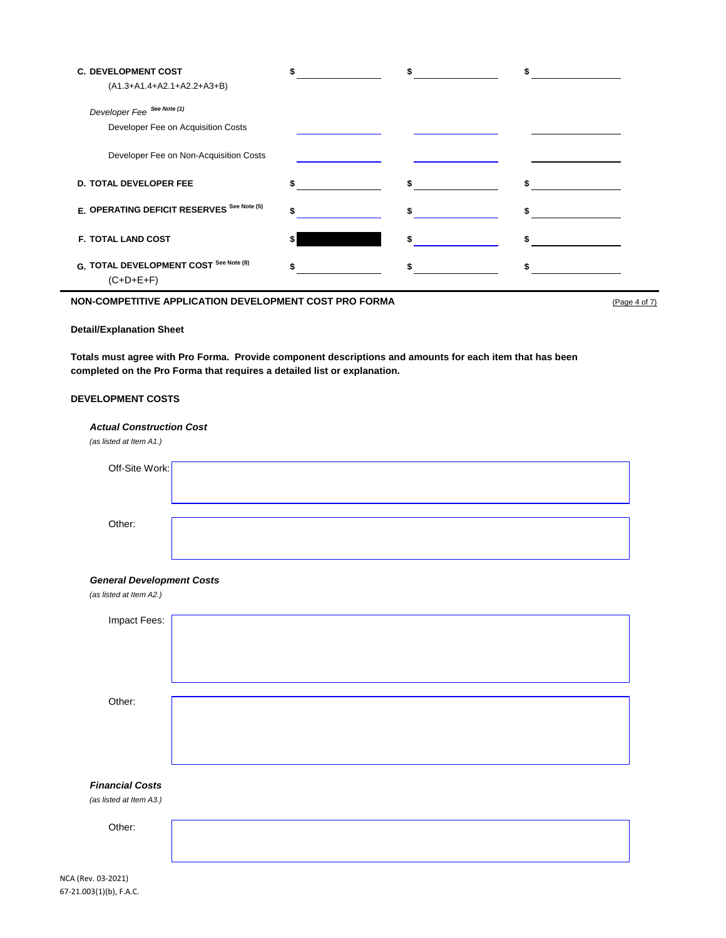| <b>C. DEVELOPMENT COST</b><br>(A1.3+A1.4+A2.1+A2.2+A3+B) |    |   |
|----------------------------------------------------------|----|---|
| Developer Fee See Note (1)                               |    |   |
| Developer Fee on Acquisition Costs                       |    |   |
| Developer Fee on Non-Acquisition Costs                   |    |   |
| <b>D. TOTAL DEVELOPER FEE</b>                            |    |   |
| E. OPERATING DEFICIT RESERVES See Note (5)               |    |   |
| <b>F. TOTAL LAND COST</b>                                | \$ |   |
| G. TOTAL DEVELOPMENT COST See Note (8)<br>$(C+D+E+F)$    |    | S |

## **NON-COMPETITIVE APPLICATION DEVELOPMENT COST PRO FORMA** (Page 4 of 7)

### **Detail/Explanation Sheet**

**Totals must agree with Pro Forma. Provide component descriptions and amounts for each item that has been completed on the Pro Forma that requires a detailed list or explanation.**

### **DEVELOPMENT COSTS**

| <b>Actual Construction Cost</b><br>(as listed at Item A1.) |  |  |  |
|------------------------------------------------------------|--|--|--|
| Off-Site Work:                                             |  |  |  |
|                                                            |  |  |  |
| Other:                                                     |  |  |  |
|                                                            |  |  |  |

#### *General Development Costs (as listed at Item A2.)*

| (as ilsted at Item A2.)                           |  |
|---------------------------------------------------|--|
| Impact Fees:                                      |  |
| Other:                                            |  |
| <b>Financial Costs</b><br>(as listed at Item A3.) |  |
| Other:                                            |  |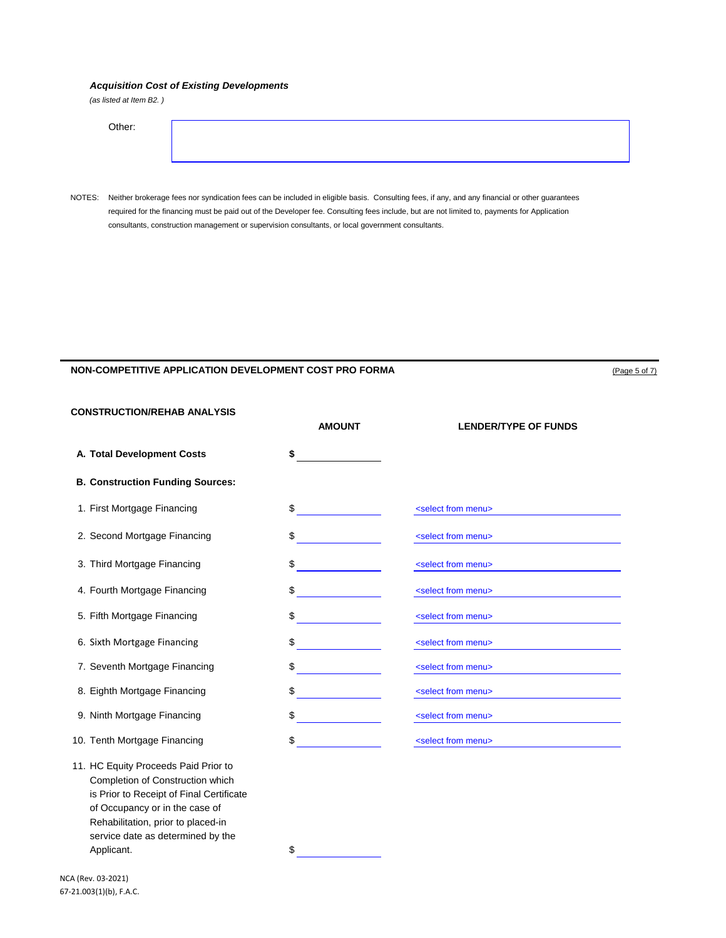### *Acquisition Cost of Existing Developments*

*(as listed at Item B2. )*

| Other: |  |  |  |
|--------|--|--|--|
|        |  |  |  |

NOTES: Neither brokerage fees nor syndication fees can be included in eligible basis. Consulting fees, if any, and any financial or other guarantees required for the financing must be paid out of the Developer fee. Consulting fees include, but are not limited to, payments for Application consultants, construction management or supervision consultants, or local government consultants.

### **NON-COMPETITIVE APPLICATION DEVELOPMENT COST PRO FORMA COMPUTER COMPUTER** (Page 5 of 7)

**CONSTRUCTION/REHAB ANALYSIS**

|                                                                                                                                                        | <b>AMOUNT</b> | <b>LENDER/TYPE OF FUNDS</b>       |
|--------------------------------------------------------------------------------------------------------------------------------------------------------|---------------|-----------------------------------|
| A. Total Development Costs                                                                                                                             | \$            |                                   |
| <b>B. Construction Funding Sources:</b>                                                                                                                |               |                                   |
| 1. First Mortgage Financing                                                                                                                            | \$            | <select from="" menu=""></select> |
| 2. Second Mortgage Financing                                                                                                                           | \$            | <select from="" menu=""></select> |
| 3. Third Mortgage Financing                                                                                                                            | \$            | <select from="" menu=""></select> |
| 4. Fourth Mortgage Financing                                                                                                                           | \$            | <select from="" menu=""></select> |
| 5. Fifth Mortgage Financing                                                                                                                            | \$            | <select from="" menu=""></select> |
| 6. Sixth Mortgage Financing                                                                                                                            | \$            | <select from="" menu=""></select> |
| 7. Seventh Mortgage Financing                                                                                                                          | \$            | <select from="" menu=""></select> |
| 8. Eighth Mortgage Financing                                                                                                                           | \$            | <select from="" menu=""></select> |
| 9. Ninth Mortgage Financing                                                                                                                            | \$            | <select from="" menu=""></select> |
| 10. Tenth Mortgage Financing                                                                                                                           | \$            | <select from="" menu=""></select> |
| 11. HC Equity Proceeds Paid Prior to<br>Completion of Construction which<br>is Prior to Receipt of Final Certificate<br>of Occupancy or in the case of |               |                                   |

Rehabilitation, prior to placed-in service date as determined by the

Applicant.  $\qquad \qquad$   $\qquad \qquad$   $\qquad \qquad$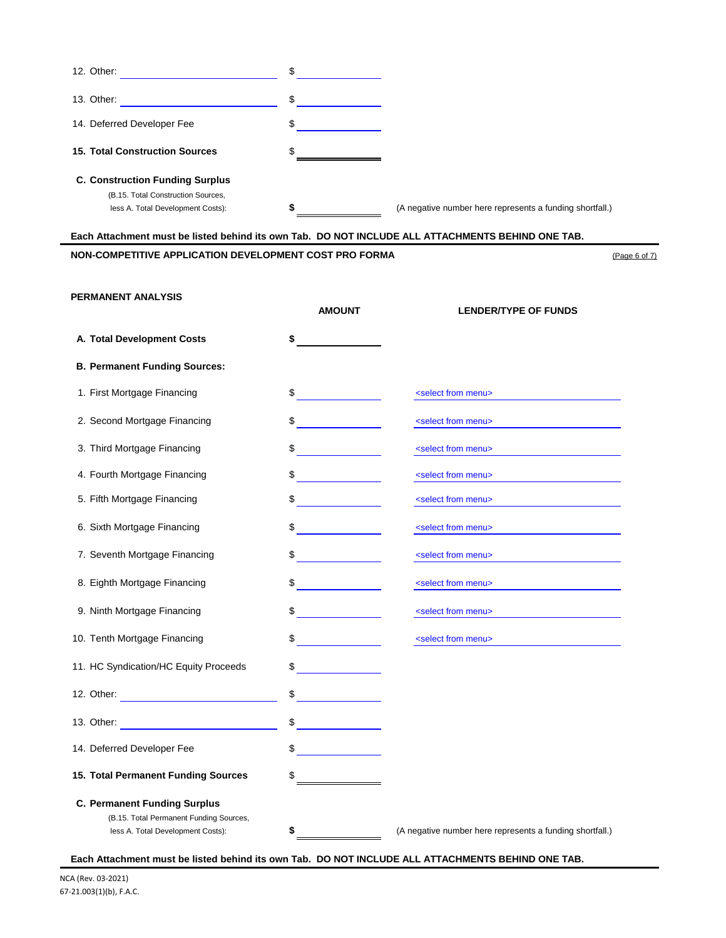| 12. Other:                             | \$ |                                                          |
|----------------------------------------|----|----------------------------------------------------------|
| 13. Other:                             | \$ |                                                          |
| 14. Deferred Developer Fee             | \$ |                                                          |
| 15. Total Construction Sources         | \$ |                                                          |
| <b>C. Construction Funding Surplus</b> |    |                                                          |
| (B.15. Total Construction Sources,     |    |                                                          |
| less A. Total Development Costs):      | æ  | (A negative number here represents a funding shortfall.) |

**Each Attachment must be listed behind its own Tab. DO NOT INCLUDE ALL ATTACHMENTS BEHIND ONE TAB.**

# **NON-COMPETITIVE APPLICATION DEVELOPMENT COST PRO FORMA** (Page 6 of 7)

### **PERMANENT ANALYSIS**

|                                                                                                                                                                                                                                | <b>AMOUNT</b>                  | <b>LENDER/TYPE OF FUNDS</b>                              |
|--------------------------------------------------------------------------------------------------------------------------------------------------------------------------------------------------------------------------------|--------------------------------|----------------------------------------------------------|
| A. Total Development Costs                                                                                                                                                                                                     | \$                             |                                                          |
| <b>B. Permanent Funding Sources:</b>                                                                                                                                                                                           |                                |                                                          |
| 1. First Mortgage Financing                                                                                                                                                                                                    | \$                             | <select from="" menu=""></select>                        |
| 2. Second Mortgage Financing                                                                                                                                                                                                   | \$                             | <select from="" menu=""></select>                        |
| 3. Third Mortgage Financing                                                                                                                                                                                                    | \$                             | <select from="" menu=""></select>                        |
| 4. Fourth Mortgage Financing                                                                                                                                                                                                   | \$                             | <select from="" menu=""></select>                        |
| 5. Fifth Mortgage Financing                                                                                                                                                                                                    | \$                             | <select from="" menu=""></select>                        |
| 6. Sixth Mortgage Financing                                                                                                                                                                                                    | \$                             | <select from="" menu=""></select>                        |
| 7. Seventh Mortgage Financing                                                                                                                                                                                                  | \$<br><b>Contract Contract</b> | <select from="" menu=""></select>                        |
| 8. Eighth Mortgage Financing                                                                                                                                                                                                   | $\sim$                         | <select from="" menu=""></select>                        |
| 9. Ninth Mortgage Financing                                                                                                                                                                                                    | \$                             | <select from="" menu=""></select>                        |
| 10. Tenth Mortgage Financing                                                                                                                                                                                                   | \$                             | <select from="" menu=""></select>                        |
| 11. HC Syndication/HC Equity Proceeds                                                                                                                                                                                          | \$                             |                                                          |
|                                                                                                                                                                                                                                | \$                             |                                                          |
| 13. Other: The Communication of the Communication of the Communication of the Communication of the Communication of the Communication of the Communication of the Communication of the Communication of the Communication of t | \$                             |                                                          |
| 14. Deferred Developer Fee                                                                                                                                                                                                     | \$                             |                                                          |
| 15. Total Permanent Funding Sources                                                                                                                                                                                            | \$                             |                                                          |
| <b>C. Permanent Funding Surplus</b>                                                                                                                                                                                            |                                |                                                          |
| (B.15. Total Permanent Funding Sources,                                                                                                                                                                                        |                                |                                                          |
| less A. Total Development Costs):                                                                                                                                                                                              | \$                             | (A negative number here represents a funding shortfall.) |

**Each Attachment must be listed behind its own Tab. DO NOT INCLUDE ALL ATTACHMENTS BEHIND ONE TAB.**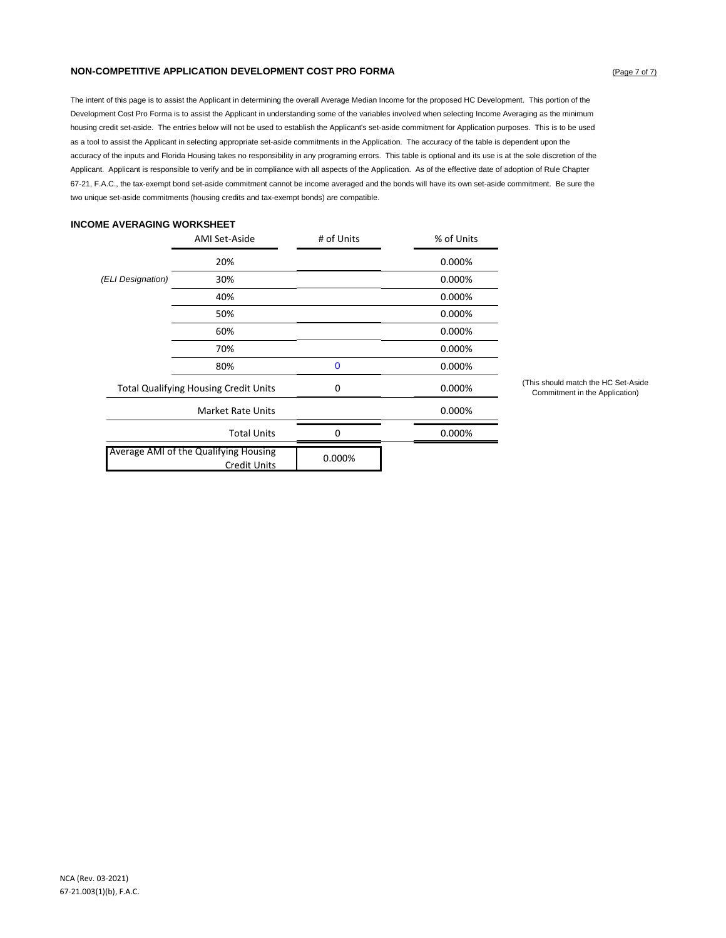### **NON-COMPETITIVE APPLICATION DEVELOPMENT COST PRO FORMA COMPUTER COMPUTER** (Page 7 of 7)

The intent of this page is to assist the Applicant in determining the overall Average Median Income for the proposed HC Development. This portion of the Development Cost Pro Forma is to assist the Applicant in understanding some of the variables involved when selecting Income Averaging as the minimum housing credit set-aside. The entries below will not be used to establish the Applicant's set-aside commitment for Application purposes. This is to be used as a tool to assist the Applicant in selecting appropriate set-aside commitments in the Application. The accuracy of the table is dependent upon the accuracy of the inputs and Florida Housing takes no responsibility in any programing errors. This table is optional and its use is at the sole discretion of the Applicant. Applicant is responsible to verify and be in compliance with all aspects of the Application. As of the effective date of adoption of Rule Chapter 67-21, F.A.C., the tax-exempt bond set-aside commitment cannot be income averaged and the bonds will have its own set-aside commitment. Be sure the two unique set-aside commitments (housing credits and tax-exempt bonds) are compatible.

### **INCOME AVERAGING WORKSHEET**

|                                                              | AMI Set-Aside            | # of Units  | % of Units |
|--------------------------------------------------------------|--------------------------|-------------|------------|
|                                                              | 20%                      |             | 0.000%     |
| (ELI Designation)                                            | 30%                      |             | 0.000%     |
|                                                              | 40%                      |             | 0.000%     |
|                                                              | 50%                      |             | 0.000%     |
|                                                              | 60%                      |             | 0.000%     |
|                                                              | 70%                      |             | 0.000%     |
|                                                              | 80%                      | $\mathbf 0$ | 0.000%     |
| <b>Total Qualifying Housing Credit Units</b>                 |                          | 0           | 0.000%     |
|                                                              | <b>Market Rate Units</b> |             | 0.000%     |
| <b>Total Units</b>                                           |                          | $\Omega$    | 0.000%     |
| Average AMI of the Qualifying Housing<br><b>Credit Units</b> |                          | 0.000%      |            |

(This should match the HC Set-Aside Commitment in the Application)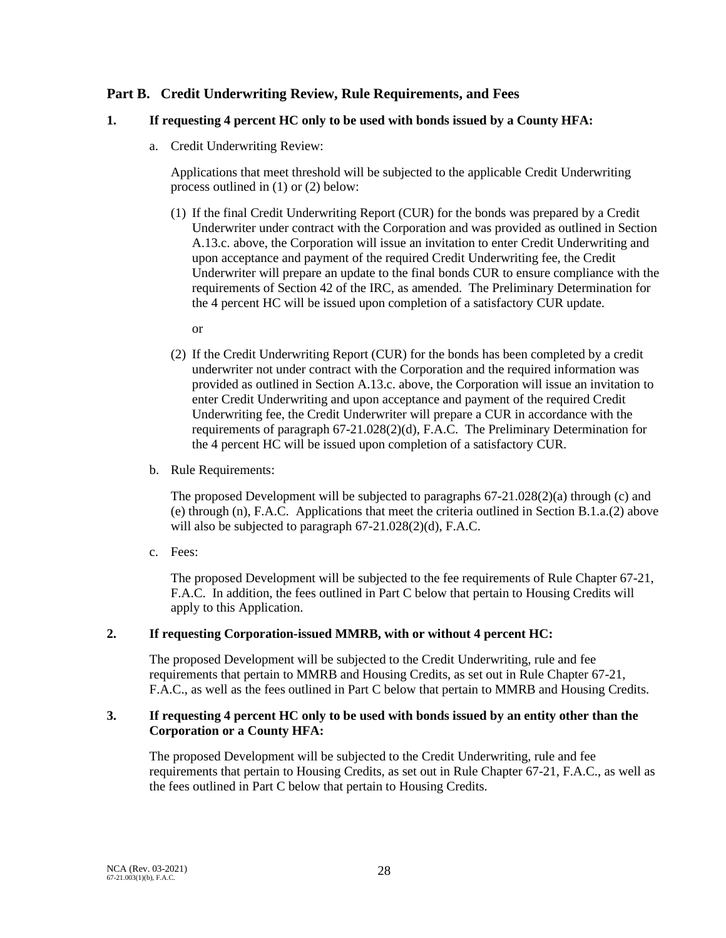# **Part B. Credit Underwriting Review, Rule Requirements, and Fees**

# **1. If requesting 4 percent HC only to be used with bonds issued by a County HFA:**

a. Credit Underwriting Review:

Applications that meet threshold will be subjected to the applicable Credit Underwriting process outlined in (1) or (2) below:

- (1) If the final Credit Underwriting Report (CUR) for the bonds was prepared by a Credit Underwriter under contract with the Corporation and was provided as outlined in Section A.13.c. above, the Corporation will issue an invitation to enter Credit Underwriting and upon acceptance and payment of the required Credit Underwriting fee, the Credit Underwriter will prepare an update to the final bonds CUR to ensure compliance with the requirements of Section 42 of the IRC, as amended. The Preliminary Determination for the 4 percent HC will be issued upon completion of a satisfactory CUR update.
	- or
- (2) If the Credit Underwriting Report (CUR) for the bonds has been completed by a credit underwriter not under contract with the Corporation and the required information was provided as outlined in Section A.13.c. above, the Corporation will issue an invitation to enter Credit Underwriting and upon acceptance and payment of the required Credit Underwriting fee, the Credit Underwriter will prepare a CUR in accordance with the requirements of paragraph 67-21.028(2)(d), F.A.C. The Preliminary Determination for the 4 percent HC will be issued upon completion of a satisfactory CUR.
- b. Rule Requirements:

The proposed Development will be subjected to paragraphs 67-21.028(2)(a) through (c) and (e) through (n), F.A.C. Applications that meet the criteria outlined in Section B.1.a.(2) above will also be subjected to paragraph 67-21.028(2)(d), F.A.C.

c. Fees:

The proposed Development will be subjected to the fee requirements of Rule Chapter 67-21, F.A.C. In addition, the fees outlined in Part C below that pertain to Housing Credits will apply to this Application.

# **2. If requesting Corporation-issued MMRB, with or without 4 percent HC:**

The proposed Development will be subjected to the Credit Underwriting, rule and fee requirements that pertain to MMRB and Housing Credits, as set out in Rule Chapter 67-21, F.A.C., as well as the fees outlined in Part C below that pertain to MMRB and Housing Credits.

# **3. If requesting 4 percent HC only to be used with bonds issued by an entity other than the Corporation or a County HFA:**

The proposed Development will be subjected to the Credit Underwriting, rule and fee requirements that pertain to Housing Credits, as set out in Rule Chapter 67-21, F.A.C., as well as the fees outlined in Part C below that pertain to Housing Credits.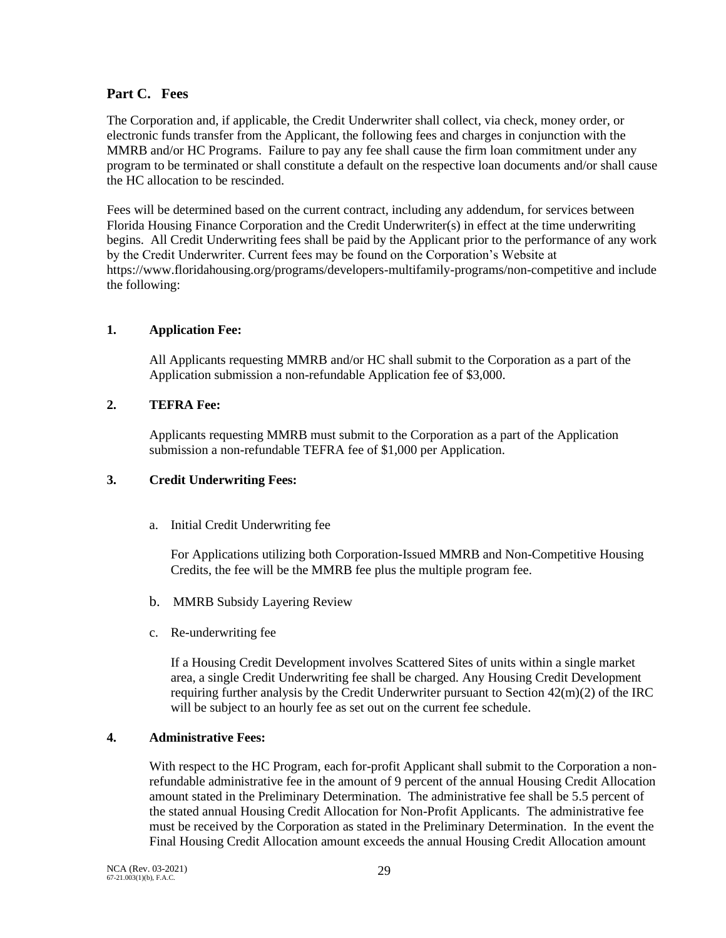# **Part C. Fees**

The Corporation and, if applicable, the Credit Underwriter shall collect, via check, money order, or electronic funds transfer from the Applicant, the following fees and charges in conjunction with the MMRB and/or HC Programs. Failure to pay any fee shall cause the firm loan commitment under any program to be terminated or shall constitute a default on the respective loan documents and/or shall cause the HC allocation to be rescinded.

Fees will be determined based on the current contract, including any addendum, for services between Florida Housing Finance Corporation and the Credit Underwriter(s) in effect at the time underwriting begins. All Credit Underwriting fees shall be paid by the Applicant prior to the performance of any work by the Credit Underwriter. Current fees may be found on the Corporation's Website at https://www.floridahousing.org/programs/developers-multifamily-programs/non-competitive and include the following:

# **1. Application Fee:**

All Applicants requesting MMRB and/or HC shall submit to the Corporation as a part of the Application submission a non-refundable Application fee of \$3,000.

# **2. TEFRA Fee:**

Applicants requesting MMRB must submit to the Corporation as a part of the Application submission a non-refundable TEFRA fee of \$1,000 per Application.

# **3. Credit Underwriting Fees:**

a. Initial Credit Underwriting fee

For Applications utilizing both Corporation-Issued MMRB and Non-Competitive Housing Credits, the fee will be the MMRB fee plus the multiple program fee.

- b. MMRB Subsidy Layering Review
- c. Re-underwriting fee

If a Housing Credit Development involves Scattered Sites of units within a single market area, a single Credit Underwriting fee shall be charged. Any Housing Credit Development requiring further analysis by the Credit Underwriter pursuant to Section  $42(m)(2)$  of the IRC will be subject to an hourly fee as set out on the current fee schedule.

# **4. Administrative Fees:**

With respect to the HC Program, each for-profit Applicant shall submit to the Corporation a nonrefundable administrative fee in the amount of 9 percent of the annual Housing Credit Allocation amount stated in the Preliminary Determination. The administrative fee shall be 5.5 percent of the stated annual Housing Credit Allocation for Non-Profit Applicants. The administrative fee must be received by the Corporation as stated in the Preliminary Determination. In the event the Final Housing Credit Allocation amount exceeds the annual Housing Credit Allocation amount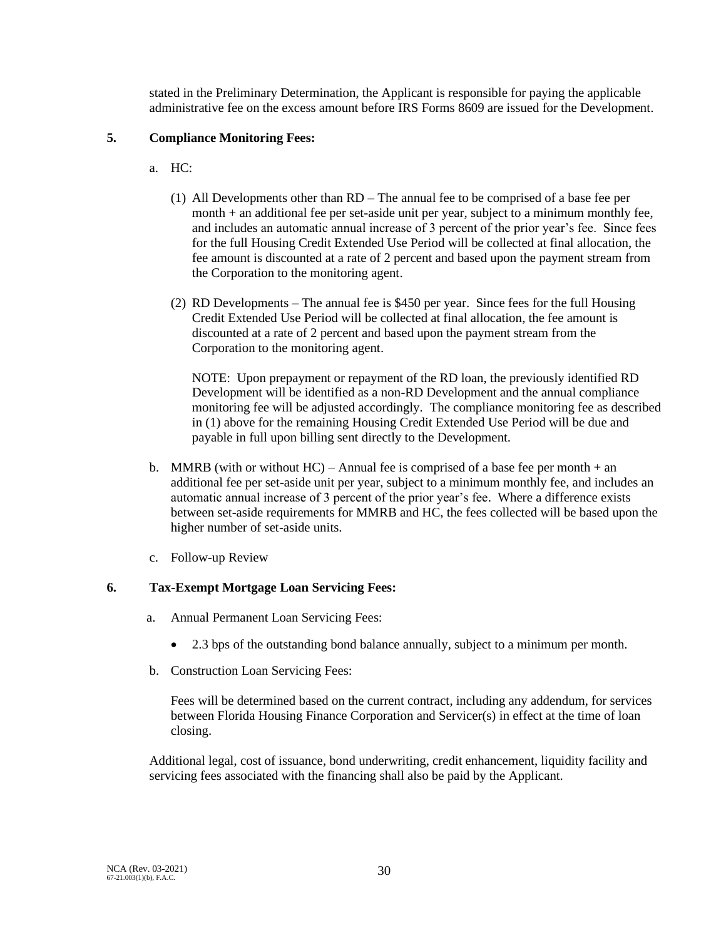stated in the Preliminary Determination, the Applicant is responsible for paying the applicable administrative fee on the excess amount before IRS Forms 8609 are issued for the Development.

# **5. Compliance Monitoring Fees:**

- a. HC:
	- (1) All Developments other than RD The annual fee to be comprised of a base fee per month + an additional fee per set-aside unit per year, subject to a minimum monthly fee, and includes an automatic annual increase of 3 percent of the prior year's fee. Since fees for the full Housing Credit Extended Use Period will be collected at final allocation, the fee amount is discounted at a rate of 2 percent and based upon the payment stream from the Corporation to the monitoring agent.
	- (2) RD Developments The annual fee is \$450 per year. Since fees for the full Housing Credit Extended Use Period will be collected at final allocation, the fee amount is discounted at a rate of 2 percent and based upon the payment stream from the Corporation to the monitoring agent.

NOTE: Upon prepayment or repayment of the RD loan, the previously identified RD Development will be identified as a non-RD Development and the annual compliance monitoring fee will be adjusted accordingly. The compliance monitoring fee as described in (1) above for the remaining Housing Credit Extended Use Period will be due and payable in full upon billing sent directly to the Development.

- b. MMRB (with or without  $HC$ ) Annual fee is comprised of a base fee per month  $+$  an additional fee per set-aside unit per year, subject to a minimum monthly fee, and includes an automatic annual increase of 3 percent of the prior year's fee. Where a difference exists between set-aside requirements for MMRB and HC, the fees collected will be based upon the higher number of set-aside units.
- c. Follow-up Review

# **6. Tax-Exempt Mortgage Loan Servicing Fees:**

- a. Annual Permanent Loan Servicing Fees:
	- 2.3 bps of the outstanding bond balance annually, subject to a minimum per month.
- b. Construction Loan Servicing Fees:

Fees will be determined based on the current contract, including any addendum, for services between Florida Housing Finance Corporation and Servicer(s) in effect at the time of loan closing.

Additional legal, cost of issuance, bond underwriting, credit enhancement, liquidity facility and servicing fees associated with the financing shall also be paid by the Applicant.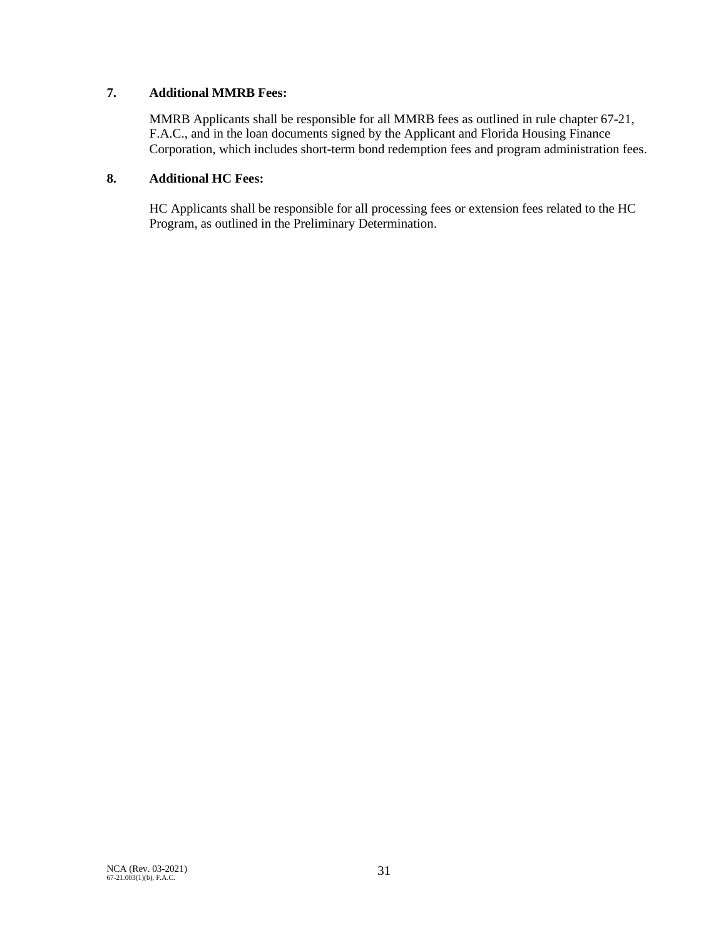# **7. Additional MMRB Fees:**

MMRB Applicants shall be responsible for all MMRB fees as outlined in rule chapter 67-21, F.A.C., and in the loan documents signed by the Applicant and Florida Housing Finance Corporation, which includes short-term bond redemption fees and program administration fees.

# **8. Additional HC Fees:**

HC Applicants shall be responsible for all processing fees or extension fees related to the HC Program, as outlined in the Preliminary Determination.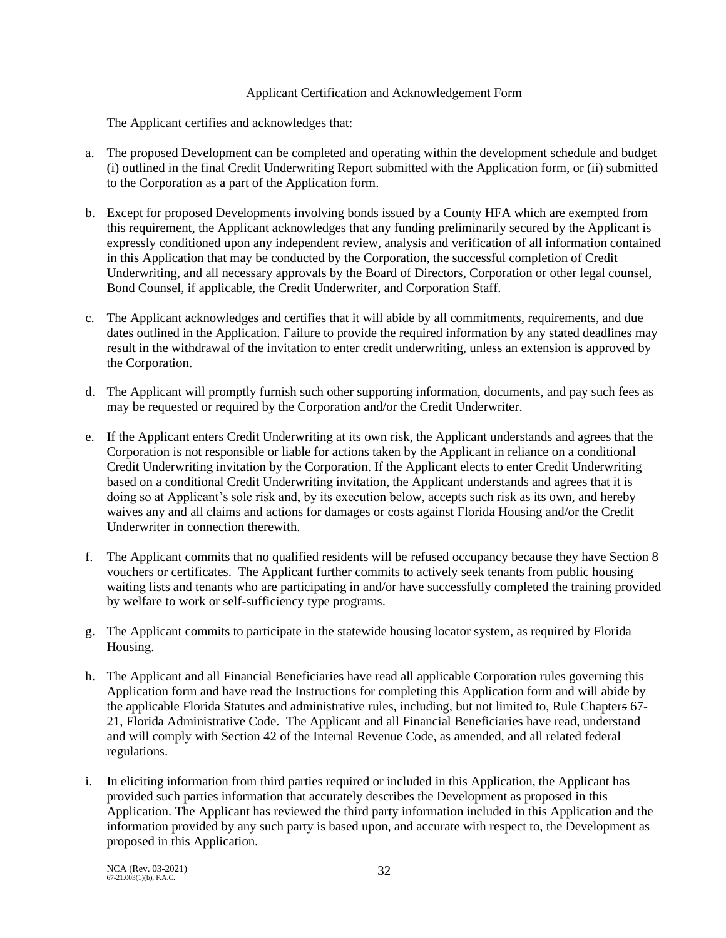# Applicant Certification and Acknowledgement Form

The Applicant certifies and acknowledges that:

- a. The proposed Development can be completed and operating within the development schedule and budget (i) outlined in the final Credit Underwriting Report submitted with the Application form, or (ii) submitted to the Corporation as a part of the Application form.
- b. Except for proposed Developments involving bonds issued by a County HFA which are exempted from this requirement, the Applicant acknowledges that any funding preliminarily secured by the Applicant is expressly conditioned upon any independent review, analysis and verification of all information contained in this Application that may be conducted by the Corporation, the successful completion of Credit Underwriting, and all necessary approvals by the Board of Directors, Corporation or other legal counsel, Bond Counsel, if applicable, the Credit Underwriter, and Corporation Staff.
- c. The Applicant acknowledges and certifies that it will abide by all commitments, requirements, and due dates outlined in the Application. Failure to provide the required information by any stated deadlines may result in the withdrawal of the invitation to enter credit underwriting, unless an extension is approved by the Corporation.
- d. The Applicant will promptly furnish such other supporting information, documents, and pay such fees as may be requested or required by the Corporation and/or the Credit Underwriter.
- e. If the Applicant enters Credit Underwriting at its own risk, the Applicant understands and agrees that the Corporation is not responsible or liable for actions taken by the Applicant in reliance on a conditional Credit Underwriting invitation by the Corporation. If the Applicant elects to enter Credit Underwriting based on a conditional Credit Underwriting invitation, the Applicant understands and agrees that it is doing so at Applicant's sole risk and, by its execution below, accepts such risk as its own, and hereby waives any and all claims and actions for damages or costs against Florida Housing and/or the Credit Underwriter in connection therewith.
- f. The Applicant commits that no qualified residents will be refused occupancy because they have Section 8 vouchers or certificates. The Applicant further commits to actively seek tenants from public housing waiting lists and tenants who are participating in and/or have successfully completed the training provided by welfare to work or self-sufficiency type programs.
- g. The Applicant commits to participate in the statewide housing locator system, as required by Florida Housing.
- h. The Applicant and all Financial Beneficiaries have read all applicable Corporation rules governing this Application form and have read the Instructions for completing this Application form and will abide by the applicable Florida Statutes and administrative rules, including, but not limited to, Rule Chapters 67- 21, Florida Administrative Code. The Applicant and all Financial Beneficiaries have read, understand and will comply with Section 42 of the Internal Revenue Code, as amended, and all related federal regulations.
- i. In eliciting information from third parties required or included in this Application, the Applicant has provided such parties information that accurately describes the Development as proposed in this Application. The Applicant has reviewed the third party information included in this Application and the information provided by any such party is based upon, and accurate with respect to, the Development as proposed in this Application.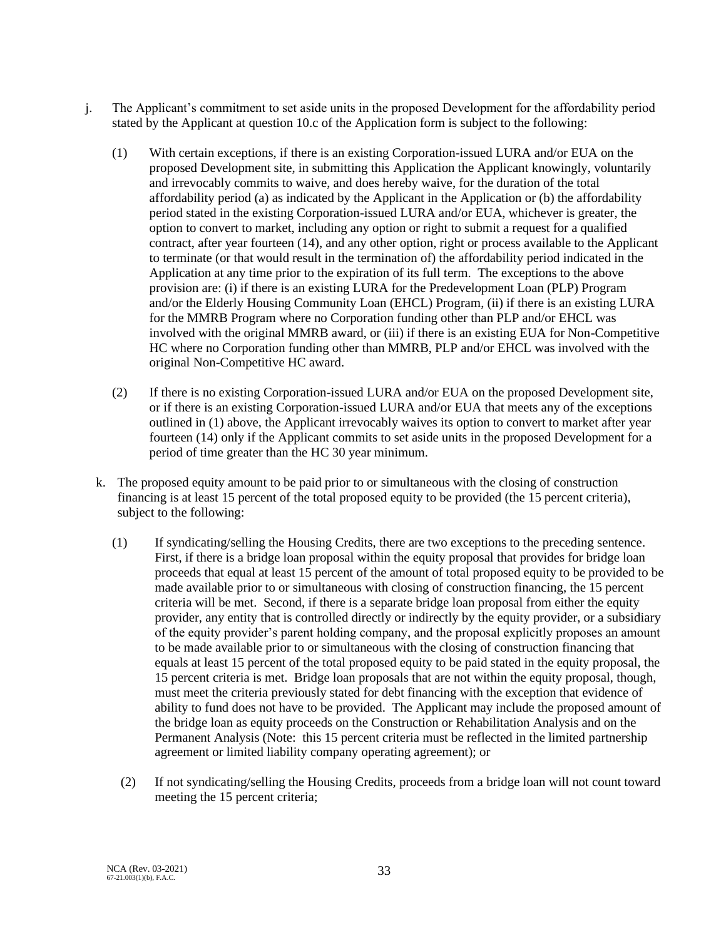- j. The Applicant's commitment to set aside units in the proposed Development for the affordability period stated by the Applicant at question 10.c of the Application form is subject to the following:
	- (1) With certain exceptions, if there is an existing Corporation-issued LURA and/or EUA on the proposed Development site, in submitting this Application the Applicant knowingly, voluntarily and irrevocably commits to waive, and does hereby waive, for the duration of the total affordability period (a) as indicated by the Applicant in the Application or (b) the affordability period stated in the existing Corporation-issued LURA and/or EUA, whichever is greater, the option to convert to market, including any option or right to submit a request for a qualified contract, after year fourteen (14), and any other option, right or process available to the Applicant to terminate (or that would result in the termination of) the affordability period indicated in the Application at any time prior to the expiration of its full term. The exceptions to the above provision are: (i) if there is an existing LURA for the Predevelopment Loan (PLP) Program and/or the Elderly Housing Community Loan (EHCL) Program, (ii) if there is an existing LURA for the MMRB Program where no Corporation funding other than PLP and/or EHCL was involved with the original MMRB award, or (iii) if there is an existing EUA for Non-Competitive HC where no Corporation funding other than MMRB, PLP and/or EHCL was involved with the original Non-Competitive HC award.
	- (2) If there is no existing Corporation-issued LURA and/or EUA on the proposed Development site, or if there is an existing Corporation-issued LURA and/or EUA that meets any of the exceptions outlined in (1) above, the Applicant irrevocably waives its option to convert to market after year fourteen (14) only if the Applicant commits to set aside units in the proposed Development for a period of time greater than the HC 30 year minimum.
	- k. The proposed equity amount to be paid prior to or simultaneous with the closing of construction financing is at least 15 percent of the total proposed equity to be provided (the 15 percent criteria), subject to the following:
		- (1) If syndicating/selling the Housing Credits, there are two exceptions to the preceding sentence. First, if there is a bridge loan proposal within the equity proposal that provides for bridge loan proceeds that equal at least 15 percent of the amount of total proposed equity to be provided to be made available prior to or simultaneous with closing of construction financing, the 15 percent criteria will be met. Second, if there is a separate bridge loan proposal from either the equity provider, any entity that is controlled directly or indirectly by the equity provider, or a subsidiary of the equity provider's parent holding company, and the proposal explicitly proposes an amount to be made available prior to or simultaneous with the closing of construction financing that equals at least 15 percent of the total proposed equity to be paid stated in the equity proposal, the 15 percent criteria is met. Bridge loan proposals that are not within the equity proposal, though, must meet the criteria previously stated for debt financing with the exception that evidence of ability to fund does not have to be provided. The Applicant may include the proposed amount of the bridge loan as equity proceeds on the Construction or Rehabilitation Analysis and on the Permanent Analysis (Note: this 15 percent criteria must be reflected in the limited partnership agreement or limited liability company operating agreement); or
			- (2) If not syndicating/selling the Housing Credits, proceeds from a bridge loan will not count toward meeting the 15 percent criteria;